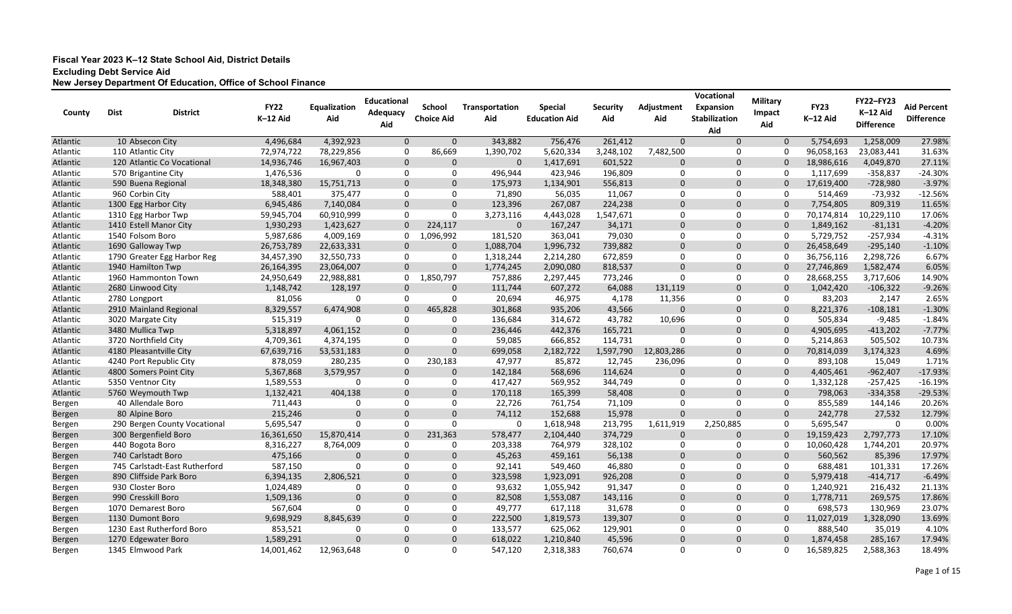| County   | <b>Dist</b>   | <b>District</b>               | <b>FY22</b> | Equalization<br>Aid | <b>Educational</b><br>Adequacy | <b>School</b>     | Transportation | <b>Special</b><br><b>Education Aid</b> | <b>Security</b> | Adjustment   | Vocational<br><b>Expansion</b> | <b>Military</b><br>Impact | <b>FY23</b> | <b>FY22-FY23</b><br>K-12 Aid | <b>Aid Percent</b> |
|----------|---------------|-------------------------------|-------------|---------------------|--------------------------------|-------------------|----------------|----------------------------------------|-----------------|--------------|--------------------------------|---------------------------|-------------|------------------------------|--------------------|
|          |               |                               | K-12 Aid    |                     | Aid                            | <b>Choice Aid</b> | Aid            |                                        | Aid             | Aid          | <b>Stabilization</b><br>Aid    | Aid                       | K-12 Aid    | <b>Difference</b>            | <b>Difference</b>  |
| Atlantic |               | 10 Absecon City               | 4,496,684   | 4,392,923           | $\Omega$                       | $\Omega$          | 343,882        | 756,476                                | 261,412         | $\mathbf{0}$ | $\Omega$                       | $\mathbf{0}$              | 5,754,693   | 1,258,009                    | 27.98%             |
| Atlantic |               | 110 Atlantic City             | 72,974,722  | 78,229,856          | $\Omega$                       | 86,669            | 1,390,702      | 5,620,334                              | 3,248,102       | 7,482,500    | 0                              | 0                         | 96,058,163  | 23,083,441                   | 31.63%             |
| Atlantic |               | 120 Atlantic Co Vocational    | 14,936,746  | 16,967,403          | $\mathbf{0}$                   | $\Omega$          | $\Omega$       | 1,417,691                              | 601,522         | $\mathbf{0}$ | $\mathbf 0$                    | $\Omega$                  | 18,986,616  | 4,049,870                    | 27.11%             |
| Atlantic |               | 570 Brigantine City           | 1,476,536   | $\Omega$            | $\Omega$                       | 0                 | 496,944        | 423,946                                | 196,809         | 0            | 0                              | 0                         | 1,117,699   | $-358,837$                   | $-24.30%$          |
| Atlantic |               | 590 Buena Regional            | 18,348,380  | 15,751,713          | $\Omega$                       | $\Omega$          | 175,973        | 1,134,901                              | 556,813         | $\mathbf 0$  | $\Omega$                       | $\Omega$                  | 17,619,400  | $-728,980$                   | $-3.97%$           |
| Atlantic |               | 960 Corbin City               | 588,401     | 375,477             | $\Omega$                       | 0                 | 71,890         | 56,035                                 | 11,067          | 0            | 0                              | $\Omega$                  | 514,469     | $-73,932$                    | $-12.56%$          |
| Atlantic |               | 1300 Egg Harbor City          | 6,945,486   | 7,140,084           | $\mathbf{0}$                   | $\Omega$          | 123,396        | 267,087                                | 224,238         | $\mathbf 0$  | $\mathbf{0}$                   | $\mathbf{0}$              | 7,754,805   | 809,319                      | 11.65%             |
| Atlantic |               | 1310 Egg Harbor Twp           | 59,945,704  | 60,910,999          | $\Omega$                       | $\Omega$          | 3,273,116      | 4,443,028                              | 1,547,671       | 0            | $\mathbf{0}$                   | 0                         | 70,174,814  | 10,229,110                   | 17.06%             |
| Atlantic |               | 1410 Estell Manor City        | 1,930,293   | 1,423,627           | $\Omega$                       | 224,117           | $\Omega$       | 167,247                                | 34,171          | $\mathbf 0$  | $\mathbf 0$                    | $\mathbf{0}$              | 1,849,162   | $-81,131$                    | $-4.20%$           |
| Atlantic |               | 1540 Folsom Boro              | 5,987,686   | 4,009,169           | $\Omega$                       | 1,096,992         | 181,520        | 363,041                                | 79,030          | 0            | 0                              | 0                         | 5,729,752   | $-257,934$                   | $-4.31%$           |
| Atlantic |               | 1690 Galloway Twp             | 26,753,789  | 22,633,331          | $\mathbf 0$                    | 0                 | 1,088,704      | 1,996,732                              | 739,882         | $\mathbf 0$  | 0                              | $\mathbf 0$               | 26,458,649  | $-295,140$                   | $-1.10%$           |
| Atlantic |               | 1790 Greater Egg Harbor Reg   | 34,457,390  | 32,550,733          | 0                              | 0                 | 1,318,244      | 2,214,280                              | 672,859         | 0            | 0                              | 0                         | 36,756,116  | 2,298,726                    | 6.67%              |
| Atlantic |               | 1940 Hamilton Twp             | 26,164,395  | 23,064,007          | $\Omega$                       | $\Omega$          | 1,774,245      | 2,090,080                              | 818,537         | $\mathbf 0$  | $\mathbf{0}$                   | $\Omega$                  | 27,746,869  | 1,582,474                    | 6.05%              |
| Atlantic |               | 1960 Hammonton Town           | 24,950,649  | 22,988,881          | $\Omega$                       | 1,850,797         | 757,886        | 2,297,445                              | 773,246         | 0            | 0                              |                           | 28,668,255  | 3,717,606                    | 14.90%             |
| Atlantic |               | 2680 Linwood City             | 1,148,742   | 128,197             | $\mathbf{0}$                   | $\mathbf 0$       | 111,744        | 607,272                                | 64,088          | 131,119      | $\mathbf 0$                    | $\mathbf{0}$              | 1,042,420   | $-106,322$                   | $-9.26%$           |
| Atlantic | 2780 Longport |                               | 81,056      | $\Omega$            | $\Omega$                       | 0                 | 20,694         | 46,975                                 | 4,178           | 11,356       | 0                              | 0                         | 83,203      | 2,147                        | 2.65%              |
| Atlantic |               | 2910 Mainland Regional        | 8,329,557   | 6,474,908           | $\Omega$                       | 465,828           | 301,868        | 935,206                                | 43,566          | $\mathbf 0$  | $\mathbf 0$                    | $\mathbf{0}$              | 8,221,376   | $-108,181$                   | $-1.30%$           |
| Atlantic |               | 3020 Margate City             | 515,319     | $\Omega$            | $\Omega$                       | 0                 | 136,684        | 314,672                                | 43,782          | 10,696       | 0                              | 0                         | 505,834     | $-9,485$                     | $-1.84%$           |
| Atlantic |               | 3480 Mullica Twp              | 5,318,897   | 4,061,152           | $\Omega$                       | $\Omega$          | 236,446        | 442,376                                | 165,721         | $\mathbf 0$  | $\mathbf 0$                    | $\mathbf 0$               | 4,905,695   | $-413,202$                   | $-7.77%$           |
| Atlantic |               | 3720 Northfield City          | 4,709,361   | 4,374,195           | 0                              | 0                 | 59,085         | 666,852                                | 114,731         | 0            | $\mathbf 0$                    | 0                         | 5,214,863   | 505,502                      | 10.73%             |
| Atlantic |               | 4180 Pleasantville City       | 67,639,716  | 53,531,183          | $\Omega$                       | $\Omega$          | 699,058        | 2,182,722                              | 1,597,790       | 12,803,286   | $\mathbf{0}$                   | $\Omega$                  | 70,814,039  | 3,174,323                    | 4.69%              |
| Atlantic |               | 4240 Port Republic City       | 878,059     | 280,235             | $\Omega$                       | 230,183           | 47,977         | 85,872                                 | 12,745          | 236,096      | 0                              | $\Omega$                  | 893,108     | 15,049                       | 1.71%              |
| Atlantic |               | 4800 Somers Point City        | 5,367,868   | 3,579,957           | $\Omega$                       | $\Omega$          | 142,184        | 568,696                                | 114,624         | $\mathbf 0$  | $\mathbf{0}$                   | $\mathbf{0}$              | 4,405,461   | $-962,407$                   | $-17.93%$          |
| Atlantic |               | 5350 Ventnor City             | 1,589,553   | 0                   | $\Omega$                       | 0                 | 417,427        | 569,952                                | 344,749         | 0            | $\mathbf{0}$                   | 0                         | 1,332,128   | $-257,425$                   | $-16.19%$          |
| Atlantic |               | 5760 Weymouth Twp             | 1,132,421   | 404,138             | $\Omega$                       | $\Omega$          | 170,118        | 165,399                                | 58,408          | $\mathbf 0$  | $\mathbf 0$                    | $\mathbf{0}$              | 798,063     | $-334,358$                   | $-29.53%$          |
| Bergen   |               | 40 Allendale Boro             | 711,443     |                     |                                | $\Omega$          | 22,726         | 761,754                                | 71,109          | 0            | 0                              | 0                         | 855,589     | 144,146                      | 20.26%             |
| Bergen   |               | 80 Alpine Boro                | 215,246     | $\Omega$            | $\Omega$                       | $\Omega$          | 74,112         | 152,688                                | 15,978          | $\mathbf 0$  | $\mathbf 0$                    | $\mathbf 0$               | 242,778     | 27,532                       | 12.79%             |
| Bergen   |               | 290 Bergen County Vocational  | 5,695,547   | $\Omega$            | $\Omega$                       | $\Omega$          | 0              | 1,618,948                              | 213,795         | 1,611,919    | 2,250,885                      | 0                         | 5,695,547   | 0                            | 0.00%              |
| Bergen   |               | 300 Bergenfield Boro          | 16,361,650  | 15,870,414          | $\Omega$                       | 231,363           | 578,477        | 2,104,440                              | 374,729         | $\mathbf 0$  | $\Omega$                       | $\Omega$                  | 19,159,423  | 2,797,773                    | 17.10%             |
| Bergen   |               | 440 Bogota Boro               | 8,316,227   | 8,764,009           | $\Omega$                       | $\Omega$          | 203,338        | 764,979                                | 328,102         | 0            | 0                              | 0                         | 10,060,428  | 1,744,201                    | 20.97%             |
| Bergen   |               | 740 Carlstadt Boro            | 475,166     | $\Omega$            |                                | $\Omega$          | 45,263         | 459,161                                | 56,138          | $\Omega$     | $\Omega$                       | $\mathbf{0}$              | 560,562     | 85,396                       | 17.97%             |
| Bergen   |               | 745 Carlstadt-East Rutherford | 587,150     | 0                   | 0                              | 0                 | 92,141         | 549,460                                | 46,880          | 0            | 0                              | 0                         | 688,481     | 101,331                      | 17.26%             |
| Bergen   |               | 890 Cliffside Park Boro       | 6,394,135   | 2,806,521           | $\mathbf 0$                    | $\mathbf 0$       | 323,598        | 1,923,091                              | 926,208         | $\mathbf 0$  | $\mathbf 0$                    | $\mathbf 0$               | 5,979,418   | $-414,717$                   | $-6.49%$           |
| Bergen   |               | 930 Closter Boro              | 1,024,489   | 0                   |                                | 0                 | 93,632         | 1,055,942                              | 91,347          | 0            | 0                              | 0                         | 1,240,921   | 216,432                      | 21.13%             |
| Bergen   |               | 990 Cresskill Boro            | 1,509,136   | $\mathbf 0$         | $\mathbf 0$                    | $\mathbf 0$       | 82,508         | 1,553,087                              | 143,116         | $\mathbf 0$  | $\mathbf 0$                    | $\mathbf 0$               | 1,778,711   | 269,575                      | 17.86%             |
| Bergen   |               | 1070 Demarest Boro            | 567,604     | 0                   | 0                              | 0                 | 49,777         | 617,118                                | 31,678          | 0            | 0                              | 0                         | 698,573     | 130,969                      | 23.07%             |
| Bergen   |               | 1130 Dumont Boro              | 9,698,929   | 8,845,639           | $\mathbf 0$                    | $\mathbf 0$       | 222,500        | 1,819,573                              | 139,307         | $\mathbf 0$  | $\mathbf 0$                    | $\mathbf 0$               | 11,027,019  | 1,328,090                    | 13.69%             |
| Bergen   |               | 1230 East Rutherford Boro     | 853,521     | 0                   | 0                              | 0                 | 133,577        | 625,062                                | 129,901         | 0            | 0                              | 0                         | 888,540     | 35,019                       | 4.10%              |
| Bergen   |               | 1270 Edgewater Boro           | 1,589,291   | $\mathbf 0$         | $\mathbf 0$                    | $\mathbf 0$       | 618,022        | 1,210,840                              | 45,596          | $\mathbf 0$  | $\overline{0}$                 | $\mathbf{0}$              | 1,874,458   | 285,167                      | 17.94%             |
| Bergen   |               | 1345 Elmwood Park             | 14,001,462  | 12,963,648          | 0                              | 0                 | 547,120        | 2,318,383                              | 760,674         | 0            | $\mathbf 0$                    | $\mathbf 0$               | 16,589,825  | 2,588,363                    | 18.49%             |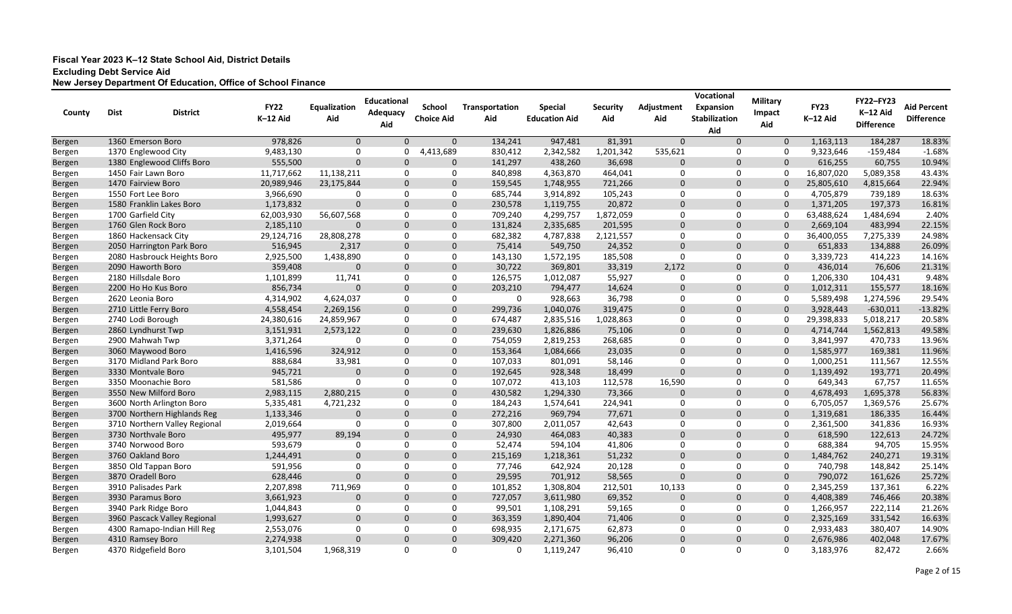| County        | <b>Dist</b> | <b>District</b>               | <b>FY22</b> | Equalization | <b>Educational</b><br>Adequacy | <b>School</b>     | Transportation | <b>Special</b>       | <b>Security</b> | Adjustment   | Vocational<br><b>Expansion</b> | <b>Military</b><br>Impact | <b>FY23</b> | <b>FY22-FY23</b><br>K-12 Aid | <b>Aid Percent</b> |
|---------------|-------------|-------------------------------|-------------|--------------|--------------------------------|-------------------|----------------|----------------------|-----------------|--------------|--------------------------------|---------------------------|-------------|------------------------------|--------------------|
|               |             |                               | K-12 Aid    | Aid          | Aid                            | <b>Choice Aid</b> | Aid            | <b>Education Aid</b> | Aid             | Aid          | <b>Stabilization</b><br>Aid    | Aid                       | K-12 Aid    | <b>Difference</b>            | <b>Difference</b>  |
| Bergen        |             | 1360 Emerson Boro             | 978,826     | $\Omega$     | $\Omega$                       | $\Omega$          | 134,241        | 947,481              | 81,391          | $\mathbf{0}$ | $\Omega$                       | $\mathbf 0$               | 1,163,113   | 184,287                      | 18.83%             |
| Bergen        |             | 1370 Englewood City           | 9,483,130   | 0            | 0                              | 4,413,689         | 830,412        | 2,342,582            | 1,201,342       | 535,621      | 0                              | 0                         | 9,323,646   | $-159,484$                   | $-1.68%$           |
| Bergen        |             | 1380 Englewood Cliffs Boro    | 555,500     | $\Omega$     | $\Omega$                       | $\Omega$          | 141,297        | 438,260              | 36,698          | $\mathbf 0$  | $\mathbf 0$                    | $\Omega$                  | 616,255     | 60,755                       | 10.94%             |
| Bergen        |             | 1450 Fair Lawn Boro           | 11,717,662  | 11,138,211   | 0                              | 0                 | 840,898        | 4,363,870            | 464,041         | 0            | $\mathbf 0$                    | $\Omega$                  | 16,807,020  | 5,089,358                    | 43.43%             |
| Bergen        |             | 1470 Fairview Boro            | 20,989,946  | 23,175,844   | $\Omega$                       | $\Omega$          | 159,545        | 1,748,955            | 721,266         | $\mathbf{0}$ | $\mathbf 0$                    | $\Omega$                  | 25,805,610  | 4,815,664                    | 22.94%             |
| Bergen        |             | 1550 Fort Lee Boro            | 3,966,690   | $\Omega$     | $\Omega$                       | 0                 | 685,744        | 3,914,892            | 105,243         | 0            | 0                              | 0                         | 4,705,879   | 739,189                      | 18.63%             |
| Bergen        |             | 1580 Franklin Lakes Boro      | 1,173,832   | $\Omega$     | $\Omega$                       | $\Omega$          | 230,578        | 1,119,755            | 20,872          | $\mathbf 0$  | $\mathbf 0$                    | $\Omega$                  | 1,371,205   | 197,373                      | 16.81%             |
| Bergen        |             | 1700 Garfield City            | 62,003,930  | 56,607,568   | $\Omega$                       | 0                 | 709,240        | 4,299,757            | 1,872,059       | 0            | 0                              | 0                         | 63,488,624  | 1,484,694                    | 2.40%              |
| Bergen        |             | 1760 Glen Rock Boro           | 2,185,110   | $\Omega$     | $\Omega$                       | $\Omega$          | 131,824        | 2,335,685            | 201,595         | $\mathbf 0$  | $\mathbf 0$                    | $\mathbf{0}$              | 2,669,104   | 483,994                      | 22.15%             |
| Bergen        |             | 1860 Hackensack City          | 29,124,716  | 28,808,278   | $\Omega$                       | $\Omega$          | 682,382        | 4,787,838            | 2,121,557       | 0            | 0                              | 0                         | 36,400,055  | 7,275,339                    | 24.98%             |
| Bergen        |             | 2050 Harrington Park Boro     | 516,945     | 2,317        | $\Omega$                       | $\Omega$          | 75,414         | 549,750              | 24,352          | $\mathbf 0$  | $\mathbf 0$                    | $\mathbf 0$               | 651,833     | 134,888                      | 26.09%             |
| Bergen        |             | 2080 Hasbrouck Heights Boro   | 2,925,500   | 1,438,890    | $\Omega$                       | $\Omega$          | 143,130        | 1,572,195            | 185,508         | 0            | 0                              | 0                         | 3,339,723   | 414,223                      | 14.16%             |
| Bergen        |             | 2090 Haworth Boro             | 359,408     | $\Omega$     | $\Omega$                       | $\Omega$          | 30,722         | 369,801              | 33,319          | 2,172        | $\mathbf 0$                    | $\mathbf{0}$              | 436,014     | 76,606                       | 21.31%             |
| Bergen        |             | 2180 Hillsdale Boro           | 1,101,899   | 11,741       | $\Omega$                       | 0                 | 126,575        | 1,012,087            | 55,927          | 0            | 0                              | 0                         | 1,206,330   | 104,431                      | 9.48%              |
| <b>Bergen</b> |             | 2200 Ho Ho Kus Boro           | 856,734     | $\Omega$     | $\Omega$                       | $\mathbf{0}$      | 203,210        | 794,477              | 14,624          | $\mathbf 0$  | $\mathbf 0$                    | $\mathbf 0$               | 1,012,311   | 155,577                      | 18.16%             |
| Bergen        |             | 2620 Leonia Boro              | 4,314,902   | 4,624,037    | $\Omega$                       | 0                 | $\mathbf{0}$   | 928,663              | 36,798          | 0            | 0                              | 0                         | 5,589,498   | 1,274,596                    | 29.54%             |
| Bergen        |             | 2710 Little Ferry Boro        | 4,558,454   | 2,269,156    | $\Omega$                       | $\Omega$          | 299,736        | 1,040,076            | 319,475         | $\mathbf 0$  | $\mathbf 0$                    | $\mathbf{0}$              | 3,928,443   | $-630,011$                   | $-13.82%$          |
| Bergen        |             | 2740 Lodi Borough             | 24,380,616  | 24,859,967   | 0                              | 0                 | 674,487        | 2,835,516            | 1,028,863       | 0            | 0                              | $\mathbf 0$               | 29,398,833  | 5,018,217                    | 20.58%             |
| Bergen        |             | 2860 Lyndhurst Twp            | 3,151,931   | 2,573,122    | $\mathbf 0$                    | $\mathbf 0$       | 239,630        | 1,826,886            | 75,106          | $\mathbf 0$  | $\mathbf 0$                    | $\mathbf 0$               | 4,714,744   | 1,562,813                    | 49.58%             |
| Bergen        |             | 2900 Mahwah Twp               | 3,371,264   | 0            | $\Omega$                       | 0                 | 754,059        | 2,819,253            | 268,685         | 0            | $\mathbf 0$                    | 0                         | 3,841,997   | 470,733                      | 13.96%             |
| Bergen        |             | 3060 Maywood Boro             | 1,416,596   | 324,912      | $\Omega$                       | $\Omega$          | 153,364        | 1,084,666            | 23,035          | $\mathbf 0$  | $\Omega$                       | $\mathbf{0}$              | 1,585,977   | 169,381                      | 11.96%             |
| Bergen        |             | 3170 Midland Park Boro        | 888,684     | 33,981       | $\Omega$                       | 0                 | 107,033        | 801,091              | 58,146          | 0            | 0                              | 0                         | 1,000,251   | 111,567                      | 12.55%             |
| Bergen        |             | 3330 Montvale Boro            | 945,721     | $\Omega$     | $\Omega$                       | $\Omega$          | 192,645        | 928,348              | 18,499          | $\mathbf 0$  | $\mathbf 0$                    | $\mathbf{0}$              | 1,139,492   | 193,771                      | 20.49%             |
| Bergen        |             | 3350 Moonachie Boro           | 581,586     | $\Omega$     | $\Omega$                       | 0                 | 107,072        | 413,103              | 112,578         | 16,590       | 0                              | $\Omega$                  | 649,343     | 67,757                       | 11.65%             |
| Bergen        |             | 3550 New Milford Boro         | 2,983,115   | 2,880,215    | $\Omega$                       | $\Omega$          | 430,582        | 1,294,330            | 73,366          | $\mathbf 0$  | $\mathbf 0$                    | $\mathbf 0$               | 4,678,493   | 1,695,378                    | 56.83%             |
| Bergen        |             | 3600 North Arlington Boro     | 5,335,481   | 4,721,232    | $\Omega$                       | $\Omega$          | 184,243        | 1,574,641            | 224,941         | 0            | 0                              | 0                         | 6,705,057   | 1,369,576                    | 25.67%             |
| Bergen        |             | 3700 Northern Highlands Reg   | 1,133,346   | $\Omega$     | $\Omega$                       | $\Omega$          | 272,216        | 969,794              | 77,671          | $\mathbf 0$  | $\mathbf 0$                    | $\mathbf 0$               | 1,319,681   | 186,335                      | 16.44%             |
| Bergen        |             | 3710 Northern Valley Regional | 2,019,664   | 0            | $\Omega$                       | $\Omega$          | 307,800        | 2,011,057            | 42,643          | 0            | 0                              | 0                         | 2,361,500   | 341,836                      | 16.93%             |
| Bergen        |             | 3730 Northvale Boro           | 495,977     | 89,194       | $\Omega$                       | $\Omega$          | 24,930         | 464,083              | 40,383          | $\mathbf 0$  | $\Omega$                       | $\Omega$                  | 618,590     | 122,613                      | 24.72%             |
| Bergen        |             | 3740 Norwood Boro             | 593,679     | $\Omega$     | $\Omega$                       | $\Omega$          | 52,474         | 594,104              | 41,806          | 0            | $\Omega$                       | $\Omega$                  | 688,384     | 94,705                       | 15.95%             |
| Bergen        |             | 3760 Oakland Boro             | 1,244,491   | $\Omega$     |                                | $\Omega$          | 215,169        | 1,218,361            | 51,232          | $\Omega$     | $\Omega$                       | $\Omega$                  | 1,484,762   | 240,271                      | 19.31%             |
| Bergen        |             | 3850 Old Tappan Boro          | 591,956     | 0            | 0                              | 0                 | 77,746         | 642,924              | 20,128          | 0            | 0                              | 0                         | 740,798     | 148,842                      | 25.14%             |
| Bergen        |             | 3870 Oradell Boro             | 628,446     | $\mathbf 0$  | $\mathbf 0$                    | $\mathbf 0$       | 29,595         | 701,912              | 58,565          | $\mathbf 0$  | $\mathbf 0$                    | $\mathbf 0$               | 790,072     | 161,626                      | 25.72%             |
| Bergen        |             | 3910 Palisades Park           | 2,207,898   | 711,969      | 0                              | 0                 | 101,852        | 1,308,804            | 212,501         | 10,133       | 0                              | 0                         | 2,345,259   | 137,361                      | 6.22%              |
| Bergen        |             | 3930 Paramus Boro             | 3,661,923   | 0            | $\mathbf 0$                    | $\mathbf 0$       | 727,057        | 3,611,980            | 69,352          | $\mathbf{0}$ | $\mathbf 0$                    | $\mathbf 0$               | 4,408,389   | 746,466                      | 20.38%             |
| Bergen        |             | 3940 Park Ridge Boro          | 1,044,843   | 0            | 0                              | 0                 | 99,501         | 1,108,291            | 59,165          | 0            | 0                              | 0                         | 1,266,957   | 222,114                      | 21.26%             |
| Bergen        |             | 3960 Pascack Valley Regional  | 1,993,627   | $\mathbf 0$  | $\mathbf 0$                    | $\mathbf 0$       | 363,359        | 1,890,404            | 71,406          | $\mathbf 0$  | $\mathbf 0$                    | $\mathbf 0$               | 2,325,169   | 331,542                      | 16.63%             |
| Bergen        |             | 4300 Ramapo-Indian Hill Reg   | 2,553,076   | 0            | 0                              | 0                 | 698,935        | 2,171,675            | 62,873          | 0            | 0                              | 0                         | 2,933,483   | 380,407                      | 14.90%             |
| Bergen        |             | 4310 Ramsey Boro              | 2,274,938   | $\mathbf 0$  | $\mathbf 0$                    | $\mathbf 0$       | 309,420        | 2,271,360            | 96,206          | $\mathbf 0$  | $\mathbf 0$                    | $\mathbf 0$               | 2,676,986   | 402,048                      | 17.67%             |
| Bergen        |             | 4370 Ridgefield Boro          | 3,101,504   | 1,968,319    | 0                              | 0                 | $\mathbf{0}$   | 1,119,247            | 96,410          | 0            | $\mathbf 0$                    | 0                         | 3,183,976   | 82,472                       | 2.66%              |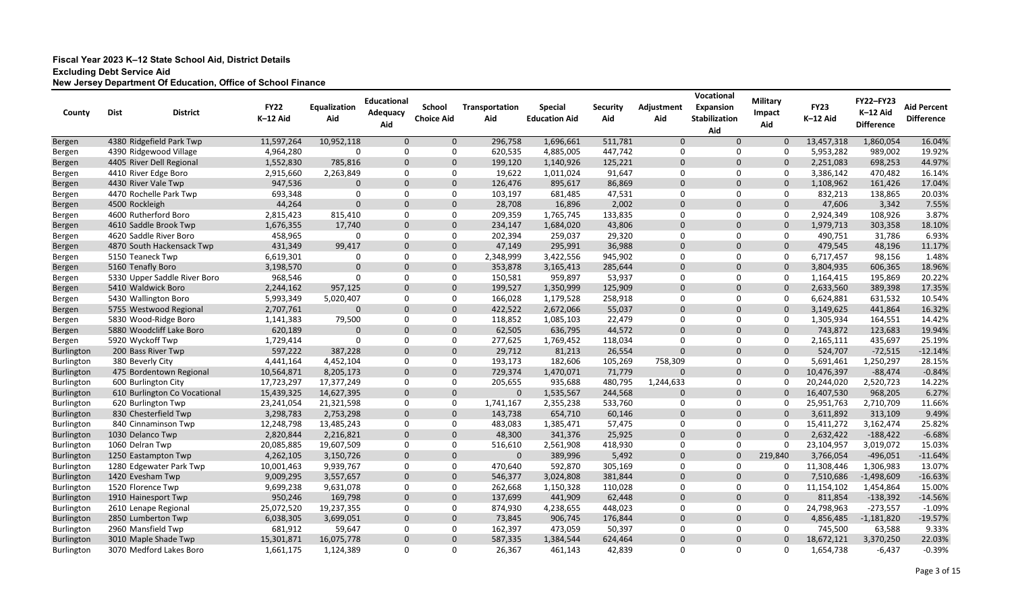| County            | <b>Dist</b>                  | <b>District</b> | <b>FY22</b><br>K-12 Aid | Equalization<br>Aid | <b>Educational</b><br>Adequacy<br>Aid | <b>School</b><br><b>Choice Aid</b> | <b>Transportation</b><br>Aid | <b>Special</b><br><b>Education Aid</b> | <b>Security</b><br>Aid | Adjustment<br>Aid | Vocational<br><b>Expansion</b><br><b>Stabilization</b><br>Aid | <b>Military</b><br>Impact<br>Aid | <b>FY23</b><br>K-12 Aid | <b>FY22-FY23</b><br>K-12 Aid<br><b>Difference</b> | <b>Aid Percent</b><br><b>Difference</b> |
|-------------------|------------------------------|-----------------|-------------------------|---------------------|---------------------------------------|------------------------------------|------------------------------|----------------------------------------|------------------------|-------------------|---------------------------------------------------------------|----------------------------------|-------------------------|---------------------------------------------------|-----------------------------------------|
| Bergen            | 4380 Ridgefield Park Twp     |                 | 11,597,264              | 10,952,118          | $\mathbf 0$                           | $\mathbf{0}$                       | 296,758                      | 1,696,661                              | 511,781                | $\mathbf 0$       | $\Omega$                                                      | $\mathbf 0$                      | 13,457,318              | 1,860,054                                         | 16.04%                                  |
| Bergen            | 4390 Ridgewood Village       |                 | 4,964,280               | $\Omega$            | $\Omega$                              | $\Omega$                           | 620,535                      | 4,885,005                              | 447,742                | 0                 | 0                                                             | 0                                | 5,953,282               | 989,002                                           | 19.92%                                  |
| Bergen            | 4405 River Dell Regional     |                 | 1,552,830               | 785,816             | $\mathbf{0}$                          | $\Omega$                           | 199,120                      | 1,140,926                              | 125,221                | $\mathbf 0$       | $\Omega$                                                      | $\Omega$                         | 2,251,083               | 698,253                                           | 44.97%                                  |
| Bergen            | 4410 River Edge Boro         |                 | 2,915,660               | 2,263,849           | 0                                     | $\Omega$                           | 19,622                       | 1,011,024                              | 91,647                 | 0                 | 0                                                             | 0                                | 3,386,142               | 470,482                                           | 16.14%                                  |
| Bergen            | 4430 River Vale Twp          |                 | 947,536                 | $\Omega$            | $\Omega$                              | $\Omega$                           | 126,476                      | 895,617                                | 86,869                 | $\mathbf 0$       | $\Omega$                                                      | $\mathbf{0}$                     | 1,108,962               | 161,426                                           | 17.04%                                  |
| Bergen            | 4470 Rochelle Park Twp       |                 | 693,348                 | $\Omega$            | $\Omega$                              | $\Omega$                           | 103,197                      | 681,485                                | 47,531                 | 0                 | $\mathbf{0}$                                                  | 0                                | 832,213                 | 138,865                                           | 20.03%                                  |
| Bergen            | 4500 Rockleigh               |                 | 44,264                  | $\Omega$            | $\mathbf{0}$                          | $\Omega$                           | 28,708                       | 16,896                                 | 2,002                  | $\mathbf 0$       | $\Omega$                                                      | $\mathbf{0}$                     | 47,606                  | 3,342                                             | 7.55%                                   |
| Bergen            | 4600 Rutherford Boro         |                 | 2,815,423               | 815,410             | $\Omega$                              | 0                                  | 209,359                      | 1,765,745                              | 133,835                | 0                 | 0                                                             | 0                                | 2,924,349               | 108,926                                           | 3.87%                                   |
| Bergen            | 4610 Saddle Brook Twp        |                 | 1,676,355               | 17,740              | $\Omega$                              | $\Omega$                           | 234,147                      | 1,684,020                              | 43,806                 | $\mathbf 0$       | $\Omega$                                                      | $\mathbf 0$                      | 1,979,713               | 303,358                                           | 18.10%                                  |
| Bergen            | 4620 Saddle River Boro       |                 | 458,965                 |                     | $\Omega$                              | 0                                  | 202,394                      | 259,037                                | 29,320                 | 0                 | 0                                                             | 0                                | 490,751                 | 31,786                                            | 6.93%                                   |
| Bergen            | 4870 South Hackensack Twp    |                 | 431,349                 | 99,417              | $\mathbf 0$                           | $\Omega$                           | 47,149                       | 295,991                                | 36,988                 | $\mathbf 0$       | 0                                                             | $\mathbf 0$                      | 479,545                 | 48,196                                            | 11.17%                                  |
| Bergen            | 5150 Teaneck Twp             |                 | 6,619,301               | $\Omega$            | $\Omega$                              | 0                                  | 2,348,999                    | 3,422,556                              | 945,902                | 0                 | 0                                                             | 0                                | 6,717,457               | 98,156                                            | 1.48%                                   |
| Bergen            | 5160 Tenafly Boro            |                 | 3,198,570               | $\Omega$            | $\mathbf{0}$                          | $\Omega$                           | 353,878                      | 3,165,413                              | 285,644                | $\mathbf 0$       | $\mathbf 0$                                                   | $\mathbf 0$                      | 3,804,935               | 606,365                                           | 18.96%                                  |
| Bergen            | 5330 Upper Saddle River Boro |                 | 968,546                 | $\Omega$            | $\Omega$                              | $\Omega$                           | 150,581                      | 959,897                                | 53,937                 | 0                 | 0                                                             | 0                                | 1,164,415               | 195,869                                           | 20.22%                                  |
| Bergen            | 5410 Waldwick Boro           |                 | 2,244,162               | 957,125             | $\mathbf{0}$                          | $\Omega$                           | 199,527                      | 1,350,999                              | 125,909                | $\mathbf 0$       | $\mathbf 0$                                                   | $\mathbf 0$                      | 2,633,560               | 389,398                                           | 17.35%                                  |
| Bergen            | 5430 Wallington Boro         |                 | 5,993,349               | 5,020,407           | $\Omega$                              | 0                                  | 166,028                      | 1,179,528                              | 258,918                | 0                 | 0                                                             | 0                                | 6,624,881               | 631,532                                           | 10.54%                                  |
| Bergen            | 5755 Westwood Regional       |                 | 2,707,761               | $\Omega$            | $\mathbf 0$                           | $\Omega$                           | 422,522                      | 2,672,066                              | 55,037                 | $\mathbf 0$       | $\mathbf 0$                                                   | $\mathbf{0}$                     | 3,149,625               | 441,864                                           | 16.32%                                  |
| Bergen            | 5830 Wood-Ridge Boro         |                 | 1,141,383               | 79,500              | 0                                     | 0                                  | 118,852                      | 1,085,103                              | 22,479                 | 0                 | 0                                                             | 0                                | 1,305,934               | 164,551                                           | 14.42%                                  |
| Bergen            | 5880 Woodcliff Lake Boro     |                 | 620,189                 | 0                   | $\mathbf 0$                           | $\Omega$                           | 62,505                       | 636,795                                | 44,572                 | $\mathbf 0$       | 0                                                             | $\Omega$                         | 743,872                 | 123,683                                           | 19.94%                                  |
| Bergen            | 5920 Wyckoff Twp             |                 | 1,729,414               | $\Omega$            | $\Omega$                              | $\Omega$                           | 277,625                      | 1,769,452                              | 118,034                | 0                 | 0                                                             | 0                                | 2,165,111               | 435,697                                           | 25.19%                                  |
| <b>Burlington</b> | 200 Bass River Twp           |                 | 597,222                 | 387,228             | $\mathbf{0}$                          | $\Omega$                           | 29,712                       | 81,213                                 | 26,554                 | $\mathbf 0$       | $\Omega$                                                      | $\Omega$                         | 524,707                 | $-72,515$                                         | $-12.14%$                               |
| Burlington        | 380 Beverly City             |                 | 4,441,164               | 4,452,104           | $\Omega$                              | $\Omega$                           | 193,173                      | 182,606                                | 105,269                | 758,309           | 0                                                             | $\Omega$                         | 5,691,461               | 1,250,297                                         | 28.15%                                  |
| <b>Burlington</b> | 475 Bordentown Regional      |                 | 10,564,871              | 8,205,173           | $\mathbf 0$                           | $\Omega$                           | 729,374                      | 1,470,071                              | 71,779                 | $\mathbf 0$       | $\mathbf 0$                                                   | $\Omega$                         | 10,476,397              | $-88,474$                                         | $-0.84%$                                |
| Burlington        | 600 Burlington City          |                 | 17,723,297              | 17,377,249          | $\Omega$                              | $\Omega$                           | 205,655                      | 935,688                                | 480,795                | 1,244,633         | 0                                                             | $\Omega$                         | 20,244,020              | 2,520,723                                         | 14.22%                                  |
| <b>Burlington</b> | 610 Burlington Co Vocational |                 | 15,439,325              | 14,627,395          | $\mathbf 0$                           | $\Omega$                           | $\mathbf 0$                  | 1,535,567                              | 244,568                | $\mathbf 0$       | $\mathbf 0$                                                   | $\Omega$                         | 16,407,530              | 968,205                                           | 6.27%                                   |
| Burlington        | 620 Burlington Twp           |                 | 23,241,054              | 21,321,598          | 0                                     | 0                                  | 1,741,167                    | 2,355,238                              | 533,760                | 0                 | 0                                                             | 0                                | 25,951,763              | 2,710,709                                         | 11.66%                                  |
| <b>Burlington</b> | 830 Chesterfield Twp         |                 | 3,298,783               | 2,753,298           | $\mathbf 0$                           | $\Omega$                           | 143,738                      | 654,710                                | 60,146                 | $\mathbf 0$       | $\mathbf 0$                                                   | 0                                | 3,611,892               | 313,109                                           | 9.49%                                   |
| Burlington        | 840 Cinnaminson Twp          |                 | 12,248,798              | 13,485,243          | $\Omega$                              | $\Omega$                           | 483,083                      | 1,385,471                              | 57,475                 | 0                 | 0                                                             | 0                                | 15,411,272              | 3,162,474                                         | 25.82%                                  |
| Burlington        | 1030 Delanco Twp             |                 | 2,820,844               | 2,216,821           | $\mathbf{0}$                          | $\Omega$                           | 48,300                       | 341,376                                | 25,925                 | $\mathbf 0$       | $\Omega$                                                      | $\Omega$                         | 2,632,422               | $-188,422$                                        | $-6.68%$                                |
| Burlington        | 1060 Delran Twp              |                 | 20,085,885              | 19,607,509          | $\Omega$                              | $\Omega$                           | 516,610                      | 2,561,908                              | 418,930                | 0                 | $\Omega$                                                      | 0                                | 23,104,957              | 3,019,072                                         | 15.03%                                  |
| Burlington        | 1250 Eastampton Twp          |                 | 4,262,105               | 3,150,726           | $\Omega$                              | $\Omega$                           | $\mathbf{0}$                 | 389,996                                | 5,492                  | $\Omega$          | $\Omega$                                                      | 219,840                          | 3,766,054               | $-496,051$                                        | $-11.64%$                               |
| <b>Burlington</b> | 1280 Edgewater Park Twp      |                 | 10,001,463              | 9,939,767           | 0                                     | 0                                  | 470,640                      | 592,870                                | 305,169                | 0                 | 0                                                             | 0                                | 11,308,446              | 1,306,983                                         | 13.07%                                  |
| <b>Burlington</b> | 1420 Evesham Twp             |                 | 9,009,295               | 3,557,657           | $\mathbf 0$                           | $\mathbf 0$                        | 546,377                      | 3,024,808                              | 381,844                | $\mathbf 0$       | $\mathbf 0$                                                   | $\mathbf{0}$                     | 7,510,686               | $-1,498,609$                                      | $-16.63%$                               |
| Burlington        | 1520 Florence Twp            |                 | 9,699,238               | 9,631,078           | 0                                     | 0                                  | 262,668                      | 1,150,328                              | 110,028                | 0                 | 0                                                             | 0                                | 11,154,102              | 1,454,864                                         | 15.00%                                  |
| <b>Burlington</b> | 1910 Hainesport Twp          |                 | 950,246                 | 169,798             | $\mathbf 0$                           | $\mathbf 0$                        | 137,699                      | 441,909                                | 62,448                 | $\mathbf 0$       | $\mathbf 0$                                                   | 0                                | 811,854                 | $-138,392$                                        | $-14.56%$                               |
| <b>Burlington</b> | 2610 Lenape Regional         |                 | 25,072,520              | 19,237,355          | 0                                     | 0                                  | 874,930                      | 4,238,655                              | 448,023                | 0                 | 0                                                             | 0                                | 24,798,963              | $-273,557$                                        | $-1.09%$                                |
| <b>Burlington</b> | 2850 Lumberton Twp           |                 | 6,038,305               | 3,699,051           | $\mathbf 0$                           | 0                                  | 73,845                       | 906,745                                | 176,844                | $\mathbf 0$       | $\mathbf 0$                                                   | $\mathbf{0}$                     | 4,856,485               | $-1,181,820$                                      | $-19.57%$                               |
| Burlington        | 2960 Mansfield Twp           |                 | 681,912                 | 59,647              | 0                                     | 0                                  | 162,397                      | 473,059                                | 50,397                 | 0                 | 0                                                             | 0                                | 745,500                 | 63,588                                            | 9.33%                                   |
| <b>Burlington</b> | 3010 Maple Shade Twp         |                 | 15,301,871              | 16,075,778          | $\mathbf 0$                           | $\mathbf 0$                        | 587,335                      | 1,384,544                              | 624,464                | $\mathbf 0$       | $\mathbf 0$                                                   | $\overline{0}$                   | 18,672,121              | 3,370,250                                         | 22.03%                                  |
| Burlington        | 3070 Medford Lakes Boro      |                 | 1,661,175               | 1,124,389           | $\mathbf 0$                           | 0                                  | 26,367                       | 461,143                                | 42,839                 | 0                 | $\mathbf 0$                                                   | 0                                | 1,654,738               | $-6,437$                                          | $-0.39%$                                |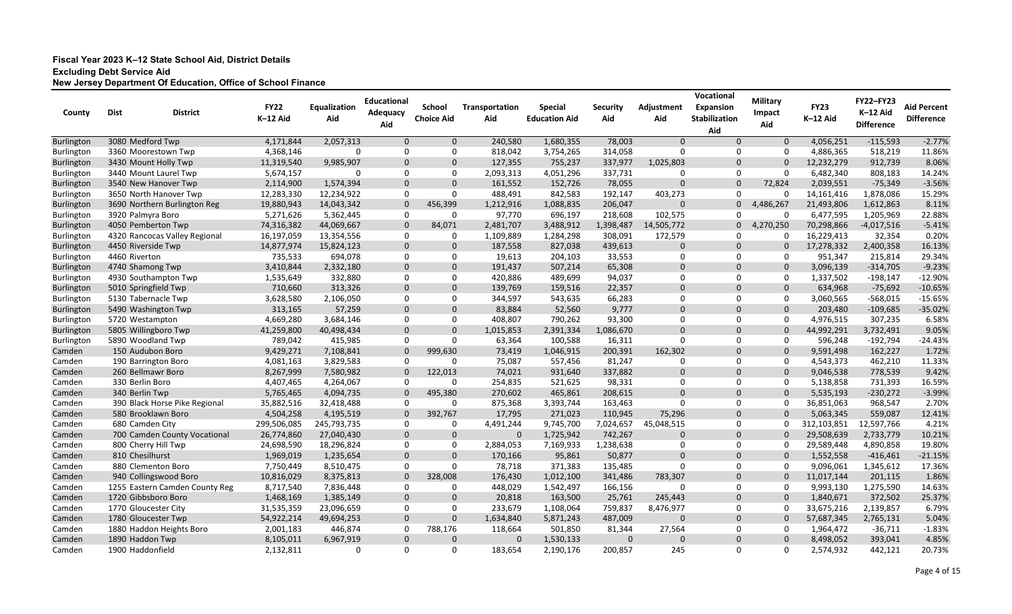| County            | <b>Dist</b> | <b>District</b>                | <b>FY22</b><br>K-12 Aid | Equalization<br>Aid | <b>Educational</b><br>Adequacy | <b>School</b><br><b>Choice Aid</b> | Transportation<br>Aid | <b>Special</b><br><b>Education Aid</b> | <b>Security</b><br>Aid | Adjustment<br>Aid | Vocational<br><b>Expansion</b><br><b>Stabilization</b> | <b>Military</b><br><b>Impact</b> | <b>FY23</b><br>K-12 Aid | <b>FY22-FY23</b><br>K-12 Aid | <b>Aid Percent</b><br><b>Difference</b> |
|-------------------|-------------|--------------------------------|-------------------------|---------------------|--------------------------------|------------------------------------|-----------------------|----------------------------------------|------------------------|-------------------|--------------------------------------------------------|----------------------------------|-------------------------|------------------------------|-----------------------------------------|
|                   |             |                                |                         |                     | Aid                            |                                    |                       |                                        |                        |                   | Aid                                                    | Aid                              |                         | <b>Difference</b>            |                                         |
| <b>Burlington</b> |             | 3080 Medford Twp               | 4,171,844               | 2,057,313           | $\mathbf{0}$                   | $\mathbf{0}$                       | 240,580               | 1,680,355                              | 78,003                 | $\mathbf{0}$      | $\Omega$                                               | $\mathbf 0$                      | 4,056,251               | $-115,593$                   | $-2.77%$                                |
| <b>Burlington</b> |             | 3360 Moorestown Twp            | 4,368,146               | $\Omega$            | -0                             | 0                                  | 818,042               | 3,754,265                              | 314,058                | 0                 | 0                                                      | 0                                | 4,886,365               | 518,219                      | 11.86%                                  |
| Burlington        |             | 3430 Mount Holly Twp           | 11,319,540              | 9,985,907           | $\mathbf{0}$                   | $\Omega$                           | 127,355               | 755,237                                | 337,977                | 1,025,803         | $\mathbf 0$                                            | $\Omega$                         | 12,232,279              | 912,739                      | 8.06%                                   |
| Burlington        |             | 3440 Mount Laurel Twp          | 5,674,157               | $\Omega$            | 0                              | 0                                  | 2,093,313             | 4,051,296                              | 337,731                | 0                 | $\mathbf 0$                                            | 0                                | 6,482,340               | 808,183                      | 14.24%                                  |
| <b>Burlington</b> |             | 3540 New Hanover Twp           | 2,114,900               | 1,574,394           | $\mathbf{0}$                   | $\Omega$                           | 161,552               | 152,726                                | 78,055                 | $\mathbf 0$       | $\Omega$                                               | 72,824                           | 2,039,551               | $-75,349$                    | $-3.56%$                                |
| Burlington        |             | 3650 North Hanover Twp         | 12,283,330              | 12,234,922          | 0                              | $\Omega$                           | 488,491               | 842,583                                | 192,147                | 403,273           | 0                                                      | 0                                | 14, 161, 416            | 1,878,086                    | 15.29%                                  |
| Burlington        |             | 3690 Northern Burlington Reg   | 19,880,943              | 14,043,342          | $\mathbf{0}$                   | 456,399                            | 1,212,916             | 1,088,835                              | 206,047                | $\mathbf 0$       | $\mathbf{0}$                                           | 4,486,267                        | 21,493,806              | 1,612,863                    | 8.11%                                   |
| Burlington        |             | 3920 Palmyra Boro              | 5,271,626               | 5,362,445           | 0                              | 0                                  | 97,770                | 696,197                                | 218,608                | 102,575           | 0                                                      | 0                                | 6,477,595               | 1,205,969                    | 22.88%                                  |
| <b>Burlington</b> |             | 4050 Pemberton Twp             | 74,316,382              | 44,069,667          | $\mathbf{0}$                   | 84,071                             | 2,481,707             | 3,488,912                              | 1,398,487              | 14,505,772        | $\mathbf{0}$                                           | 4,270,250                        | 70,298,866              | $-4,017,516$                 | $-5.41%$                                |
| <b>Burlington</b> |             | 4320 Rancocas Valley Regional  | 16,197,059              | 13,354,556          | 0                              | 0                                  | 1,109,889             | 1,284,298                              | 308,091                | 172,579           | 0                                                      | 0                                | 16,229,413              | 32,354                       | 0.20%                                   |
| Burlington        |             | 4450 Riverside Twp             | 14,877,974              | 15,824,123          | $\mathbf 0$                    | $\mathbf 0$                        | 187,558               | 827,038                                | 439,613                | $\mathbf 0$       | $\mathbf 0$                                            | 0                                | 17,278,332              | 2,400,358                    | 16.13%                                  |
| Burlington        |             | 4460 Riverton                  | 735,533                 | 694,078             | 0                              | $\Omega$                           | 19,613                | 204,103                                | 33,553                 | 0                 | 0                                                      | 0                                | 951,347                 | 215,814                      | 29.34%                                  |
| <b>Burlington</b> |             | 4740 Shamong Twp               | 3,410,844               | 2,332,180           | $\mathbf{0}$                   | $\Omega$                           | 191,437               | 507,214                                | 65,308                 | $\mathbf 0$       | $\Omega$                                               | 0                                | 3,096,139               | $-314,705$                   | $-9.23%$                                |
| Burlington        |             | 4930 Southampton Twp           | 1,535,649               | 332,880             | 0                              | $\Omega$                           | 420,886               | 489,699                                | 94,037                 | 0                 | $\Omega$                                               | 0                                | 1,337,502               | $-198,147$                   | $-12.90%$                               |
| Burlington        |             | 5010 Springfield Twp           | 710,660                 | 313,326             | $\mathbf 0$                    | $\Omega$                           | 139,769               | 159,516                                | 22,357                 | $\mathbf 0$       | $\mathbf{0}$                                           | $\mathbf{0}$                     | 634,968                 | $-75,692$                    | $-10.65%$                               |
| Burlington        |             | 5130 Tabernacle Twp            | 3,628,580               | 2,106,050           | 0                              | $\Omega$                           | 344,597               | 543,635                                | 66,283                 | 0                 | 0                                                      | 0                                | 3,060,565               | $-568,015$                   | $-15.65%$                               |
| <b>Burlington</b> |             | 5490 Washington Twp            | 313,165                 | 57,259              | $\mathbf 0$                    | $\Omega$                           | 83,884                | 52,560                                 | 9,777                  | $\mathbf 0$       | $\mathbf{0}$                                           | $\mathbf{0}$                     | 203,480                 | $-109,685$                   | $-35.02%$                               |
| <b>Burlington</b> |             | 5720 Westampton                | 4,669,280               | 3,684,146           | 0                              | 0                                  | 408,807               | 790,262                                | 93,300                 | 0                 | 0                                                      | 0                                | 4,976,515               | 307,235                      | 6.58%                                   |
| Burlington        |             | 5805 Willingboro Twp           | 41,259,800              | 40,498,434          | $\mathbf 0$                    | $\Omega$                           | 1,015,853             | 2,391,334                              | 1,086,670              | $\mathbf 0$       | $\mathbf 0$                                            | $\Omega$                         | 44,992,291              | 3,732,491                    | 9.05%                                   |
| <b>Burlington</b> |             | 5890 Woodland Twp              | 789,042                 | 415,985             | 0                              | 0                                  | 63,364                | 100,588                                | 16,311                 | 0                 | 0                                                      | 0                                | 596,248                 | $-192,794$                   | $-24.43%$                               |
| Camden            |             | 150 Audubon Boro               | 9,429,271               | 7,108,841           | $\mathbf{0}$                   | 999,630                            | 73,419                | 1,046,915                              | 200,391                | 162,302           | $\mathbf{0}$                                           | $\Omega$                         | 9,591,498               | 162,227                      | 1.72%                                   |
| Camden            |             | 190 Barrington Boro            | 4,081,163               | 3,829,583           | 0                              |                                    | 75,087                | 557,456                                | 81,247                 | 0                 | 0                                                      | 0                                | 4,543,373               | 462,210                      | 11.33%                                  |
| Camden            |             | 260 Bellmawr Boro              | 8,267,999               | 7,580,982           | $\mathbf{0}$                   | 122,013                            | 74,021                | 931,640                                | 337,882                | $\mathbf 0$       | $\mathbf{0}$                                           | $\mathbf 0$                      | 9,046,538               | 778,539                      | 9.42%                                   |
| Camden            |             | 330 Berlin Boro                | 4,407,465               | 4,264,067           | 0                              |                                    | 254,835               | 521,625                                | 98,331                 | 0                 | 0                                                      | 0                                | 5,138,858               | 731,393                      | 16.59%                                  |
| Camden            |             | 340 Berlin Twp                 | 5,765,465               | 4,094,735           | $\mathbf{0}$                   | 495,380                            | 270,602               | 465,861                                | 208,615                | $\mathbf 0$       | $\Omega$                                               | $\Omega$                         | 5,535,193               | $-230,272$                   | $-3.99%$                                |
| Camden            |             | 390 Black Horse Pike Regional  | 35,882,516              | 32,418,488          | 0                              |                                    | 875,368               | 3,393,744                              | 163,463                | $\mathbf 0$       | 0                                                      | 0                                | 36,851,063              | 968,547                      | 2.70%                                   |
| Camden            |             | 580 Brooklawn Boro             | 4,504,258               | 4,195,519           | $\mathbf 0$                    | 392,767                            | 17,795                | 271,023                                | 110,945                | 75,296            | $\mathbf 0$                                            | $\Omega$                         | 5,063,345               | 559,087                      | 12.41%                                  |
| Camden            |             | 680 Camden City                | 299,506,085             | 245,793,735         | 0                              | 0                                  | 4,491,244             | 9,745,700                              | 7,024,657              | 45,048,515        | 0                                                      | $\Omega$                         | 312,103,851             | 12,597,766                   | 4.21%                                   |
| Camden            |             | 700 Camden County Vocational   | 26,774,860              | 27,040,430          | $\mathbf{0}$                   | $\Omega$                           | $\Omega$              | 1,725,942                              | 742,267                | $\mathbf 0$       | $\Omega$                                               |                                  | 29,508,639              | 2,733,779                    | 10.21%                                  |
| Camden            |             | 800 Cherry Hill Twp            | 24,698,590              | 18,296,824          | $\Omega$                       | $\Omega$                           | 2,884,053             | 7,169,933                              | 1,238,638              | 0                 | $\Omega$                                               | $\Omega$                         | 29,589,448              | 4,890,858                    | 19.80%                                  |
| Camden            |             | 810 Chesilhurst                | 1,969,019               | 1,235,654           | $\Omega$                       |                                    | 170,166               | 95,861                                 | 50,877                 | $\Omega$          | $\Omega$                                               | $\Omega$                         | 1,552,558               | $-416,461$                   | $-21.15%$                               |
| Camden            |             | 880 Clementon Boro             | 7,750,449               | 8,510,475           | 0                              | 0                                  | 78,718                | 371,383                                | 135,485                | 0                 | 0                                                      | 0                                | 9,096,061               | 1,345,612                    | 17.36%                                  |
| Camden            |             | 940 Collingswood Boro          | 10,816,029              | 8,375,813           | $\mathbf 0$                    | 328,008                            | 176,430               | 1,012,100                              | 341,486                | 783,307           | $\mathbf 0$                                            | $\mathbf 0$                      | 11,017,144              | 201,115                      | 1.86%                                   |
| Camden            |             | 1255 Eastern Camden County Reg | 8,717,540               | 7,836,448           | 0                              | 0                                  | 448,029               | 1,542,497                              | 166,156                | 0                 | 0                                                      | 0                                | 9,993,130               | 1,275,590                    | 14.63%                                  |
| Camden            |             | 1720 Gibbsboro Boro            | 1,468,169               | 1,385,149           | $\mathbf 0$                    | 0                                  | 20,818                | 163,500                                | 25,761                 | 245,443           | $\mathbf 0$                                            | $\mathbf{0}$                     | 1,840,671               | 372,502                      | 25.37%                                  |
| Camden            |             | 1770 Gloucester City           | 31,535,359              | 23,096,659          | 0                              | 0                                  | 233,679               | 1,108,064                              | 759,837                | 8,476,977         | 0                                                      | 0                                | 33,675,216              | 2,139,857                    | 6.79%                                   |
| Camden            |             | 1780 Gloucester Twp            | 54,922,214              | 49,694,253          | $\mathbf 0$                    | $\overline{0}$                     | 1,634,840             | 5,871,243                              | 487,009                | $\mathbf{0}$      | $\mathbf 0$                                            | $\Omega$                         | 57,687,345              | 2,765,131                    | 5.04%                                   |
| Camden            |             | 1880 Haddon Heights Boro       | 2,001,183               | 446,874             | 0                              | 788,176                            | 118,664               | 501,850                                | 81,344                 | 27,564            | 0                                                      | 0                                | 1,964,472               | $-36,711$                    | $-1.83%$                                |
| Camden            |             | 1890 Haddon Twp                | 8,105,011               | 6,967,919           | $\mathbf 0$                    | $\mathbf 0$                        | $\mathbf{0}$          | 1,530,133                              | $\mathbf{0}$           | $\mathbf 0$       | $\mathbf 0$                                            | $\mathbf{0}$                     | 8,498,052               | 393,041                      | 4.85%                                   |
| Camden            |             | 1900 Haddonfield               | 2,132,811               | 0                   | 0                              | 0                                  | 183,654               | 2,190,176                              | 200,857                | 245               | $\mathbf 0$                                            | 0                                | 2,574,932               | 442,121                      | 20.73%                                  |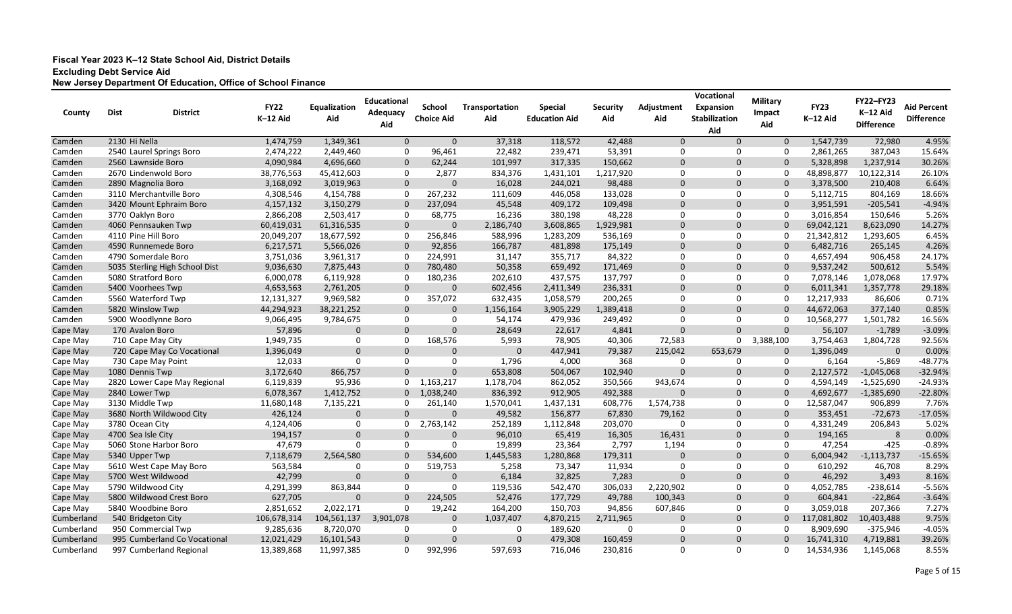| County                 | <b>Dist</b>   | <b>District</b>                                       | <b>FY22</b><br>K-12 Aid  | Equalization<br>Aid      | <b>Educational</b><br>Adequacy<br>Aid | <b>School</b><br><b>Choice Aid</b> | Transportation<br>Aid | <b>Special</b><br><b>Education Aid</b> | <b>Security</b><br>Aid | Adjustment<br>Aid | Vocational<br><b>Expansion</b><br><b>Stabilization</b> | <b>Military</b><br>Impact<br>Aid | <b>FY23</b><br>K-12 Aid  | <b>FY22-FY23</b><br>K-12 Aid<br><b>Difference</b> | <b>Aid Percent</b><br><b>Difference</b> |
|------------------------|---------------|-------------------------------------------------------|--------------------------|--------------------------|---------------------------------------|------------------------------------|-----------------------|----------------------------------------|------------------------|-------------------|--------------------------------------------------------|----------------------------------|--------------------------|---------------------------------------------------|-----------------------------------------|
|                        |               |                                                       |                          |                          |                                       |                                    |                       |                                        |                        |                   | Aid                                                    |                                  |                          |                                                   |                                         |
| Camden                 | 2130 Hi Nella |                                                       | 1,474,759                | 1,349,361                | $\mathbf{0}$                          | $\mathbf{0}$                       | 37,318                | 118,572                                | 42,488                 | $\mathbf{0}$      | $\Omega$                                               | $\mathbf 0$                      | 1,547,739                | 72,980                                            | 4.95%                                   |
| Camden                 |               | 2540 Laurel Springs Boro                              | 2,474,222                | 2,449,460                | -0                                    | 96,461                             | 22,482                | 239,471                                | 53,391                 | 0                 | 0                                                      | 0                                | 2,861,265                | 387,043                                           | 15.64%                                  |
| Camden                 |               | 2560 Lawnside Boro                                    | 4,090,984                | 4,696,660                | $\mathbf{0}$                          | 62,244                             | 101,997               | 317,335                                | 150,662                | $\mathbf 0$       | $\Omega$                                               | $\mathbf{0}$                     | 5,328,898                | 1,237,914                                         | 30.26%                                  |
| Camden                 |               | 2670 Lindenwold Boro                                  | 38,776,563               | 45,412,603               | 0                                     | 2,877                              | 834,376               | 1,431,101                              | 1,217,920              | 0                 | 0                                                      | 0                                | 48,898,877               | 10,122,314                                        | 26.10%                                  |
| Camden                 |               | 2890 Magnolia Boro                                    | 3,168,092                | 3,019,963                | $\mathbf{0}$                          | $\Omega$                           | 16,028                | 244,021                                | 98,488                 | $\mathbf 0$       | $\Omega$                                               | $\Omega$                         | 3,378,500                | 210,408                                           | 6.64%                                   |
| Camden                 |               | 3110 Merchantville Boro                               | 4,308,546                | 4,154,788                | -0                                    | 267,232                            | 111,609               | 446,058                                | 133,028                | 0                 | $\Omega$                                               | 0                                | 5,112,715                | 804,169                                           | 18.66%                                  |
| Camden                 |               | 3420 Mount Ephraim Boro                               | 4, 157, 132              | 3,150,279                | $\mathbf{0}$                          | 237,094                            | 45,548                | 409,172                                | 109,498                | $\mathbf 0$       | $\Omega$                                               | $\mathbf{0}$                     | 3,951,591                | $-205,541$                                        | $-4.94%$                                |
| Camden                 |               | 3770 Oaklyn Boro                                      | 2,866,208                | 2,503,417                | 0                                     | 68,775                             | 16,236                | 380,198                                | 48,228                 | 0                 | $\Omega$                                               | 0                                | 3,016,854                | 150,646                                           | 5.26%                                   |
| Camden                 |               | 4060 Pennsauken Twp<br>4110 Pine Hill Boro            | 60,419,031               | 61,316,535               | $\mathbf{0}$<br>-0                    | 0                                  | 2,186,740             | 3,608,865                              | 1,929,981              | $\mathbf 0$       | $\Omega$<br>0                                          | $\Omega$                         | 69,042,121               | 8,623,090                                         | 14.27%<br>6.45%                         |
| Camden                 |               |                                                       | 20,049,207               | 18,677,592               |                                       | 256,846                            | 588,996               | 1,283,209                              | 536,169                | 0                 |                                                        | $\mathbf 0$                      | 21,342,812               | 1,293,605                                         | 4.26%                                   |
| Camden                 |               | 4590 Runnemede Boro<br>4790 Somerdale Boro            | 6,217,571                | 5,566,026<br>3,961,317   | $\mathbf{0}$<br>-0                    | 92,856                             | 166,787<br>31,147     | 481,898                                | 175,149                | $\mathbf 0$<br>0  | $\mathbf 0$<br>0                                       | $\mathbf 0$<br>0                 | 6,482,716<br>4,657,494   | 265,145<br>906,458                                | 24.17%                                  |
| Camden                 |               |                                                       | 3,751,036                |                          | $\Omega$                              | 224,991                            | 50,358                | 355,717                                | 84,322<br>171,469      | $\mathbf 0$       | $\Omega$                                               | $\Omega$                         |                          |                                                   | 5.54%                                   |
| Camden                 |               | 5035 Sterling High School Dist<br>5080 Stratford Boro | 9,036,630                | 7,875,443                | -0                                    | 780,480                            |                       | 659,492                                | 137,797                | 0                 | 0                                                      | 0                                | 9,537,242                | 500,612                                           | 17.97%                                  |
| Camden                 |               | 5400 Voorhees Twp                                     | 6,000,078                | 6,119,928                | $\mathbf{0}$                          | 180,236<br>$\Omega$                | 202,610               | 437,575                                |                        | $\mathbf 0$       | $\mathbf{0}$                                           | $\mathbf{0}$                     | 7,078,146                | 1,078,068                                         | 29.18%                                  |
| Camden                 |               | 5560 Waterford Twp                                    | 4,653,563                | 2,761,205<br>9,969,582   | -0                                    | 357,072                            | 602,456               | 2,411,349                              | 236,331<br>200,265     | 0                 | 0                                                      | 0                                | 6,011,341                | 1,357,778<br>86,606                               | 0.71%                                   |
| Camden                 |               |                                                       | 12,131,327<br>44,294,923 |                          | $\mathbf 0$                           | $\Omega$                           | 632,435               | 1,058,579                              |                        | $\mathbf 0$       | $\Omega$                                               | $\mathbf{0}$                     | 12,217,933               |                                                   | 0.85%                                   |
| Camden<br>Camden       |               | 5820 Winslow Twp                                      |                          | 38,221,252               | $\mathbf 0$                           | 0                                  | 1,156,164<br>54,174   | 3,905,229<br>479,936                   | 1,389,418              | 0                 | 0                                                      | $\mathbf 0$                      | 44,672,063               | 377,140                                           | 16.56%                                  |
|                        |               | 5900 Woodlynne Boro                                   | 9,066,495<br>57,896      | 9,784,675<br>0           | $\mathbf 0$                           | $\Omega$                           |                       |                                        | 249,492                | $\mathbf 0$       | $\mathbf 0$                                            | $\mathbf{0}$                     | 10,568,277               | 1,501,782                                         | $-3.09%$                                |
| Cape May               |               | 170 Avalon Boro                                       |                          | $\Omega$                 |                                       |                                    | 28,649                | 22,617                                 | 4,841                  |                   |                                                        |                                  | 56,107                   | $-1,789$                                          |                                         |
| Cape May               |               | 710 Cape May City                                     | 1,949,735                | $\Omega$                 | 0<br>$\mathbf{0}$                     | 168,576<br>$\Omega$                | 5,993<br>$\Omega$     | 78,905                                 | 40,306                 | 72,583            | 0                                                      | 3,388,100                        | 3,754,463                | 1,804,728<br>$\mathbf 0$                          | 92.56%<br>0.00%                         |
| Cape May               |               | 720 Cape May Co Vocational                            | 1,396,049<br>12,033      | $\Omega$                 | $\Omega$                              | $\Omega$                           | 1,796                 | 447,941<br>4,000                       | 79,387<br>368          | 215,042<br>0      | 653,679<br>0                                           | $\mathbf{0}$<br>0                | 1,396,049                |                                                   | $-48.77%$                               |
| Cape May               |               | 730 Cape May Point                                    |                          | 866,757                  | $\mathbf{0}$                          | $\Omega$                           | 653,808               |                                        |                        | $\mathbf 0$       | $\mathbf{0}$                                           | $\mathbf{0}$                     | 6,164                    | $-5,869$                                          | $-32.94%$                               |
| Cape May               |               | 1080 Dennis Twp                                       | 3,172,640                | 95,936                   | 0                                     | 1,163,217                          | 1,178,704             | 504,067                                | 102,940                | 943,674           | 0                                                      | $\mathbf 0$                      | 2,127,572                | $-1,045,068$                                      | $-24.93%$                               |
| Cape May               |               | 2820 Lower Cape May Regional<br>2840 Lower Twp        | 6,119,839<br>6,078,367   | 1,412,752                | $\mathbf{0}$                          | 1,038,240                          | 836,392               | 862,052<br>912,905                     | 350,566<br>492,388     | $\Omega$          | $\Omega$                                               | $\mathbf{0}$                     | 4,594,149<br>4,692,677   | $-1,525,690$                                      | $-22.80%$                               |
| Cape May               |               |                                                       | 11,680,148               |                          | 0                                     | 261,140                            | 1,570,041             |                                        | 608,776                | 1,574,738         | 0                                                      | $\mathbf 0$                      | 12,587,047               | $-1,385,690$<br>906,899                           | 7.76%                                   |
| Cape May<br>Cape May   |               | 3130 Middle Twp<br>3680 North Wildwood City           | 426,124                  | 7,135,221<br>$\mathbf 0$ | $\mathbf 0$                           | $\mathbf 0$                        | 49,582                | 1,437,131<br>156,877                   | 67,830                 |                   | $\mathbf 0$                                            |                                  |                          | $-72,673$                                         | $-17.05%$                               |
| Cape May               |               | 3780 Ocean City                                       | 4,124,406                | 0                        | 0                                     | 2,763,142                          | 252,189               | 1,112,848                              | 203,070                | 79,162<br>0       | 0                                                      | $\mathbf 0$<br>0                 | 353,451<br>4,331,249     | 206,843                                           | 5.02%                                   |
| Cape May               |               | 4700 Sea Isle City                                    | 194,157                  | $\mathbf 0$              | $\Omega$                              | $\Omega$                           | 96,010                | 65,419                                 | 16,305                 | 16,431            | $\Omega$                                               | $\mathbf{0}$                     | 194,165                  | 8                                                 | 0.00%                                   |
| Cape May               |               | 5060 Stone Harbor Boro                                | 47,679                   | $\Omega$                 | $\Omega$                              |                                    | 19,899                | 23,364                                 | 2,797                  | 1,194             | 0                                                      | $\Omega$                         | 47,254                   | $-425$                                            | $-0.89%$                                |
|                        |               |                                                       |                          |                          | $\Omega$                              |                                    |                       |                                        |                        | $\Omega$          | $\Omega$                                               | $\Omega$                         |                          |                                                   |                                         |
| Cape May               |               | 5340 Upper Twp                                        | 7,118,679                | 2,564,580<br>0           | -0                                    | 534,600                            | 1,445,583             | 1,280,868                              | 179,311                |                   | 0                                                      | 0                                | 6,004,942                | $-1,113,737$<br>46,708                            | $-15.65%$<br>8.29%                      |
| Cape May               |               | 5610 West Cape May Boro                               | 563,584                  | $\mathbf 0$              | $\mathbf 0$                           | 519,753                            | 5,258                 | 73,347                                 | 11,934                 | 0<br>$\mathbf 0$  | $\mathbf 0$                                            |                                  | 610,292                  |                                                   |                                         |
| Cape May               |               | 5700 West Wildwood                                    | 42,799                   |                          |                                       | $\mathbf 0$<br>0                   | 6,184                 | 32,825                                 | 7,283                  |                   |                                                        | $\mathbf 0$                      | 46,292                   | 3,493                                             | 8.16%                                   |
| Cape May<br>Cape May   |               | 5790 Wildwood City<br>5800 Wildwood Crest Boro        | 4,291,399                | 863,844                  | -0                                    |                                    | 119,536               | 542,470                                | 306,033                | 2,220,902         | 0<br>$\mathbf 0$                                       | $\mathbf 0$                      | 4,052,785                | $-238,614$                                        | $-5.56%$                                |
|                        |               |                                                       | 627,705                  | $\mathbf 0$              | $\mathbf 0$                           | 224,505                            | 52,476                | 177,729                                | 49,788                 | 100,343           |                                                        | $\mathbf 0$                      | 604,841                  | $-22,864$                                         | $-3.64%$                                |
| Cape May<br>Cumberland |               | 5840 Woodbine Boro<br>540 Bridgeton City              | 2,851,652                | 2,022,171                | 0                                     | 19,242<br>0                        | 164,200               | 150,703                                | 94,856                 | 607,846           | 0                                                      | 0<br>$\mathbf{0}$                | 3,059,018                | 207,366                                           | 7.27%<br>9.75%                          |
| Cumberland             |               | 950 Commercial Twp                                    | 106,678,314<br>9,285,636 | 104,561,137<br>8,720,070 | 3,901,078<br>0                        | 0                                  | 1,037,407<br>0        | 4,870,215<br>189,620                   | 2,711,965              | $\mathbf 0$<br>0  | $\mathbf 0$<br>0                                       | 0                                | 117,081,802<br>8,909,690 | 10,403,488<br>$-375,946$                          | $-4.05%$                                |
| Cumberland             |               | 995 Cumberland Co Vocational                          | 12,021,429               | 16,101,543               | $\mathbf 0$                           | $\mathbf 0$                        | $\mathbf{0}$          | 479,308                                | 0<br>160,459           | $\mathbf 0$       | $\mathbf 0$                                            | $\mathbf{0}$                     | 16,741,310               | 4,719,881                                         | 39.26%                                  |
| Cumberland             |               | 997 Cumberland Regional                               | 13,389,868               | 11,997,385               | 0                                     | 992,996                            | 597,693               | 716,046                                | 230,816                | 0                 | $\mathbf 0$                                            | 0                                | 14,534,936               | 1,145,068                                         | 8.55%                                   |
|                        |               |                                                       |                          |                          |                                       |                                    |                       |                                        |                        |                   |                                                        |                                  |                          |                                                   |                                         |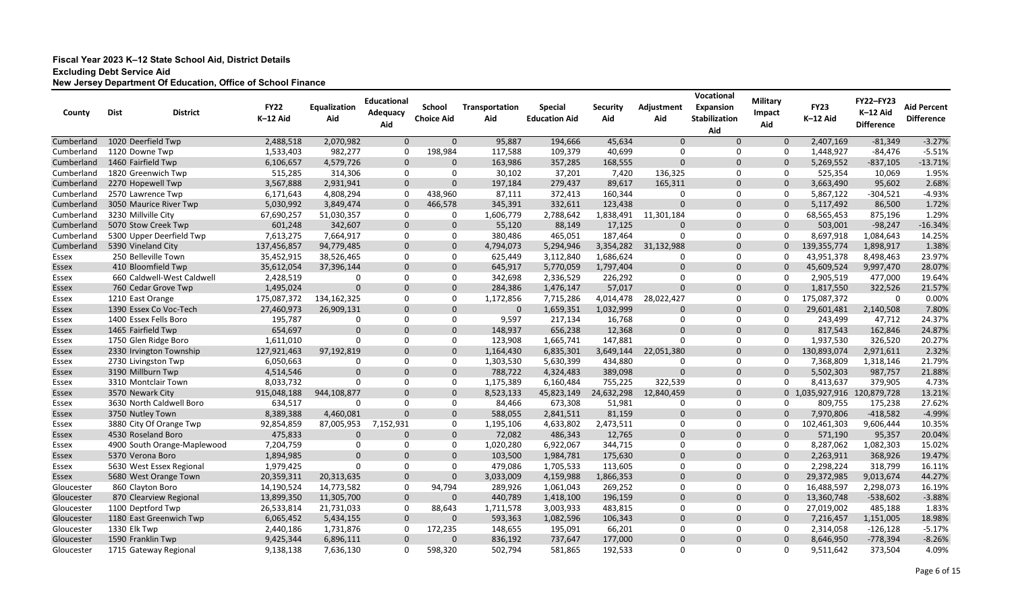| County     | <b>Dist</b><br><b>District</b> | <b>FY22</b><br>K-12 Aid | Equalization<br>Aid | <b>Educational</b><br>Adequacy<br>Aid | <b>School</b><br><b>Choice Aid</b> | Transportation<br>Aid | <b>Special</b><br><b>Education Aid</b> | <b>Security</b><br>Aid | Adjustment<br>Aid | Vocational<br><b>Expansion</b><br><b>Stabilization</b><br>Aid | <b>Military</b><br>Impact<br>Aid | <b>FY23</b><br>K-12 Aid     | <b>FY22-FY23</b><br>K-12 Aid<br><b>Difference</b> | <b>Aid Percent</b><br><b>Difference</b> |
|------------|--------------------------------|-------------------------|---------------------|---------------------------------------|------------------------------------|-----------------------|----------------------------------------|------------------------|-------------------|---------------------------------------------------------------|----------------------------------|-----------------------------|---------------------------------------------------|-----------------------------------------|
| Cumberland | 1020 Deerfield Twp             | 2,488,518               | 2,070,982           | $\mathbf 0$                           | $\mathbf 0$                        | 95,887                | 194,666                                | 45,634                 | $\mathbf 0$       | $\Omega$                                                      | $\mathbf 0$                      | 2,407,169                   | $-81,349$                                         | $-3.27%$                                |
| Cumberland | 1120 Downe Twp                 | 1,533,403               | 982,277             | -0                                    | 198,984                            | 117,588               | 109,379                                | 40,699                 | 0                 | 0                                                             | 0                                | 1,448,927                   | $-84,476$                                         | $-5.51%$                                |
| Cumberland | 1460 Fairfield Twp             | 6,106,657               | 4,579,726           | $\mathbf 0$                           | $\Omega$                           | 163,986               | 357,285                                | 168,555                | $\mathbf 0$       | $\Omega$                                                      | $\Omega$                         | 5,269,552                   | $-837,105$                                        | $-13.71%$                               |
| Cumberland | 1820 Greenwich Twp             | 515,285                 | 314,306             | 0                                     | $\Omega$                           | 30,102                | 37,201                                 | 7,420                  | 136,325           | 0                                                             | $\Omega$                         | 525,354                     | 10,069                                            | 1.95%                                   |
| Cumberland | 2270 Hopewell Twp              | 3,567,888               | 2,931,941           | $\Omega$                              | $\Omega$                           | 197,184               | 279,437                                | 89,617                 | 165,311           | $\Omega$                                                      | $\Omega$                         | 3,663,490                   | 95,602                                            | 2.68%                                   |
| Cumberland | 2570 Lawrence Twp              | 6,171,643               | 4,808,294           | -0                                    | 438,960                            | 87,111                | 372,413                                | 160,344                | 0                 | $\mathbf{0}$                                                  | $\Omega$                         | 5,867,122                   | $-304,521$                                        | $-4.93%$                                |
| Cumberland | 3050 Maurice River Twp         | 5,030,992               | 3,849,474           | $\mathbf{0}$                          | 466,578                            | 345,391               | 332,611                                | 123,438                | $\mathbf 0$       | $\mathbf{0}$                                                  | $\Omega$                         | 5,117,492                   | 86,500                                            | 1.72%                                   |
| Cumberland | 3230 Millville City            | 67,690,257              | 51,030,357          | $\Omega$                              | 0                                  | 1,606,779             | 2,788,642                              | 1,838,491              | 11,301,184        | 0                                                             | 0                                | 68,565,453                  | 875,196                                           | 1.29%                                   |
| Cumberland | 5070 Stow Creek Twp            | 601,248                 | 342,607             | $\mathbf 0$                           | $\Omega$                           | 55,120                | 88,149                                 | 17,125                 | $\mathbf 0$       | $\Omega$                                                      | $\Omega$                         | 503,001                     | $-98,247$                                         | $-16.34%$                               |
| Cumberland | 5300 Upper Deerfield Twp       | 7,613,275               | 7,664,917           | 0                                     | $\Omega$                           | 380,486               | 465,051                                | 187,464                | $\Omega$          | 0                                                             | 0                                | 8,697,918                   | 1,084,643                                         | 14.25%                                  |
| Cumberland | 5390 Vineland City             | 137,456,857             | 94,779,485          | $\mathbf 0$                           | $\Omega$                           | 4,794,073             | 5,294,946                              | 3,354,282              | 31,132,988        | $\mathbf 0$                                                   | $\mathbf 0$                      | 139,355,774                 | 1,898,917                                         | 1.38%                                   |
| Essex      | 250 Belleville Town            | 35,452,915              | 38,526,465          | 0                                     | $\Omega$                           | 625,449               | 3,112,840                              | 1,686,624              | 0                 | 0                                                             | -0                               | 43,951,378                  | 8,498,463                                         | 23.97%                                  |
| Essex      | 410 Bloomfield Twp             | 35,612,054              | 37,396,144          | $\mathbf{0}$                          | $\Omega$                           | 645,917               | 5,770,059                              | 1,797,404              | $\mathbf 0$       | $\Omega$                                                      | $\Omega$                         | 45,609,524                  | 9,997,470                                         | 28.07%                                  |
| Essex      | 660 Caldwell-West Caldwell     | 2,428,519               | $\Omega$            | $\Omega$                              | $\Omega$                           | 342,698               | 2,336,529                              | 226,292                | 0                 | 0                                                             | 0                                | 2,905,519                   | 477,000                                           | 19.64%                                  |
| Essex      | 760 Cedar Grove Twp            | 1,495,024               | $\Omega$            | $\mathbf{0}$                          | $\Omega$                           | 284,386               | 1,476,147                              | 57,017                 | $\mathbf 0$       | $\mathbf 0$                                                   | $\mathbf{0}$                     | 1,817,550                   | 322,526                                           | 21.57%                                  |
| Essex      | 1210 East Orange               | 175,087,372             | 134,162,325         | -0                                    | 0                                  | 1,172,856             | 7,715,286                              | 4,014,478              | 28,022,427        | 0                                                             | 0                                | 175,087,372                 | 0                                                 | 0.00%                                   |
| Essex      | 1390 Essex Co Voc-Tech         | 27,460,973              | 26,909,131          | $\mathbf 0$                           | $\mathbf{0}$                       | $\Omega$              | 1,659,351                              | 1,032,999              | $\mathbf{0}$      | $\mathbf{0}$                                                  | $\Omega$                         | 29,601,481                  | 2,140,508                                         | 7.80%                                   |
| Essex      | 1400 Essex Fells Boro          | 195,787                 | 0                   | -0                                    | 0                                  | 9,597                 | 217,134                                | 16,768                 | 0                 | 0                                                             | 0                                | 243,499                     | 47,712                                            | 24.37%                                  |
| Essex      | 1465 Fairfield Twp             | 654,697                 | $\Omega$            | $\Omega$                              | $\Omega$                           | 148,937               | 656,238                                | 12,368                 | $\mathbf 0$       | $\mathbf 0$                                                   | $\Omega$                         | 817,543                     | 162,846                                           | 24.87%                                  |
| Essex      | 1750 Glen Ridge Boro           | 1,611,010               | $\Omega$            | $\mathbf{0}$                          | $\Omega$                           | 123,908               | 1,665,741                              | 147,881                | 0                 | 0                                                             | $\Omega$                         | 1,937,530                   | 326,520                                           | 20.27%                                  |
| Essex      | 2330 Irvington Township        | 127,921,463             | 97,192,819          | $\Omega$                              | $\Omega$                           | 1,164,430             | 6,835,301                              | 3,649,144              | 22,051,380        | $\Omega$                                                      | $\Omega$                         | 130,893,074                 | 2,971,611                                         | 2.32%                                   |
| Essex      | 2730 Livingston Twp            | 6,050,663               | $\Omega$            | $\Omega$                              | $\Omega$                           | 1,303,530             | 5,630,399                              | 434,880                | 0                 | 0                                                             | $\Omega$                         | 7,368,809                   | 1,318,146                                         | 21.79%                                  |
| Essex      | 3190 Millburn Twp              | 4,514,546               | $\Omega$            | $\Omega$                              | $\mathbf{0}$                       | 788,722               | 4,324,483                              | 389,098                | $\mathbf 0$       | $\mathbf 0$                                                   | $\mathbf{0}$                     | 5,502,303                   | 987,757                                           | 21.88%                                  |
| Essex      | 3310 Montclair Town            | 8,033,732               | $\Omega$            | -0                                    | $\Omega$                           | 1,175,389             | 6,160,484                              | 755,225                | 322,539           | 0                                                             | $\Omega$                         | 8,413,637                   | 379,905                                           | 4.73%                                   |
| Essex      | 3570 Newark City               | 915,048,188             | 944,108,877         | $\mathbf{0}$                          | $\mathbf 0$                        | 8,523,133             | 45,823,149                             | 24,632,298             | 12,840,459        | $\mathbf 0$                                                   |                                  | 0 1,035,927,916 120,879,728 |                                                   | 13.21%                                  |
| Essex      | 3630 North Caldwell Boro       | 634,517                 | 0                   | -0                                    | 0                                  | 84,466                | 673,308                                | 51,981                 | 0                 | 0                                                             | 0                                | 809,755                     | 175,238                                           | 27.62%                                  |
| Essex      | 3750 Nutley Town               | 8,389,388               | 4,460,081           | $\mathbf 0$                           | $\mathbf{0}$                       | 588,055               | 2,841,511                              | 81,159                 | $\mathbf 0$       | $\mathbf 0$                                                   | $\Omega$                         | 7,970,806                   | $-418,582$                                        | $-4.99%$                                |
| Essex      | 3880 City Of Orange Twp        | 92,854,859              | 87,005,953          | 7,152,931                             | 0                                  | 1,195,106             | 4,633,802                              | 2,473,511              | 0                 | 0                                                             | 0                                | 102,461,303                 | 9,606,444                                         | 10.35%                                  |
| Essex      | 4530 Roseland Boro             | 475,833                 | $\Omega$            | -0                                    | $\Omega$                           | 72,082                | 486,343                                | 12,765                 | $\mathbf 0$       | $\Omega$                                                      | $\Omega$                         | 571,190                     | 95,357                                            | 20.04%                                  |
| Essex      | 4900 South Orange-Maplewood    | 7,204,759               | 0                   | -0                                    | ∩                                  | 1,020,280             | 6,922,067                              | 344,715                | 0                 | $\Omega$                                                      | $\Omega$                         | 8,287,062                   | 1,082,303                                         | 15.02%                                  |
| Essex      | 5370 Verona Boro               | 1,894,985               | $\Omega$            | $\Omega$                              |                                    | 103,500               | 1,984,781                              | 175,630                | $\Omega$          |                                                               | $\Omega$                         | 2,263,911                   | 368,926                                           | 19.47%                                  |
| Essex      | 5630 West Essex Regional       | 1,979,425               | 0                   | 0                                     | 0                                  | 479,086               | 1,705,533                              | 113,605                | 0                 | 0                                                             | 0                                | 2,298,224                   | 318,799                                           | 16.11%                                  |
| Essex      | 5680 West Orange Town          | 20,359,311              | 20,313,635          | $\mathbf 0$                           | $\mathbf 0$                        | 3,033,009             | 4,159,988                              | 1,866,353              | $\mathbf 0$       | $\mathbf 0$                                                   | $\mathbf 0$                      | 29,372,985                  | 9,013,674                                         | 44.27%                                  |
| Gloucester | 860 Clayton Boro               | 14,190,524              | 14,773,582          | 0                                     | 94,794                             | 289,926               | 1,061,043                              | 269,252                | 0                 | 0                                                             | 0                                | 16,488,597                  | 2,298,073                                         | 16.19%                                  |
| Gloucester | 870 Clearview Regional         | 13,899,350              | 11,305,700          | $\mathbf 0$                           | $\mathbf 0$                        | 440,789               | 1,418,100                              | 196,159                | $\mathbf 0$       | $\mathbf 0$                                                   | $\mathbf 0$                      | 13,360,748                  | $-538,602$                                        | $-3.88%$                                |
| Gloucester | 1100 Deptford Twp              | 26,533,814              | 21,731,033          | 0                                     | 88,643                             | 1,711,578             | 3,003,933                              | 483,815                | 0                 | 0                                                             | 0                                | 27,019,002                  | 485,188                                           | 1.83%                                   |
| Gloucester | 1180 East Greenwich Twp        | 6,065,452               | 5,434,155           | $\mathbf 0$                           | 0                                  | 593,363               | 1,082,596                              | 106,343                | $\mathbf 0$       | $\mathbf 0$                                                   | $\mathbf{0}$                     | 7,216,457                   | 1,151,005                                         | 18.98%                                  |
| Gloucester | 1330 Elk Twp                   | 2,440,186               | 1,731,876           | -0                                    | 172,235                            | 148,655               | 195,091                                | 66,201                 | 0                 | 0                                                             | 0                                | 2,314,058                   | $-126,128$                                        | $-5.17%$                                |
| Gloucester | 1590 Franklin Twp              | 9,425,344               | 6,896,111           | $\mathbf 0$                           | $\mathbf 0$                        | 836,192               | 737,647                                | 177,000                | $\mathbf 0$       | $\mathbf 0$                                                   | $\mathbf{0}$                     | 8,646,950                   | $-778,394$                                        | $-8.26%$                                |
| Gloucester | 1715 Gateway Regional          | 9,138,138               | 7,636,130           | $\mathbf 0$                           | 598,320                            | 502,794               | 581,865                                | 192,533                | 0                 | 0                                                             | $\mathbf 0$                      | 9,511,642                   | 373,504                                           | 4.09%                                   |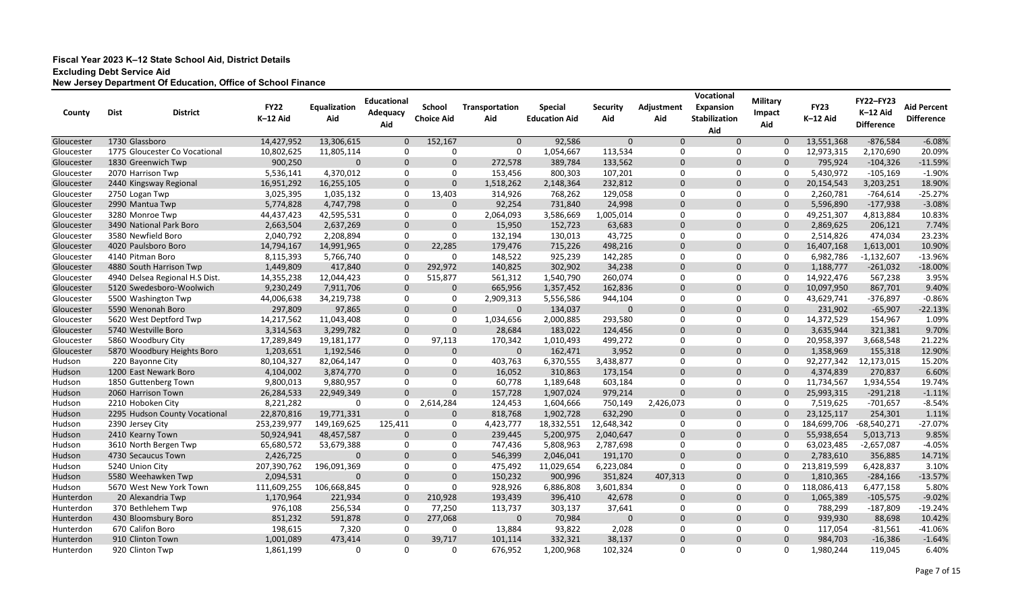| County     | <b>Dist</b><br><b>District</b> | <b>FY22</b><br>K-12 Aid | Equalization<br>Aid | <b>Educational</b><br>Adequacy<br>Aid | <b>School</b><br><b>Choice Aid</b> | Transportation<br>Aid | <b>Special</b><br><b>Education Aid</b> | <b>Security</b><br>Aid | Adjustment<br>Aid | Vocational<br><b>Expansion</b><br>Stabilization<br>Aid | <b>Military</b><br><b>Impact</b><br>Aid | <b>FY23</b><br>K-12 Aid | <b>FY22-FY23</b><br>K-12 Aid<br><b>Difference</b> | <b>Aid Percent</b><br><b>Difference</b> |
|------------|--------------------------------|-------------------------|---------------------|---------------------------------------|------------------------------------|-----------------------|----------------------------------------|------------------------|-------------------|--------------------------------------------------------|-----------------------------------------|-------------------------|---------------------------------------------------|-----------------------------------------|
| Gloucester | 1730 Glassboro                 | 14,427,952              | 13,306,615          | $\Omega$                              | 152,167                            | $\mathbf{0}$          | 92,586                                 | $\Omega$               | $\mathbf{0}$      | $\Omega$                                               | $\mathbf{0}$                            | 13,551,368              | $-876,584$                                        | $-6.08%$                                |
| Gloucester | 1775 Gloucester Co Vocational  | 10,802,625              | 11,805,114          | -0                                    | 0                                  | 0                     | 1,054,667                              | 113,534                | 0                 | 0                                                      | 0                                       | 12,973,315              | 2,170,690                                         | 20.09%                                  |
| Gloucester | 1830 Greenwich Twp             | 900,250                 | $\Omega$            | $\mathbf 0$                           | $\Omega$                           | 272,578               | 389,784                                | 133,562                | $\mathbf 0$       | $\mathbf 0$                                            | $\Omega$                                | 795,924                 | $-104,326$                                        | $-11.59%$                               |
| Gloucester | 2070 Harrison Twp              | 5,536,141               | 4,370,012           | 0                                     | 0                                  | 153,456               | 800,303                                | 107,201                | 0                 | 0                                                      | 0                                       | 5,430,972               | $-105,169$                                        | $-1.90%$                                |
| Gloucester | 2440 Kingsway Regional         | 16,951,292              | 16,255,105          | $\mathbf{0}$                          | $\Omega$                           | 1,518,262             | 2,148,364                              | 232,812                | $\mathbf 0$       | $\Omega$                                               | $\Omega$                                | 20,154,543              | 3,203,251                                         | 18.90%                                  |
| Gloucester | 2750 Logan Twp                 | 3,025,395               | 1,035,132           | 0                                     | 13,403                             | 314,926               | 768,262                                | 129,058                | 0                 | 0                                                      | $\Omega$                                | 2,260,781               | $-764,614$                                        | $-25.27%$                               |
| Gloucester | 2990 Mantua Twp                | 5,774,828               | 4,747,798           | $\mathbf{0}$                          | 0                                  | 92,254                | 731,840                                | 24,998                 | $\mathbf 0$       | $\Omega$                                               | $\mathbf{0}$                            | 5,596,890               | $-177,938$                                        | $-3.08%$                                |
| Gloucester | 3280 Monroe Twp                | 44,437,423              | 42,595,531          | 0                                     | $\Omega$                           | 2,064,093             | 3,586,669                              | 1,005,014              | 0                 | $\Omega$                                               | $\Omega$                                | 49,251,307              | 4,813,884                                         | 10.83%                                  |
| Gloucester | 3490 National Park Boro        | 2,663,504               | 2,637,269           | $\mathbf 0$                           | $\Omega$                           | 15,950                | 152,723                                | 63,683                 | $\mathbf 0$       | $\Omega$                                               | $\Omega$                                | 2,869,625               | 206,121                                           | 7.74%                                   |
| Gloucester | 3580 Newfield Boro             | 2,040,792               | 2,208,894           | 0                                     | 0                                  | 132,194               | 130,013                                | 43,725                 | 0                 | 0                                                      | 0                                       | 2,514,826               | 474,034                                           | 23.23%                                  |
| Gloucester | 4020 Paulsboro Boro            | 14,794,167              | 14,991,965          | $\mathbf 0$                           | 22,285                             | 179,476               | 715,226                                | 498,216                | $\mathbf 0$       | $\mathbf 0$                                            | 0                                       | 16,407,168              | 1,613,001                                         | 10.90%                                  |
| Gloucester | 4140 Pitman Boro               | 8,115,393               | 5,766,740           | $\mathbf 0$                           | 0                                  | 148,522               | 925,239                                | 142,285                | 0                 | 0                                                      | 0                                       | 6,982,786               | $-1,132,607$                                      | $-13.96%$                               |
| Gloucester | 4880 South Harrison Twp        | 1,449,809               | 417,840             | $\mathbf 0$                           | 292,972                            | 140,825               | 302,902                                | 34,238                 | $\mathbf 0$       | 0                                                      | $\Omega$                                | 1,188,777               | $-261,032$                                        | $-18.00%$                               |
| Gloucester | 4940 Delsea Regional H.S Dist. | 14,355,238              | 12,044,423          | -0                                    | 515,877                            | 561,312               | 1,540,790                              | 260,074                | 0                 | $\Omega$                                               | $\Omega$                                | 14,922,476              | 567,238                                           | 3.95%                                   |
| Gloucester | 5120 Swedesboro-Woolwich       | 9,230,249               | 7,911,706           | $\mathbf 0$                           | 0                                  | 665,956               | 1,357,452                              | 162,836                | $\mathbf 0$       | $\mathbf 0$                                            | $\Omega$                                | 10,097,950              | 867,701                                           | 9.40%                                   |
| Gloucester | 5500 Washington Twp            | 44,006,638              | 34,219,738          | 0                                     | 0                                  | 2,909,313             | 5,556,586                              | 944,104                | 0                 | 0                                                      | 0                                       | 43,629,741              | $-376,897$                                        | $-0.86%$                                |
| Gloucester | 5590 Wenonah Boro              | 297,809                 | 97,865              | $\mathbf 0$                           | $\mathbf 0$                        | $\Omega$              | 134,037                                | $\mathbf 0$            | $\mathbf 0$       | $\mathbf 0$                                            | $\Omega$                                | 231,902                 | $-65,907$                                         | $-22.13%$                               |
| Gloucester | 5620 West Deptford Twp         | 14,217,562              | 11,043,408          | $\mathbf 0$                           | $\Omega$                           | 1,034,656             | 2,000,885                              | 293,580                | 0                 | 0                                                      | 0                                       | 14,372,529              | 154,967                                           | 1.09%                                   |
| Gloucester | 5740 Westville Boro            | 3,314,563               | 3,299,782           | $\mathbf 0$                           | $\Omega$                           | 28,684                | 183,022                                | 124,456                | $\mathbf 0$       | $\mathbf 0$                                            | 0                                       | 3,635,944               | 321,381                                           | 9.70%                                   |
| Gloucester | 5860 Woodbury City             | 17,289,849              | 19,181,177          | $\mathbf 0$                           | 97,113                             | 170,342               | 1,010,493                              | 499,272                | 0                 | 0                                                      | 0                                       | 20,958,397              | 3,668,548                                         | 21.22%                                  |
| Gloucester | 5870 Woodbury Heights Boro     | 1,203,651               | 1,192,546           | $\mathbf{0}$                          | $\Omega$                           | 0                     | 162,471                                | 3,952                  | $\mathbf 0$       | $\Omega$                                               | $\Omega$                                | 1,358,969               | 155,318                                           | 12.90%                                  |
| Hudson     | 220 Bayonne City               | 80,104,327              | 82,064,147          | 0                                     | $\Omega$                           | 403,763               | 6,370,555                              | 3,438,877              | 0                 | 0                                                      | $\Omega$                                | 92,277,342              | 12,173,015                                        | 15.20%                                  |
| Hudson     | 1200 East Newark Boro          | 4,104,002               | 3,874,770           | $\mathbf{0}$                          | $\Omega$                           | 16,052                | 310,863                                | 173,154                | $\mathbf 0$       | $\mathbf{0}$                                           | $\Omega$                                | 4,374,839               | 270,837                                           | 6.60%                                   |
| Hudson     | 1850 Guttenberg Town           | 9,800,013               | 9,880,957           | 0                                     | $\Omega$                           | 60,778                | 1,189,648                              | 603,184                | 0                 | 0                                                      | $\Omega$                                | 11,734,567              | 1,934,554                                         | 19.74%                                  |
| Hudson     | 2060 Harrison Town             | 26,284,533              | 22,949,349          | $\mathbf{0}$                          | $\Omega$                           | 157,728               | 1,907,024                              | 979,214                | $\mathbf 0$       | $\mathbf 0$                                            | $\Omega$                                | 25,993,315              | $-291,218$                                        | $-1.11%$                                |
| Hudson     | 2210 Hoboken City              | 8,221,282               | 0                   | 0                                     | 2,614,284                          | 124,453               | 1,604,666                              | 750,149                | 2,426,073         | 0                                                      | 0                                       | 7,519,625               | $-701,657$                                        | $-8.54%$                                |
| Hudson     | 2295 Hudson County Vocational  | 22,870,816              | 19,771,331          | $\overline{0}$                        | $\mathbf 0$                        | 818,768               | 1,902,728                              | 632,290                | $\mathbf 0$       | $\mathbf 0$                                            | $\mathbf 0$                             | 23,125,117              | 254,301                                           | 1.11%                                   |
| Hudson     | 2390 Jersey City               | 253,239,977             | 149,169,625         | 125,411                               | 0                                  | 4,423,777             | 18,332,551                             | 12,648,342             | 0                 | 0                                                      | 0                                       | 184,699,706             | $-68,540,271$                                     | $-27.07%$                               |
| Hudson     | 2410 Kearny Town               | 50,924,941              | 48,457,587          | $\Omega$                              | $\Omega$                           | 239,445               | 5,200,975                              | 2,040,647              | $\mathbf 0$       | $\Omega$                                               |                                         | 55,938,654              | 5,013,713                                         | 9.85%                                   |
| Hudson     | 3610 North Bergen Twp          | 65,680,572              | 53,679,388          | -0                                    |                                    | 747,436               | 5,808,963                              | 2,787,698              | 0                 | $\Omega$                                               | $\Omega$                                | 63,023,485              | $-2,657,087$                                      | $-4.05%$                                |
| Hudson     | 4730 Secaucus Town             | 2,426,725               | 0                   | $\Omega$                              |                                    | 546,399               | 2,046,041                              | 191,170                | $\Omega$          | $\Omega$                                               | $\Omega$                                | 2,783,610               | 356,885                                           | 14.71%                                  |
| Hudson     | 5240 Union City                | 207,390,762             | 196,091,369         | 0                                     | 0                                  | 475,492               | 11,029,654                             | 6,223,084              | 0                 | 0                                                      | $\mathbf{0}$                            | 213,819,599             | 6,428,837                                         | 3.10%                                   |
| Hudson     | 5580 Weehawken Twp             | 2,094,531               | $\mathbf 0$         | $\mathbf 0$                           | $\mathbf 0$                        | 150,232               | 900,996                                | 351,824                | 407,313           | $\mathbf 0$                                            | $\mathbf{0}$                            | 1,810,365               | $-284,166$                                        | $-13.57%$                               |
| Hudson     | 5670 West New York Town        | 111,609,255             | 106,668,845         | $\mathbf 0$                           | 0                                  | 928,926               | 6,886,808                              | 3,601,834              | 0                 | 0                                                      | 0                                       | 118,086,413             | 6,477,158                                         | 5.80%                                   |
| Hunterdon  | 20 Alexandria Twp              | 1,170,964               | 221,934             | $\mathbf 0$                           | 210,928                            | 193,439               | 396,410                                | 42,678                 | $\mathbf 0$       | $\mathbf 0$                                            | $\mathbf 0$                             | 1,065,389               | $-105,575$                                        | $-9.02%$                                |
| Hunterdon  | 370 Bethlehem Twp              | 976,108                 | 256,534             | 0                                     | 77,250                             | 113,737               | 303,137                                | 37,641                 | 0                 | $\mathbf 0$                                            | $\mathbf 0$                             | 788,299                 | $-187,809$                                        | $-19.24%$                               |
| Hunterdon  | 430 Bloomsbury Boro            | 851,232                 | 591,878             | $\mathbf 0$                           | 277,068                            | $\mathbf{0}$          | 70,984                                 | $\mathbf 0$            | $\mathbf 0$       | $\mathbf 0$                                            | $\mathbf{0}$                            | 939,930                 | 88,698                                            | 10.42%                                  |
| Hunterdon  | 670 Califon Boro               | 198,615                 | 7,320               | 0                                     | 0                                  | 13,884                | 93,822                                 | 2,028                  | 0                 | 0                                                      | $\mathbf 0$                             | 117,054                 | $-81,561$                                         | $-41.06%$                               |
| Hunterdon  | 910 Clinton Town               | 1,001,089               | 473,414             | $\mathbf{0}$                          | 39,717                             | 101,114               | 332,321                                | 38,137                 | $\mathbf 0$       | $\mathbf 0$                                            | $\mathbf{0}$                            | 984,703                 | $-16,386$                                         | $-1.64%$                                |
| Hunterdon  | 920 Clinton Twp                | 1,861,199               | 0                   | 0                                     | 0                                  | 676,952               | 1,200,968                              | 102,324                | 0                 | $\mathbf 0$                                            | $\mathbf{0}$                            | 1,980,244               | 119,045                                           | 6.40%                                   |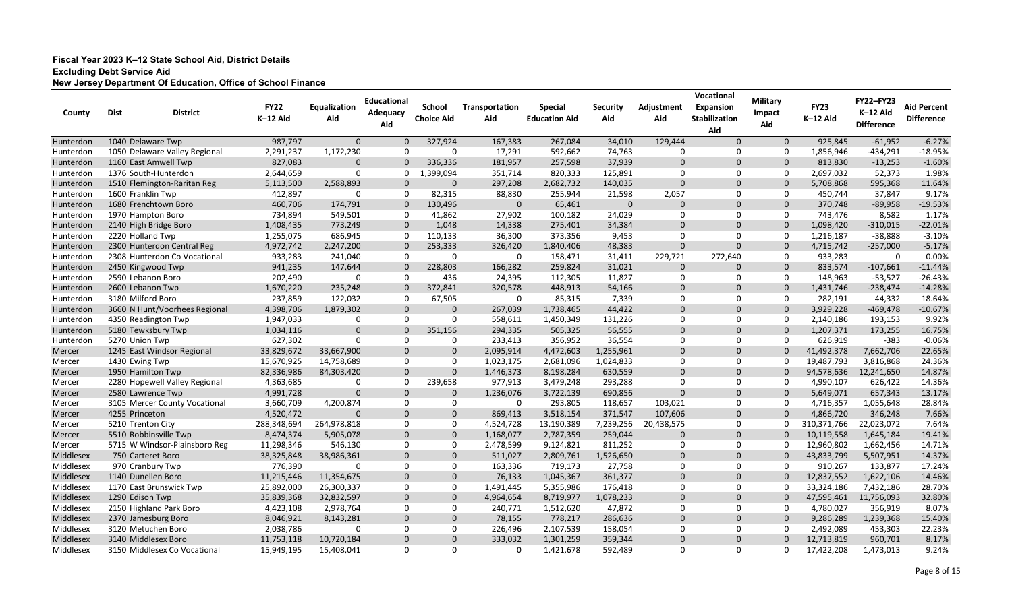| County    | <b>Dist</b>           | <b>District</b>               | <b>FY22</b><br>K-12 Aid | Equalization<br>Aid | <b>Educational</b><br>Adequacy | <b>School</b><br><b>Choice Aid</b> | Transportation<br>Aid | <b>Special</b><br><b>Education Aid</b> | <b>Security</b><br>Aid | Adjustment<br>Aid | Vocational<br><b>Expansion</b><br><b>Stabilization</b> | <b>Military</b><br>Impact | <b>FY23</b><br>K-12 Aid | <b>FY22-FY23</b><br>K-12 Aid | <b>Aid Percent</b><br><b>Difference</b> |
|-----------|-----------------------|-------------------------------|-------------------------|---------------------|--------------------------------|------------------------------------|-----------------------|----------------------------------------|------------------------|-------------------|--------------------------------------------------------|---------------------------|-------------------------|------------------------------|-----------------------------------------|
|           |                       |                               |                         |                     | Aid                            |                                    |                       |                                        |                        |                   | Aid                                                    | Aid                       |                         | <b>Difference</b>            |                                         |
| Hunterdon | 1040 Delaware Twp     |                               | 987,797                 | $\mathbf 0$         | $\Omega$                       | 327,924                            | 167,383               | 267,084                                | 34,010                 | 129,444           | $\Omega$                                               | $\mathbf 0$               | 925,845                 | $-61,952$                    | $-6.27%$                                |
| Hunterdon |                       | 1050 Delaware Valley Regional | 2,291,237               | 1,172,230           | $\Omega$                       | $\Omega$                           | 17,291                | 592,662                                | 74,763                 | 0                 | 0                                                      | 0                         | 1,856,946               | $-434,291$                   | $-18.95%$                               |
| Hunterdon | 1160 East Amwell Twp  |                               | 827,083                 | $\Omega$            | $\Omega$                       | 336,336                            | 181,957               | 257,598                                | 37,939                 | $\mathbf 0$       | 0                                                      | $\Omega$                  | 813,830                 | $-13,253$                    | $-1.60%$                                |
| Hunterdon | 1376 South-Hunterdon  |                               | 2,644,659               | -0                  | 0                              | 1,399,094                          | 351,714               | 820,333                                | 125,891                | 0                 | $\mathbf{0}$                                           | 0                         | 2,697,032               | 52,373                       | 1.98%                                   |
| Hunterdon |                       | 1510 Flemington-Raritan Reg   | 5,113,500               | 2,588,893           | $\Omega$                       | $\Omega$                           | 297,208               | 2,682,732                              | 140,035                | $\mathbf 0$       | $\Omega$                                               | $\mathbf 0$               | 5,708,868               | 595,368                      | 11.64%                                  |
| Hunterdon | 1600 Franklin Twp     |                               | 412,897                 | -0                  | 0                              | 82,315                             | 88,830                | 255,944                                | 21,598                 | 2,057             | $\mathbf{0}$                                           | $\mathbf 0$               | 450,744                 | 37,847                       | 9.17%                                   |
| Hunterdon | 1680 Frenchtown Boro  |                               | 460,706                 | 174,791             | $\overline{0}$                 | 130,496                            | 0                     | 65,461                                 | $\mathbf 0$            | $\mathbf 0$       | $\Omega$                                               | $\mathbf{0}$              | 370,748                 | $-89,958$                    | $-19.53%$                               |
| Hunterdon | 1970 Hampton Boro     |                               | 734,894                 | 549,501             | 0                              | 41,862                             | 27,902                | 100,182                                | 24,029                 | 0                 | $\Omega$                                               | 0                         | 743,476                 | 8,582                        | 1.17%                                   |
| Hunterdon | 2140 High Bridge Boro |                               | 1,408,435               | 773,249             | $\Omega$                       | 1,048                              | 14,338                | 275,401                                | 34,384                 | $\mathbf 0$       | $\Omega$                                               | $\mathbf 0$               | 1,098,420               | $-310,015$                   | $-22.01%$                               |
| Hunterdon | 2220 Holland Twp      |                               | 1,255,075               | 686,945             | 0                              | 110,133                            | 36,300                | 373,356                                | 9,453                  | 0                 | 0                                                      | 0                         | 1,216,187               | $-38,888$                    | $-3.10%$                                |
| Hunterdon |                       | 2300 Hunterdon Central Reg    | 4,972,742               | 2,247,200           | $\overline{0}$                 | 253,333                            | 326,420               | 1,840,406                              | 48,383                 | $\mathbf 0$       | $\mathbf 0$                                            | $\mathbf 0$               | 4,715,742               | $-257,000$                   | $-5.17%$                                |
| Hunterdon |                       | 2308 Hunterdon Co Vocational  | 933,283                 | 241,040             | 0                              | 0                                  | 0                     | 158,471                                | 31,411                 | 229,721           | 272,640                                                | 0                         | 933,283                 | 0                            | 0.00%                                   |
| Hunterdon | 2450 Kingwood Twp     |                               | 941,235                 | 147,644             | $\overline{0}$                 | 228,803                            | 166,282               | 259,824                                | 31,021                 | $\mathbf 0$       | $\Omega$                                               | $\mathbf{0}$              | 833,574                 | $-107,661$                   | $-11.44%$                               |
| Hunterdon | 2590 Lebanon Boro     |                               | 202,490                 | -0                  | 0                              | 436                                | 24,395                | 112,305                                | 11,827                 | 0                 | 0                                                      | 0                         | 148,963                 | $-53,527$                    | $-26.43%$                               |
| Hunterdon | 2600 Lebanon Twp      |                               | 1,670,220               | 235,248             | $\Omega$                       | 372,841                            | 320,578               | 448,913                                | 54,166                 | $\mathbf 0$       | $\mathbf 0$                                            | $\mathbf 0$               | 1,431,746               | $-238,474$                   | $-14.28%$                               |
| Hunterdon | 3180 Milford Boro     |                               | 237,859                 | 122,032             | 0                              | 67,505                             | 0                     | 85,315                                 | 7,339                  | 0                 | 0                                                      | 0                         | 282,191                 | 44,332                       | 18.64%                                  |
| Hunterdon |                       | 3660 N Hunt/Voorhees Regional | 4,398,706               | 1,879,302           | $\Omega$                       | $\Omega$                           | 267,039               | 1,738,465                              | 44,422                 | $\mathbf 0$       | $\Omega$                                               | $\mathbf{0}$              | 3,929,228               | $-469,478$                   | $-10.67%$                               |
| Hunterdon | 4350 Readington Twp   |                               | 1,947,033               | -0                  | $\Omega$                       | 0                                  | 558,611               | 1,450,349                              | 131,226                | 0                 | 0                                                      | 0                         | 2,140,186               | 193,153                      | 9.92%                                   |
| Hunterdon | 5180 Tewksbury Twp    |                               | 1,034,116               | $\overline{0}$      | $\Omega$                       | 351,156                            | 294,335               | 505,325                                | 56,555                 | $\mathbf 0$       | 0                                                      | $\mathbf 0$               | 1,207,371               | 173,255                      | 16.75%                                  |
| Hunterdon | 5270 Union Twp        |                               | 627,302                 | $\Omega$            | 0                              | 0                                  | 233,413               | 356,952                                | 36,554                 | 0                 | 0                                                      | 0                         | 626,919                 | $-383$                       | $-0.06%$                                |
| Mercer    |                       | 1245 East Windsor Regional    | 33,829,672              | 33,667,900          | $\Omega$                       | $\Omega$                           | 2,095,914             | 4,472,603                              | 1,255,961              | $\mathbf 0$       | $\Omega$                                               | $\Omega$                  | 41,492,378              | 7,662,706                    | 22.65%                                  |
| Mercer    | 1430 Ewing Twp        |                               | 15,670,925              | 14,758,689          | $\Omega$                       | $\Omega$                           | 1,023,175             | 2,681,096                              | 1,024,833              | 0                 | $\Omega$                                               | $\Omega$                  | 19,487,793              | 3,816,868                    | 24.36%                                  |
| Mercer    | 1950 Hamilton Twp     |                               | 82,336,986              | 84,303,420          | $\mathbf 0$                    | $\mathbf{0}$                       | 1,446,373             | 8,198,284                              | 630,559                | $\mathbf 0$       | $\Omega$                                               | $\Omega$                  | 94,578,636              | 12,241,650                   | 14.87%                                  |
| Mercer    |                       | 2280 Hopewell Valley Regional | 4,363,685               | 0                   | $\Omega$                       | 239,658                            | 977,913               | 3,479,248                              | 293,288                | 0                 | $\Omega$                                               | 0                         | 4,990,107               | 626,422                      | 14.36%                                  |
| Mercer    | 2580 Lawrence Twp     |                               | 4,991,728               | $\Omega$            | $\overline{0}$                 | $\Omega$                           | 1,236,076             | 3,722,139                              | 690,856                | $\mathbf 0$       | $\mathbf 0$                                            | $\mathbf{0}$              | 5,649,071               | 657,343                      | 13.17%                                  |
| Mercer    |                       | 3105 Mercer County Vocational | 3,660,709               | 4,200,874           | 0                              | 0                                  | 0                     | 293,805                                | 118,657                | 103,021           | 0                                                      | 0                         | 4,716,357               | 1,055,648                    | 28.84%                                  |
| Mercer    | 4255 Princeton        |                               | 4,520,472               | $\Omega$            | $\mathbf 0$                    | $\mathbf 0$                        | 869,413               | 3,518,154                              | 371,547                | 107,606           | $\mathbf 0$                                            | $\Omega$                  | 4,866,720               | 346,248                      | 7.66%                                   |
| Mercer    | 5210 Trenton City     |                               | 288,348,694             | 264,978,818         | 0                              | 0                                  | 4,524,728             | 13,190,389                             | 7,239,256              | 20,438,575        | 0                                                      | $\Omega$                  | 310,371,766             | 22,023,072                   | 7.64%                                   |
| Mercer    | 5510 Robbinsville Twp |                               | 8,474,374               | 5,905,078           | $\Omega$                       | $\Omega$                           | 1,168,077             | 2,787,359                              | 259,044                | $\mathbf 0$       | $\Omega$                                               |                           | 10,119,558              | 1,645,184                    | 19.41%                                  |
| Mercer    |                       | 5715 W Windsor-Plainsboro Reg | 11,298,346              | 546,130             | 0                              | $\Omega$                           | 2,478,599             | 9,124,821                              | 811,252                | 0                 | $\Omega$                                               | $\Omega$                  | 12,960,802              | 1,662,456                    | 14.71%                                  |
| Middlesex | 750 Carteret Boro     |                               | 38,325,848              | 38,986,361          | $\Omega$                       | $\Omega$                           | 511,027               | 2,809,761                              | 1,526,650              | $\Omega$          | $\Omega$                                               | $\Omega$                  | 43,833,799              | 5,507,951                    | 14.37%                                  |
| Middlesex | 970 Cranbury Twp      |                               | 776,390                 | -0                  | 0                              | 0                                  | 163,336               | 719,173                                | 27,758                 | 0                 | 0                                                      | 0                         | 910,267                 | 133,877                      | 17.24%                                  |
| Middlesex | 1140 Dunellen Boro    |                               | 11,215,446              | 11,354,675          | $\mathbf 0$                    | $\mathbf 0$                        | 76,133                | 1,045,367                              | 361,377                | $\mathbf 0$       | $\mathbf 0$                                            | $\mathbf{0}$              | 12,837,552              | 1,622,106                    | 14.46%                                  |
| Middlesex |                       | 1170 East Brunswick Twp       | 25,892,000              | 26,300,337          | 0                              | 0                                  | 1,491,445             | 5,355,986                              | 176,418                | 0                 | 0                                                      | 0                         | 33,324,186              | 7,432,186                    | 28.70%                                  |
| Middlesex | 1290 Edison Twp       |                               | 35,839,368              | 32,832,597          | $\mathbf 0$                    | $\mathbf 0$                        | 4,964,654             | 8,719,977                              | 1,078,233              | $\mathbf 0$       | $\mathbf 0$                                            | 0                         | 47,595,461              | 11,756,093                   | 32.80%                                  |
| Middlesex |                       | 2150 Highland Park Boro       | 4,423,108               | 2,978,764           | 0                              | 0                                  | 240,771               | 1,512,620                              | 47,872                 | 0                 | 0                                                      | 0                         | 4,780,027               | 356,919                      | 8.07%                                   |
| Middlesex | 2370 Jamesburg Boro   |                               | 8,046,921               | 8,143,281           | $\mathbf 0$                    | $\mathbf 0$                        | 78,155                | 778,217                                | 286,636                | $\mathbf 0$       | 0                                                      | $\mathbf{0}$              | 9,286,289               | 1,239,368                    | 15.40%                                  |
| Middlesex | 3120 Metuchen Boro    |                               | 2,038,786               | -0                  | 0                              | 0                                  | 226,496               | 2,107,539                              | 158,054                | 0                 | 0                                                      | 0                         | 2,492,089               | 453,303                      | 22.23%                                  |
| Middlesex | 3140 Middlesex Boro   |                               | 11,753,118              | 10,720,184          | $\mathbf 0$                    | $\mathbf 0$                        | 333,032               | 1,301,259                              | 359,344                | $\mathbf 0$       | $\mathbf 0$                                            | $\mathbf{0}$              | 12,713,819              | 960,701                      | 8.17%                                   |
| Middlesex |                       | 3150 Middlesex Co Vocational  | 15,949,195              | 15,408,041          | 0                              | 0                                  | 0                     | 1,421,678                              | 592,489                | 0                 | 0                                                      | $\mathbf 0$               | 17,422,208              | 1,473,013                    | 9.24%                                   |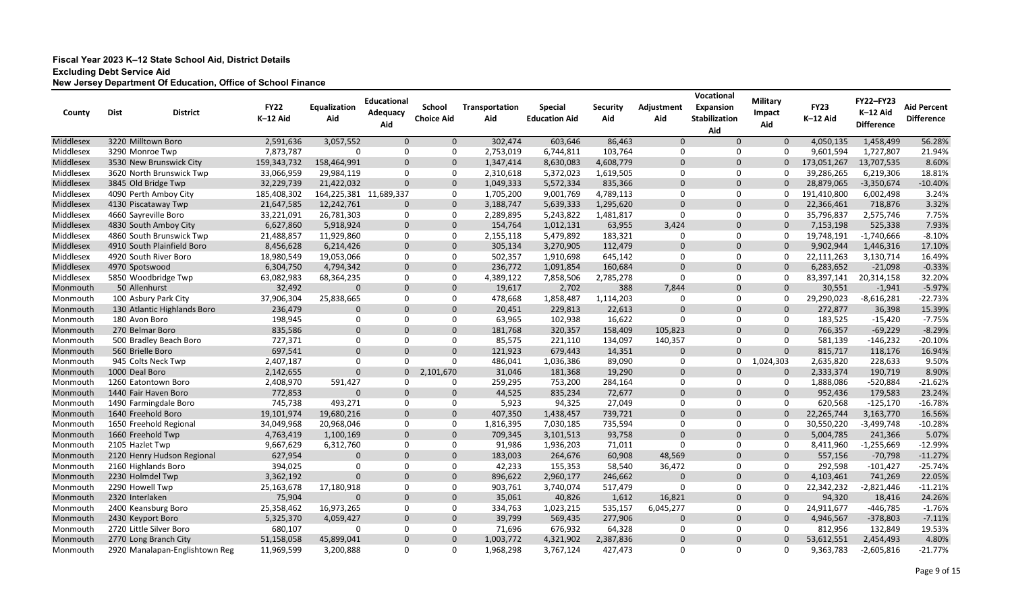| County    | <b>Dist</b><br><b>District</b> | <b>FY22</b> | Equalization           | <b>Educational</b><br>Adequacy | <b>School</b>     | Transportation | <b>Special</b>       | Security  | Adjustment  | Vocational<br><b>Expansion</b> | <b>Military</b><br><b>Impact</b> | <b>FY23</b> | FY22-FY23<br>K-12 Aid | <b>Aid Percent</b> |
|-----------|--------------------------------|-------------|------------------------|--------------------------------|-------------------|----------------|----------------------|-----------|-------------|--------------------------------|----------------------------------|-------------|-----------------------|--------------------|
|           |                                | K-12 Aid    | Aid                    | Aid                            | <b>Choice Aid</b> | Aid            | <b>Education Aid</b> | Aid       | Aid         | <b>Stabilization</b><br>Aid    | Aid                              | K-12 Aid    | <b>Difference</b>     | <b>Difference</b>  |
| Middlesex | 3220 Milltown Boro             | 2,591,636   | 3,057,552              | $\Omega$                       | $\mathbf 0$       | 302,474        | 603,646              | 86,463    | $\Omega$    | $\Omega$                       | $\mathbf 0$                      | 4,050,135   | 1,458,499             | 56.28%             |
| Middlesex | 3290 Monroe Twp                | 7,873,787   | $\Omega$               | 0                              | 0                 | 2,753,019      | 6,744,811            | 103,764   | 0           | 0                              | 0                                | 9,601,594   | 1,727,807             | 21.94%             |
| Middlesex | 3530 New Brunswick City        | 159,343,732 | 158,464,991            | $\mathbf 0$                    | $\mathbf 0$       | 1,347,414      | 8,630,083            | 4,608,779 | $\mathbf 0$ | $\mathbf 0$                    | $\mathbf{0}$                     | 173,051,267 | 13,707,535            | 8.60%              |
| Middlesex | 3620 North Brunswick Twp       | 33,066,959  | 29,984,119             | $\Omega$                       | 0                 | 2,310,618      | 5,372,023            | 1,619,505 | 0           | 0                              | 0                                | 39,286,265  | 6,219,306             | 18.81%             |
| Middlesex | 3845 Old Bridge Twp            | 32,229,739  | 21,422,032             | $\Omega$                       | $\overline{0}$    | 1,049,333      | 5,572,334            | 835,366   | $\Omega$    | $\Omega$                       |                                  | 28,879,065  | $-3,350,674$          | $-10.40%$          |
| Middlesex | 4090 Perth Amboy City          | 185,408,302 | 164,225,381 11,689,337 |                                | 0                 | 1,705,200      | 9,001,769            | 4,789,113 | 0           | 0                              | 0                                | 191,410,800 | 6,002,498             | 3.24%              |
| Middlesex | 4130 Piscataway Twp            | 21,647,585  | 12,242,761             | $\Omega$                       | $\overline{0}$    | 3,188,747      | 5,639,333            | 1,295,620 | $\mathbf 0$ | $\Omega$                       | $\mathbf{0}$                     | 22,366,461  | 718,876               | 3.32%              |
| Middlesex | 4660 Sayreville Boro           | 33,221,091  | 26,781,303             | 0                              | 0                 | 2,289,895      | 5,243,822            | 1,481,817 | $\Omega$    | $\Omega$                       | $\Omega$                         | 35,796,837  | 2,575,746             | 7.75%              |
| Middlesex | 4830 South Amboy City          | 6,627,860   | 5,918,924              | $\Omega$                       | $\mathbf 0$       | 154,764        | 1,012,131            | 63,955    | 3,424       | $\Omega$                       | $\Omega$                         | 7,153,198   | 525,338               | 7.93%              |
| Middlesex | 4860 South Brunswick Twp       | 21,488,857  | 11,929,860             | 0                              | 0                 | 2,155,118      | 5,479,892            | 183,321   | 0           | 0                              | $\mathbf 0$                      | 19,748,191  | $-1,740,666$          | $-8.10%$           |
| Middlesex | 4910 South Plainfield Boro     | 8,456,628   | 6,214,426              | $\mathbf 0$                    | $\mathbf 0$       | 305,134        | 3,270,905            | 112,479   | $\mathbf 0$ | $\mathbf 0$                    | $\mathbf 0$                      | 9,902,944   | 1,446,316             | 17.10%             |
| Middlesex | 4920 South River Boro          | 18,980,549  | 19,053,066             | 0                              | 0                 | 502,357        | 1,910,698            | 645,142   | 0           | 0                              | 0                                | 22,111,263  | 3,130,714             | 16.49%             |
| Middlesex | 4970 Spotswood                 | 6,304,750   | 4,794,342              | $\Omega$                       | $\overline{0}$    | 236,772        | 1,091,854            | 160,684   | $\mathbf 0$ | $\mathbf 0$                    | $\Omega$                         | 6,283,652   | $-21,098$             | $-0.33%$           |
| Middlesex | 5850 Woodbridge Twp            | 63,082,983  | 68,364,235             | 0                              | $\Omega$          | 4,389,122      | 7,858,506            | 2,785,278 | $\Omega$    | 0                              | $\Omega$                         | 83,397,141  | 20,314,158            | 32.20%             |
| Monmouth  | 50 Allenhurst                  | 32,492      | $\Omega$               | $\Omega$                       | $\overline{0}$    | 19,617         | 2,702                | 388       | 7,844       | $\Omega$                       | $\mathbf{0}$                     | 30,551      | $-1,941$              | $-5.97%$           |
| Monmouth  | 100 Asbury Park City           | 37,906,304  | 25,838,665             | $\mathbf 0$                    | 0                 | 478,668        | 1,858,487            | 1,114,203 | 0           | 0                              | $\Omega$                         | 29,290,023  | $-8,616,281$          | $-22.73%$          |
| Monmouth  | 130 Atlantic Highlands Boro    | 236,479     | $\Omega$               | $\Omega$                       | $\mathbf 0$       | 20,451         | 229,813              | 22,613    | $\Omega$    | $\Omega$                       | $\mathbf{0}$                     | 272,877     | 36,398                | 15.39%             |
| Monmouth  | 180 Avon Boro                  | 198,945     | 0                      | $\mathbf 0$                    | 0                 | 63,965         | 102,938              | 16,622    | $\Omega$    | 0                              | $\mathbf 0$                      | 183,525     | $-15,420$             | $-7.75%$           |
| Monmouth  | 270 Belmar Boro                | 835,586     | $\Omega$               | $\Omega$                       | $\mathbf 0$       | 181,768        | 320,357              | 158,409   | 105,823     | $\Omega$                       | $\mathbf{0}$                     | 766,357     | $-69,229$             | $-8.29%$           |
| Monmouth  | 500 Bradley Beach Boro         | 727,371     | 0                      | $\Omega$                       | 0                 | 85,575         | 221,110              | 134,097   | 140,357     | 0                              | $\mathbf 0$                      | 581,139     | $-146,232$            | $-20.10%$          |
| Monmouth  | 560 Brielle Boro               | 697,541     | $\Omega$               | $\Omega$                       | $\Omega$          | 121,923        | 679,443              | 14,351    | $\mathbf 0$ | $\Omega$                       | $\mathbf{0}$                     | 815,717     | 118,176               | 16.94%             |
| Monmouth  | 945 Colts Neck Twp             | 2,407,187   | $\Omega$               | $\mathbf{0}$                   | $\Omega$          | 486,041        | 1,036,386            | 89,090    | 0           | 0                              | 1,024,303                        | 2,635,820   | 228,633               | 9.50%              |
| Monmouth  | 1000 Deal Boro                 | 2,142,655   | $\Omega$               | $\mathbf{0}$                   | 2,101,670         | 31,046         | 181,368              | 19,290    | $\mathbf 0$ | $\Omega$                       | $\mathbf{0}$                     | 2,333,374   | 190,719               | 8.90%              |
| Monmouth  | 1260 Eatontown Boro            | 2,408,970   | 591,427                | $\Omega$                       | -0                | 259,295        | 753,200              | 284,164   | 0           | 0                              | 0                                | 1,888,086   | $-520,884$            | $-21.62%$          |
| Monmouth  | 1440 Fair Haven Boro           | 772,853     | $\Omega$               | $\Omega$                       | $\overline{0}$    | 44,525         | 835,234              | 72,677    | $\mathbf 0$ | $\Omega$                       | $\Omega$                         | 952,436     | 179,583               | 23.24%             |
| Monmouth  | 1490 Farmingdale Boro          | 745,738     | 493,271                | 0                              | 0                 | 5,923          | 94,325               | 27,049    | 0           | 0                              | $\Omega$                         | 620,568     | $-125,170$            | $-16.78%$          |
| Monmouth  | 1640 Freehold Boro             | 19,101,974  | 19,680,216             | $\mathbf 0$                    | $\overline{0}$    | 407,350        | 1,438,457            | 739,721   | $\mathbf 0$ | $\mathbf 0$                    | $\mathbf 0$                      | 22,265,744  | 3,163,770             | 16.56%             |
| Monmouth  | 1650 Freehold Regional         | 34,049,968  | 20,968,046             | $\mathbf 0$                    | 0                 | 1,816,395      | 7,030,185            | 735,594   | 0           | 0                              | 0                                | 30,550,220  | $-3,499,748$          | $-10.28%$          |
| Monmouth  | 1660 Freehold Twp              | 4,763,419   | 1,100,169              | $\Omega$                       | $\overline{0}$    | 709,345        | 3,101,513            | 93,758    | $\Omega$    | $\Omega$                       | $\Omega$                         | 5,004,785   | 241,366               | 5.07%              |
| Monmouth  | 2105 Hazlet Twp                | 9,667,629   | 6,312,760              | $\Omega$                       | $\Omega$          | 91,986         | 1,936,203            | 71,011    | $\Omega$    | 0                              | 0                                | 8,411,960   | $-1,255,669$          | $-12.99%$          |
| Monmouth  | 2120 Henry Hudson Regional     | 627,954     | $\Omega$               |                                | $\Omega$          | 183,003        | 264,676              | 60,908    | 48,569      | $\Omega$                       | $\Omega$                         | 557,156     | $-70,798$             | $-11.27%$          |
| Monmouth  | 2160 Highlands Boro            | 394,025     | 0                      | 0                              | 0                 | 42,233         | 155,353              | 58,540    | 36,472      | 0                              | 0                                | 292,598     | $-101,427$            | $-25.74%$          |
| Monmouth  | 2230 Holmdel Twp               | 3,362,192   | $\mathbf 0$            | $\overline{0}$                 | $\mathbf 0$       | 896,622        | 2,960,177            | 246,662   | $\mathbf 0$ | $\mathbf 0$                    | $\mathbf 0$                      | 4,103,461   | 741,269               | 22.05%             |
| Monmouth  | 2290 Howell Twp                | 25,163,678  | 17,180,918             | 0                              | $\overline{0}$    | 903,761        | 3,740,074            | 517,479   | 0           | 0                              | $\mathbf 0$                      | 22,342,232  | $-2,821,446$          | $-11.21%$          |
| Monmouth  | 2320 Interlaken                | 75,904      | 0                      | $\mathbf 0$                    | $\mathbf 0$       | 35,061         | 40,826               | 1,612     | 16,821      | $\mathbf 0$                    | $\mathbf 0$                      | 94,320      | 18,416                | 24.26%             |
| Monmouth  | 2400 Keansburg Boro            | 25,358,462  | 16,973,265             | $\boldsymbol{0}$               | $\mathbf 0$       | 334,763        | 1,023,215            | 535,157   | 6,045,277   | 0                              | 0                                | 24,911,677  | $-446,785$            | $-1.76%$           |
| Monmouth  | 2430 Keyport Boro              | 5,325,370   | 4,059,427              | $\overline{0}$                 | $\mathbf 0$       | 39,799         | 569,435              | 277,906   | $\mathbf 0$ | $\mathbf 0$                    | 0                                | 4,946,567   | $-378,803$            | $-7.11%$           |
| Monmouth  | 2720 Little Silver Boro        | 680,107     | 0                      | 0                              | 0                 | 71,696         | 676,932              | 64,328    | 0           | $\mathbf{0}$                   | 0                                | 812,956     | 132,849               | 19.53%             |
| Monmouth  | 2770 Long Branch City          | 51,158,058  | 45,899,041             | $\mathbf 0$                    | $\mathbf 0$       | 1,003,772      | 4,321,902            | 2,387,836 | $\mathbf 0$ | $\mathbf 0$                    | $\mathbf{0}$                     | 53,612,551  | 2,454,493             | 4.80%              |
| Monmouth  | 2920 Manalapan-Englishtown Reg | 11,969,599  | 3,200,888              | 0                              | 0                 | 1,968,298      | 3,767,124            | 427,473   | 0           | 0                              | 0                                | 9,363,783   | $-2,605,816$          | $-21.77%$          |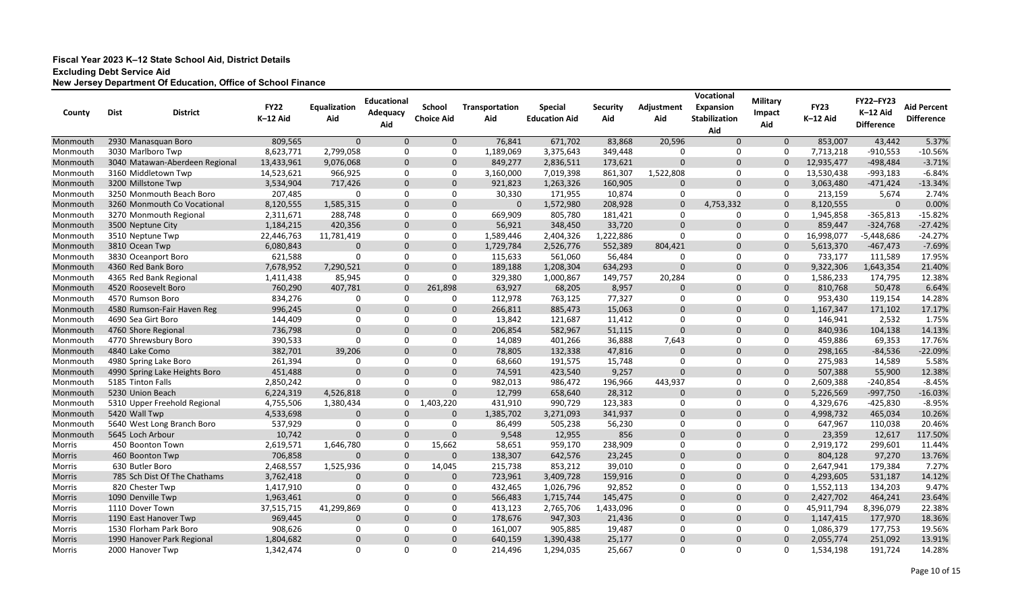| County        | <b>Dist</b> | <b>District</b>                | <b>FY22</b><br>K-12 Aid | Equalization<br>Aid | <b>Educational</b><br>Adequacy<br>Aid | <b>School</b><br><b>Choice Aid</b> | Transportation<br>Aid | <b>Special</b><br><b>Education Aid</b> | <b>Security</b><br>Aid | Adjustment<br>Aid | Vocational<br><b>Expansion</b><br><b>Stabilization</b><br>Aid | <b>Military</b><br>Impact<br>Aid | <b>FY23</b><br>K-12 Aid | <b>FY22-FY23</b><br>K-12 Aid<br><b>Difference</b> | <b>Aid Percent</b><br><b>Difference</b> |
|---------------|-------------|--------------------------------|-------------------------|---------------------|---------------------------------------|------------------------------------|-----------------------|----------------------------------------|------------------------|-------------------|---------------------------------------------------------------|----------------------------------|-------------------------|---------------------------------------------------|-----------------------------------------|
| Monmouth      |             | 2930 Manasquan Boro            | 809,565                 | $\mathbf 0$         | $\mathbf 0$                           | $\mathbf 0$                        | 76,841                | 671,702                                | 83,868                 | 20,596            | $\Omega$                                                      | $\mathbf 0$                      | 853,007                 | 43,442                                            | 5.37%                                   |
| Monmouth      |             | 3030 Marlboro Twp              | 8,623,771               | 2,799,058           | $\mathbf 0$                           | 0                                  | 1,189,069             | 3,375,643                              | 349,448                | 0                 | 0                                                             | 0                                | 7,713,218               | $-910,553$                                        | $-10.56%$                               |
| Monmouth      |             | 3040 Matawan-Aberdeen Regional | 13,433,961              | 9,076,068           | $\mathbf 0$                           | $\mathbf 0$                        | 849,277               | 2,836,511                              | 173,621                | $\mathbf 0$       | $\Omega$                                                      | $\Omega$                         | 12,935,477              | $-498,484$                                        | $-3.71%$                                |
| Monmouth      |             | 3160 Middletown Twp            | 14,523,621              | 966,925             | 0                                     | 0                                  | 3,160,000             | 7,019,398                              | 861,307                | 1,522,808         | 0                                                             | $\Omega$                         | 13,530,438              | $-993,183$                                        | $-6.84%$                                |
| Monmouth      |             | 3200 Millstone Twp             | 3,534,904               | 717,426             | $\Omega$                              | $\Omega$                           | 921,823               | 1,263,326                              | 160,905                | $\Omega$          | $\Omega$                                                      | $\Omega$                         | 3,063,480               | $-471,424$                                        | $-13.34%$                               |
| Monmouth      |             | 3250 Monmouth Beach Boro       | 207,485                 | $\Omega$            | $\Omega$                              | $\Omega$                           | 30,330                | 171,955                                | 10,874                 | 0                 | $\Omega$                                                      | 0                                | 213,159                 | 5,674                                             | 2.74%                                   |
| Monmouth      |             | 3260 Monmouth Co Vocational    | 8,120,555               | 1,585,315           | $\Omega$                              | $\Omega$                           | 0                     | 1,572,980                              | 208,928                | $\mathbf 0$       | 4,753,332                                                     | $\mathbf{0}$                     | 8,120,555               | $\mathbf 0$                                       | 0.00%                                   |
| Monmouth      |             | 3270 Monmouth Regional         | 2,311,671               | 288,748             | $\mathbf 0$                           | 0                                  | 669,909               | 805,780                                | 181,421                | 0                 | 0                                                             | $\mathbf 0$                      | 1,945,858               | $-365,813$                                        | $-15.82%$                               |
| Monmouth      |             | 3500 Neptune City              | 1,184,215               | 420,356             | $\Omega$                              | $\Omega$                           | 56,921                | 348,450                                | 33,720                 | $\mathbf 0$       | $\mathbf 0$                                                   | $\Omega$                         | 859,447                 | $-324,768$                                        | $-27.42%$                               |
| Monmouth      |             | 3510 Neptune Twp               | 22,446,763              | 11,781,419          | 0                                     | 0                                  | 1,589,446             | 2,404,326                              | 1,222,886              | $\Omega$          | 0                                                             | 0                                | 16,998,077              | -5,448,686                                        | $-24.27%$                               |
| Monmouth      |             | 3810 Ocean Twp                 | 6,080,843               | $\overline{0}$      | $\mathbf 0$                           | $\mathbf{0}$                       | 1,729,784             | 2,526,776                              | 552,389                | 804,421           | $\mathbf 0$                                                   | $\mathbf 0$                      | 5,613,370               | $-467,473$                                        | $-7.69%$                                |
| Monmouth      |             | 3830 Oceanport Boro            | 621,588                 | -0                  | 0                                     | 0                                  | 115,633               | 561,060                                | 56,484                 | 0                 | 0                                                             | 0                                | 733,177                 | 111,589                                           | 17.95%                                  |
| Monmouth      |             | 4360 Red Bank Boro             | 7,678,952               | 7,290,521           | $\mathbf 0$                           | $\Omega$                           | 189,188               | 1,208,304                              | 634,293                | $\mathbf 0$       | $\Omega$                                                      | $\mathbf{0}$                     | 9,322,306               | 1,643,354                                         | 21.40%                                  |
| Monmouth      |             | 4365 Red Bank Regional         | 1,411,438               | 85,945              | 0                                     | $\Omega$                           | 329,380               | 1,000,867                              | 149,757                | 20,284            | 0                                                             | 0                                | 1,586,233               | 174,795                                           | 12.38%                                  |
| Monmouth      |             | 4520 Roosevelt Boro            | 760,290                 | 407,781             | $\mathbf 0$                           | 261,898                            | 63,927                | 68,205                                 | 8,957                  | $\mathbf 0$       | $\Omega$                                                      | $\mathbf 0$                      | 810,768                 | 50,478                                            | 6.64%                                   |
| Monmouth      |             | 4570 Rumson Boro               | 834,276                 | -0                  | 0                                     | 0                                  | 112,978               | 763,125                                | 77,327                 | 0                 | 0                                                             | $\mathbf 0$                      | 953,430                 | 119,154                                           | 14.28%                                  |
| Monmouth      |             | 4580 Rumson-Fair Haven Reg     | 996,245                 | $\Omega$            | $\Omega$                              | $\Omega$                           | 266,811               | 885,473                                | 15,063                 | $\mathbf 0$       | $\Omega$                                                      | $\mathbf 0$                      | 1,167,347               | 171,102                                           | 17.17%                                  |
| Monmouth      |             | 4690 Sea Girt Boro             | 144,409                 | $\Omega$            | $\mathbf 0$                           | 0                                  | 13,842                | 121,687                                | 11,412                 | 0                 | 0                                                             | 0                                | 146,941                 | 2,532                                             | 1.75%                                   |
| Monmouth      |             | 4760 Shore Regional            | 736,798                 | $\mathbf 0$         | $\Omega$                              | $\Omega$                           | 206,854               | 582,967                                | 51,115                 | $\mathbf 0$       | $\Omega$                                                      | $\mathbf 0$                      | 840,936                 | 104,138                                           | 14.13%                                  |
| Monmouth      |             | 4770 Shrewsbury Boro           | 390,533                 | $\Omega$            | $\mathbf{0}$                          | 0                                  | 14,089                | 401,266                                | 36,888                 | 7,643             | 0                                                             | 0                                | 459,886                 | 69,353                                            | 17.76%                                  |
| Monmouth      |             | 4840 Lake Como                 | 382,701                 | 39,206              | $\Omega$                              | $\Omega$                           | 78,805                | 132,338                                | 47,816                 | $\Omega$          | $\Omega$                                                      | $\mathbf{0}$                     | 298,165                 | $-84,536$                                         | $-22.09%$                               |
| Monmouth      |             | 4980 Spring Lake Boro          | 261,394                 | -0                  | $\Omega$                              | $\Omega$                           | 68,660                | 191,575                                | 15,748                 | 0                 | $\Omega$                                                      | 0                                | 275,983                 | 14,589                                            | 5.58%                                   |
| Monmouth      |             | 4990 Spring Lake Heights Boro  | 451,488                 | $\Omega$            | $\Omega$                              | $\Omega$                           | 74,591                | 423,540                                | 9,257                  | $\Omega$          | $\Omega$                                                      | $\mathbf{0}$                     | 507,388                 | 55,900                                            | 12.38%                                  |
| Monmouth      |             | 5185 Tinton Falls              | 2,850,242               | -0                  | 0                                     | $\Omega$                           | 982,013               | 986,472                                | 196,966                | 443,937           | $\Omega$                                                      | $\mathbf 0$                      | 2,609,388               | $-240,854$                                        | $-8.45%$                                |
| Monmouth      |             | 5230 Union Beach               | 6,224,319               | 4,526,818           | $\Omega$                              | $\Omega$                           | 12,799                | 658,640                                | 28,312                 | $\mathbf 0$       | $\Omega$                                                      | $\mathbf 0$                      | 5,226,569               | $-997,750$                                        | $-16.03%$                               |
| Monmouth      |             | 5310 Upper Freehold Regional   | 4,755,506               | 1,380,434           | 0                                     | 1,403,220                          | 431,910               | 990,729                                | 123,383                | 0                 | 0                                                             | 0                                | 4,329,676               | $-425,830$                                        | $-8.95%$                                |
| Monmouth      |             | 5420 Wall Twp                  | 4,533,698               | $\overline{0}$      | $\Omega$                              | $\mathbf 0$                        | 1,385,702             | 3,271,093                              | 341,937                | $\mathbf 0$       | $\mathbf 0$                                                   | $\mathbf 0$                      | 4,998,732               | 465,034                                           | 10.26%                                  |
| Monmouth      |             | 5640 West Long Branch Boro     | 537,929                 | -0                  | 0                                     | 0                                  | 86,499                | 505,238                                | 56,230                 | 0                 | 0                                                             | 0                                | 647,967                 | 110,038                                           | 20.46%                                  |
| Monmouth      |             | 5645 Loch Arbour               | 10,742                  | $\Omega$            | $\Omega$                              | $\Omega$                           | 9,548                 | 12,955                                 | 856                    | $\Omega$          | $\Omega$                                                      | $\Omega$                         | 23,359                  | 12,617                                            | 117.50%                                 |
| Morris        |             | 450 Boonton Town               | 2,619,571               | 1,646,780           | -0                                    | 15,662                             | 58,651                | 959,170                                | 238,909                | $\Omega$          | $\Omega$                                                      | $\Omega$                         | 2,919,172               | 299,601                                           | 11.44%                                  |
| Morris        |             | 460 Boonton Twp                | 706,858                 | $\Omega$            | $\Omega$                              | $\Omega$                           | 138,307               | 642,576                                | 23,245                 | $\Omega$          | $\Omega$                                                      | $\Omega$                         | 804,128                 | 97,270                                            | 13.76%                                  |
| Morris        |             | 630 Butler Boro                | 2,468,557               | 1,525,936           | 0                                     | 14,045                             | 215,738               | 853,212                                | 39,010                 | 0                 | 0                                                             | 0                                | 2,647,941               | 179,384                                           | 7.27%                                   |
| <b>Morris</b> |             | 785 Sch Dist Of The Chathams   | 3,762,418               | $\mathbf 0$         | $\mathbf 0$                           | $\mathbf 0$                        | 723,961               | 3,409,728                              | 159,916                | $\mathbf 0$       | $\mathbf 0$                                                   | $\mathbf 0$                      | 4,293,605               | 531,187                                           | 14.12%                                  |
| Morris        |             | 820 Chester Twp                | 1,417,910               | $\boldsymbol{0}$    | 0                                     | 0                                  | 432,465               | 1,026,796                              | 92,852                 | 0                 | 0                                                             | $\mathbf 0$                      | 1,552,113               | 134,203                                           | 9.47%                                   |
| <b>Morris</b> |             | 1090 Denville Twp              | 1,963,461               | $\mathbf 0$         | $\mathbf 0$                           | $\mathbf 0$                        | 566,483               | 1,715,744                              | 145,475                | $\mathbf{0}$      | $\mathbf 0$                                                   | $\mathbf 0$                      | 2,427,702               | 464,241                                           | 23.64%                                  |
| Morris        |             | 1110 Dover Town                | 37,515,715              | 41,299,869          | $\mathbf 0$                           | 0                                  | 413,123               | 2,765,706                              | 1,433,096              | 0                 | 0                                                             | 0                                | 45,911,794              | 8,396,079                                         | 22.38%                                  |
| <b>Morris</b> |             | 1190 East Hanover Twp          | 969,445                 | $\mathbf 0$         | $\mathbf 0$                           | $\mathbf 0$                        | 178,676               | 947,303                                | 21,436                 | $\mathbf 0$       | $\mathbf 0$                                                   | $\mathbf 0$                      | 1,147,415               | 177,970                                           | 18.36%                                  |
| Morris        |             | 1530 Florham Park Boro         | 908,626                 | -0                  | 0                                     | 0                                  | 161,007               | 905,885                                | 19,487                 | 0                 | 0                                                             | 0                                | 1,086,379               | 177,753                                           | 19.56%                                  |
| <b>Morris</b> |             | 1990 Hanover Park Regional     | 1,804,682               | $\mathbf 0$         | $\mathbf 0$                           | $\mathbf 0$                        | 640,159               | 1,390,438                              | 25,177                 | $\mathbf{0}$      | $\mathbf 0$                                                   | $\overline{0}$                   | 2,055,774               | 251,092                                           | 13.91%                                  |
| Morris        |             | 2000 Hanover Twp               | 1,342,474               | $\mathbf 0$         | $\mathbf 0$                           | 0                                  | 214,496               | 1,294,035                              | 25,667                 | 0                 | 0                                                             | $\mathbf 0$                      | 1,534,198               | 191,724                                           | 14.28%                                  |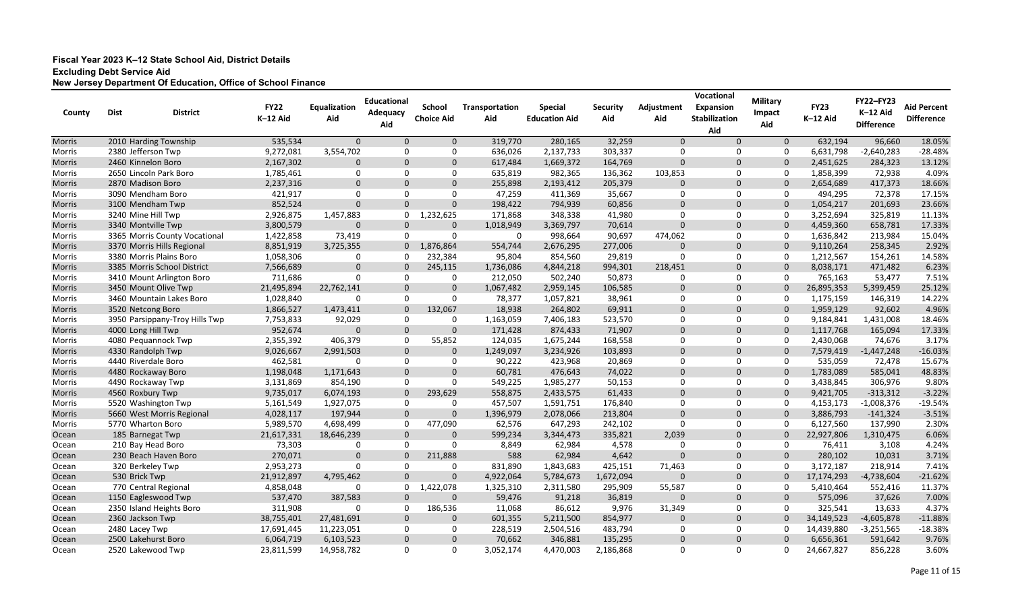| County        | <b>Dist</b> | <b>District</b>                | <b>FY22</b><br>K-12 Aid | Equalization<br>Aid | <b>Educational</b><br>Adequacy<br>Aid | <b>School</b><br><b>Choice Aid</b> | Transportation<br>Aid | <b>Special</b><br><b>Education Aid</b> | <b>Security</b><br>Aid | Adjustment<br>Aid | Vocational<br><b>Expansion</b><br><b>Stabilization</b> | <b>Military</b><br>Impact<br>Aid | <b>FY23</b><br>K-12 Aid | <b>FY22-FY23</b><br>K-12 Aid<br><b>Difference</b> | <b>Aid Percent</b><br><b>Difference</b> |
|---------------|-------------|--------------------------------|-------------------------|---------------------|---------------------------------------|------------------------------------|-----------------------|----------------------------------------|------------------------|-------------------|--------------------------------------------------------|----------------------------------|-------------------------|---------------------------------------------------|-----------------------------------------|
| Morris        |             | 2010 Harding Township          | 535,534                 | $\mathbf 0$         | $\mathbf{0}$                          | $\mathbf 0$                        | 319,770               | 280,165                                | 32,259                 | $\mathbf 0$       | Aid<br>$\Omega$                                        | $\mathbf 0$                      | 632,194                 | 96,660                                            | 18.05%                                  |
| Morris        |             | 2380 Jefferson Twp             | 9,272,081               | 3,554,702           | $\Omega$                              | $\Omega$                           | 636,026               | 2,137,733                              | 303,337                | 0                 | 0                                                      | 0                                | 6,631,798               | $-2,640,283$                                      | $-28.48%$                               |
| <b>Morris</b> |             | 2460 Kinnelon Boro             | 2,167,302               | $\Omega$            | $\Omega$                              | $\Omega$                           | 617,484               | 1,669,372                              | 164,769                | $\mathbf 0$       | $\Omega$                                               | $\Omega$                         | 2,451,625               | 284,323                                           | 13.12%                                  |
| Morris        |             | 2650 Lincoln Park Boro         | 1,785,461               | $\Omega$            | $\mathbf{0}$                          | $\Omega$                           | 635,819               | 982,365                                | 136,362                | 103,853           | 0                                                      | 0                                | 1,858,399               | 72,938                                            | 4.09%                                   |
| <b>Morris</b> |             | 2870 Madison Boro              | 2,237,316               | $\Omega$            | $\overline{0}$                        | $\Omega$                           | 255,898               | 2,193,412                              | 205,379                | $\mathbf{0}$      | $\Omega$                                               | $\mathbf{0}$                     | 2,654,689               | 417,373                                           | 18.66%                                  |
| Morris        |             | 3090 Mendham Boro              | 421,917                 | $\Omega$            | $\Omega$                              | $\Omega$                           | 47,259                | 411,369                                | 35,667                 | 0                 | $\mathbf{0}$                                           | 0                                | 494,295                 | 72,378                                            | 17.15%                                  |
| <b>Morris</b> |             | 3100 Mendham Twp               | 852,524                 | $\mathbf{0}$        | $\Omega$                              | $\Omega$                           | 198,422               | 794,939                                | 60,856                 | $\mathbf 0$       | $\Omega$                                               | $\mathbf{0}$                     | 1,054,217               | 201,693                                           | 23.66%                                  |
| Morris        |             | 3240 Mine Hill Twp             | 2,926,875               | 1,457,883           | 0                                     | 1,232,625                          | 171,868               | 348,338                                | 41,980                 | 0                 | $\mathbf{0}$                                           | 0                                | 3,252,694               | 325,819                                           | 11.13%                                  |
| <b>Morris</b> |             | 3340 Montville Twp             | 3,800,579               | $\Omega$            | $\mathbf 0$                           | 0                                  | 1,018,949             | 3,369,797                              | 70,614                 | $\mathbf 0$       | $\Omega$                                               | $\mathbf 0$                      | 4,459,360               | 658,781                                           | 17.33%                                  |
| Morris        |             | 3365 Morris County Vocational  | 1,422,858               | 73,419              | 0                                     | $\Omega$                           | 0                     | 998,664                                | 90,697                 | 474,062           | 0                                                      | 0                                | 1,636,842               | 213,984                                           | 15.04%                                  |
| <b>Morris</b> |             | 3370 Morris Hills Regional     | 8,851,919               | 3,725,355           | $\mathbf 0$                           | 1,876,864                          | 554,744               | 2,676,295                              | 277,006                | $\mathbf 0$       | $\mathbf 0$                                            | $\mathbf 0$                      | 9,110,264               | 258,345                                           | 2.92%                                   |
| Morris        |             | 3380 Morris Plains Boro        | 1,058,306               | 0                   | -0                                    | 232,384                            | 95,804                | 854,560                                | 29,819                 | 0                 | 0                                                      | 0                                | 1,212,567               | 154,261                                           | 14.58%                                  |
| Morris        |             | 3385 Morris School District    | 7,566,689               | $\Omega$            | $\Omega$                              | 245,115                            | 1,736,086             | 4,844,218                              | 994,301                | 218,451           | $\mathbf{0}$                                           | $\mathbf{0}$                     | 8,038,171               | 471,482                                           | 6.23%                                   |
| Morris        |             | 3410 Mount Arlington Boro      | 711,686                 | $\Omega$            | $\Omega$                              | $\Omega$                           | 212,050               | 502,240                                | 50,873                 | 0                 | 0                                                      | 0                                | 765,163                 | 53,477                                            | 7.51%                                   |
| <b>Morris</b> |             | 3450 Mount Olive Twp           | 21,495,894              | 22,762,141          | $\mathbf 0$                           | $\mathbf 0$                        | 1,067,482             | 2,959,145                              | 106,585                | $\mathbf 0$       | $\mathbf{0}$                                           | $\Omega$                         | 26,895,353              | 5,399,459                                         | 25.12%                                  |
| Morris        |             | 3460 Mountain Lakes Boro       | 1,028,840               | 0                   | $\Omega$                              | 0                                  | 78,377                | 1,057,821                              | 38,961                 | 0                 | 0                                                      | 0                                | 1,175,159               | 146,319                                           | 14.22%                                  |
| <b>Morris</b> |             | 3520 Netcong Boro              | 1,866,527               | 1,473,411           | $\mathbf 0$                           | 132,067                            | 18,938                | 264,802                                | 69,911                 | $\mathbf 0$       | $\Omega$                                               | $\mathbf{0}$                     | 1,959,129               | 92,602                                            | 4.96%                                   |
| Morris        |             | 3950 Parsippany-Troy Hills Twp | 7,753,833               | 92,029              | 0                                     | 0                                  | 1,163,059             | 7,406,183                              | 523,570                | 0                 | 0                                                      | 0                                | 9,184,841               | 1,431,008                                         | 18.46%                                  |
| <b>Morris</b> |             | 4000 Long Hill Twp             | 952,674                 | $\Omega$            | $\mathbf 0$                           | $\Omega$                           | 171,428               | 874,433                                | 71,907                 | $\mathbf 0$       | $\mathbf 0$                                            | $\mathbf 0$                      | 1,117,768               | 165,094                                           | 17.33%                                  |
| Morris        |             | 4080 Pequannock Twp            | 2,355,392               | 406,379             | 0                                     | 55,852                             | 124,035               | 1,675,244                              | 168,558                | 0                 | 0                                                      | 0                                | 2,430,068               | 74,676                                            | 3.17%                                   |
| <b>Morris</b> |             | 4330 Randolph Twp              | 9,026,667               | 2,991,503           | $\mathbf{0}$                          | $\Omega$                           | 1,249,097             | 3,234,926                              | 103,893                | $\mathbf 0$       | $\Omega$                                               | $\Omega$                         | 7,579,419               | $-1,447,248$                                      | $-16.03%$                               |
| Morris        |             | 4440 Riverdale Boro            | 462,581                 | - 0                 | $\Omega$                              | $\Omega$                           | 90,222                | 423,968                                | 20,869                 | 0                 | $\Omega$                                               | $\Omega$                         | 535,059                 | 72,478                                            | 15.67%                                  |
| <b>Morris</b> |             | 4480 Rockaway Boro             | 1,198,048               | 1,171,643           | $\mathbf 0$                           | $\Omega$                           | 60,781                | 476,643                                | 74,022                 | $\mathbf 0$       | $\Omega$                                               | $\mathbf{0}$                     | 1,783,089               | 585,041                                           | 48.83%                                  |
| Morris        |             | 4490 Rockaway Twp              | 3,131,869               | 854,190             | 0                                     | $\Omega$                           | 549,225               | 1,985,277                              | 50,153                 | 0                 | $\mathbf{0}$                                           | 0                                | 3,438,845               | 306,976                                           | 9.80%                                   |
| <b>Morris</b> |             | 4560 Roxbury Twp               | 9,735,017               | 6,074,193           | $\mathbf 0$                           | 293,629                            | 558,875               | 2,433,575                              | 61,433                 | $\mathbf 0$       | $\mathbf{0}$                                           | $\mathbf{0}$                     | 9,421,705               | $-313,312$                                        | $-3.22%$                                |
| Morris        |             | 5520 Washington Twp            | 5,161,549               | 1,927,075           | 0                                     | 0                                  | 457,507               | 1,591,751                              | 176,840                | 0                 | 0                                                      | 0                                | 4,153,173               | $-1,008,376$                                      | $-19.54%$                               |
| <b>Morris</b> |             | 5660 West Morris Regional      | 4,028,117               | 197,944             | $\mathbf 0$                           | $\Omega$                           | 1,396,979             | 2,078,066                              | 213,804                | $\mathbf 0$       | $\mathbf 0$                                            | $\mathbf 0$                      | 3,886,793               | $-141,324$                                        | $-3.51%$                                |
| Morris        |             | 5770 Wharton Boro              | 5,989,570               | 4,698,499           | -0                                    | 477,090                            | 62,576                | 647,293                                | 242,102                | 0                 | 0                                                      | 0                                | 6,127,560               | 137,990                                           | 2.30%                                   |
| Ocean         |             | 185 Barnegat Twp               | 21,617,331              | 18,646,239          | $\Omega$                              | $\Omega$                           | 599,234               | 3,344,473                              | 335,821                | 2,039             | $\Omega$                                               | $\Omega$                         | 22,927,806              | 1,310,475                                         | 6.06%                                   |
| Ocean         |             | 210 Bay Head Boro              | 73,303                  | $\Omega$            | <u>_ N</u>                            |                                    | 8,849                 | 62,984                                 | 4,578                  | 0                 | $\Omega$                                               | $\Omega$                         | 76,411                  | 3,108                                             | 4.24%                                   |
| Ocean         |             | 230 Beach Haven Boro           | 270,071                 | $\Omega$            | $\Omega$                              | 211,888                            | 588                   | 62,984                                 | 4,642                  | $\Omega$          | $\Omega$                                               | $\Omega$                         | 280,102                 | 10,031                                            | 3.71%                                   |
| Ocean         |             | 320 Berkeley Twp               | 2,953,273               | 0                   | 0                                     | 0                                  | 831,890               | 1,843,683                              | 425,151                | 71,463            | 0                                                      | 0                                | 3,172,187               | 218,914                                           | 7.41%                                   |
| Ocean         |             | 530 Brick Twp                  | 21,912,897              | 4,795,462           | $\mathbf{0}$                          | $\mathbf 0$                        | 4,922,064             | 5,784,673                              | 1,672,094              | $\mathbf 0$       | $\overline{0}$                                         | $\mathbf 0$                      | 17,174,293              | $-4,738,604$                                      | $-21.62%$                               |
| Ocean         |             | 770 Central Regional           | 4,858,048               | 0                   | $\mathbf 0$                           | 1,422,078                          | 1,325,310             | 2,311,580                              | 295,909                | 55,587            | $\mathbf 0$                                            | $\mathbf 0$                      | 5,410,464               | 552,416                                           | 11.37%                                  |
| Ocean         |             | 1150 Eagleswood Twp            | 537,470                 | 387,583             | $\mathbf 0$                           | $\mathbf 0$                        | 59,476                | 91,218                                 | 36,819                 | $\mathbf 0$       | $\mathbf 0$                                            | $\mathbf 0$                      | 575,096                 | 37,626                                            | 7.00%                                   |
| Ocean         |             | 2350 Island Heights Boro       | 311,908                 | $\mathbf 0$         | 0                                     | 186,536                            | 11,068                | 86,612                                 | 9,976                  | 31,349            | $\mathbf 0$                                            | 0                                | 325,541                 | 13,633                                            | 4.37%                                   |
| Ocean         |             | 2360 Jackson Twp               | 38,755,401              | 27,481,691          | $\mathbf 0$                           | 0                                  | 601,355               | 5,211,500                              | 854,977                | $\mathbf 0$       | $\mathbf 0$                                            | $\mathbf{0}$                     | 34,149,523              | $-4,605,878$                                      | $-11.88%$                               |
| Ocean         |             | 2480 Lacey Twp                 | 17,691,445              | 11,223,051          | $\mathbf 0$                           | 0                                  | 228,519               | 2,504,516                              | 483,794                | $\mathbf 0$       | 0                                                      | 0                                | 14,439,880              | $-3,251,565$                                      | $-18.38%$                               |
| Ocean         |             | 2500 Lakehurst Boro            | 6,064,719               | 6,103,523           | $\mathbf 0$                           | $\mathbf 0$                        | 70,662                | 346,881                                | 135,295                | $\mathbf{0}$      | $\mathbf 0$                                            | $\mathbf{0}$                     | 6,656,361               | 591,642                                           | 9.76%                                   |
| Ocean         |             | 2520 Lakewood Twp              | 23,811,599              | 14,958,782          | $\mathbf 0$                           | 0                                  | 3,052,174             | 4,470,003                              | 2,186,868              | 0                 | 0                                                      | $\mathbf 0$                      | 24,667,827              | 856,228                                           | 3.60%                                   |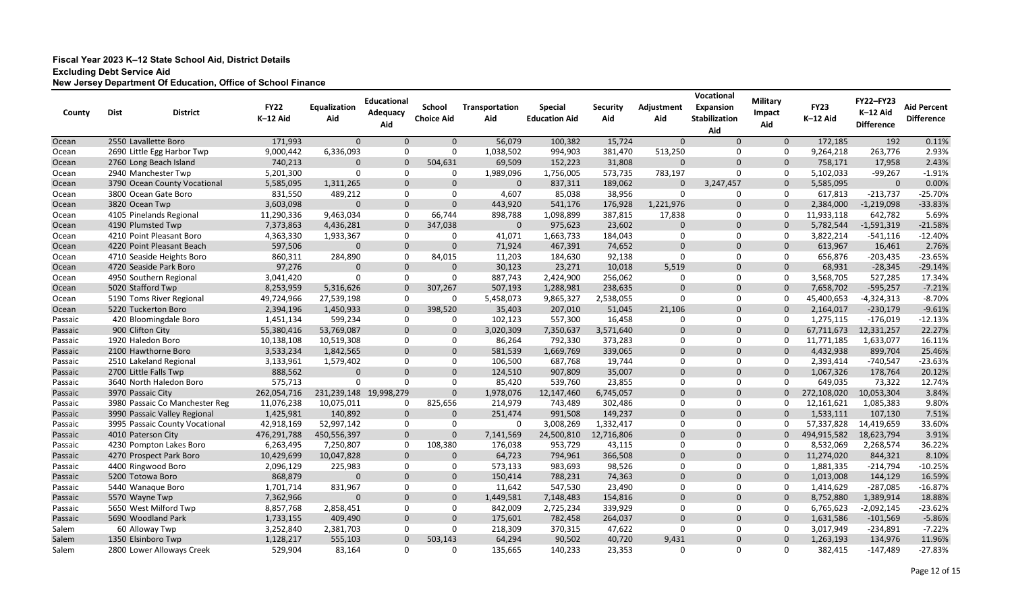| County  | <b>Dist</b> | <b>District</b>                | <b>FY22</b><br>K-12 Aid | Equalization<br>Aid | <b>Educational</b><br>Adequacy<br>Aid | <b>School</b><br><b>Choice Aid</b> | <b>Transportation</b><br>Aid | <b>Special</b><br><b>Education Aid</b> | <b>Security</b><br>Aid | Adjustment<br>Aid | Vocational<br><b>Expansion</b><br><b>Stabilization</b><br>Aid | <b>Military</b><br>Impact<br>Aid | <b>FY23</b><br>K-12 Aid | <b>FY22-FY23</b><br>K-12 Aid<br><b>Difference</b> | <b>Aid Percent</b><br><b>Difference</b> |
|---------|-------------|--------------------------------|-------------------------|---------------------|---------------------------------------|------------------------------------|------------------------------|----------------------------------------|------------------------|-------------------|---------------------------------------------------------------|----------------------------------|-------------------------|---------------------------------------------------|-----------------------------------------|
| Ocean   |             | 2550 Lavallette Boro           | 171,993                 | $\Omega$            | $\Omega$                              | $\Omega$                           | 56,079                       | 100,382                                | 15,724                 | $\mathbf{0}$      | $\Omega$                                                      | $\mathbf 0$                      | 172,185                 | 192                                               | 0.11%                                   |
| Ocean   |             | 2690 Little Egg Harbor Twp     | 9,000,442               | 6,336,093           | $\Omega$                              | 0                                  | 1,038,502                    | 994,903                                | 381,470                | 513,250           | 0                                                             | 0                                | 9,264,218               | 263,776                                           | 2.93%                                   |
| Ocean   |             | 2760 Long Beach Island         | 740,213                 |                     | $\Omega$                              | 504,631                            | 69,509                       | 152,223                                | 31,808                 | $\mathbf{0}$      | $\Omega$                                                      | $\Omega$                         | 758,171                 | 17,958                                            | 2.43%                                   |
| Ocean   |             | 2940 Manchester Twp            | 5,201,300               | $\Omega$            | $\Omega$                              | $\Omega$                           | 1,989,096                    | 1,756,005                              | 573,735                | 783,197           | 0                                                             | 0                                | 5,102,033               | $-99,267$                                         | $-1.91%$                                |
| Ocean   |             | 3790 Ocean County Vocational   | 5,585,095               | 1,311,265           | $\Omega$                              | $\Omega$                           | $\Omega$                     | 837,311                                | 189,062                | $\Omega$          | 3,247,457                                                     | $\mathbf{0}$                     | 5,585,095               | $\Omega$                                          | 0.00%                                   |
| Ocean   |             | 3800 Ocean Gate Boro           | 831,550                 | 489,212             | $\Omega$                              | $\Omega$                           | 4,607                        | 85,038                                 | 38,956                 | 0                 | 0                                                             | $\Omega$                         | 617,813                 | $-213,737$                                        | $-25.70%$                               |
| Ocean   |             | 3820 Ocean Twp                 | 3,603,098               | $\Omega$            | $\Omega$                              | $\Omega$                           | 443,920                      | 541,176                                | 176,928                | 1,221,976         | $\mathbf 0$                                                   | $\Omega$                         | 2,384,000               | $-1,219,098$                                      | $-33.83%$                               |
| Ocean   |             | 4105 Pinelands Regional        | 11,290,336              | 9,463,034           | $\Omega$                              | 66,744                             | 898,788                      | 1,098,899                              | 387,815                | 17,838            | 0                                                             | 0                                | 11,933,118              | 642,782                                           | 5.69%                                   |
| Ocean   |             | 4190 Plumsted Twp              | 7,373,863               | 4,436,281           | $\Omega$                              | 347,038                            | $\Omega$                     | 975,623                                | 23,602                 | $\mathbf 0$       | $\mathbf{0}$                                                  | $\mathbf{0}$                     | 5,782,544               | $-1,591,319$                                      | $-21.58%$                               |
| Ocean   |             | 4210 Point Pleasant Boro       | 4,363,330               | 1,933,367           | $\Omega$                              | 0                                  | 41,071                       | 1,663,733                              | 184,043                | 0                 | 0                                                             | 0                                | 3,822,214               | $-541,116$                                        | $-12.40%$                               |
| Ocean   |             | 4220 Point Pleasant Beach      | 597,506                 | $\Omega$            | $\mathbf 0$                           | $\mathbf 0$                        | 71,924                       | 467,391                                | 74,652                 | $\mathbf 0$       | $\mathbf 0$                                                   | $\mathbf 0$                      | 613,967                 | 16,461                                            | 2.76%                                   |
| Ocean   |             | 4710 Seaside Heights Boro      | 860,311                 | 284,890             | $\Omega$                              | 84,015                             | 11,203                       | 184,630                                | 92,138                 | 0                 | 0                                                             | 0                                | 656,876                 | $-203,435$                                        | $-23.65%$                               |
| Ocean   |             | 4720 Seaside Park Boro         | 97,276                  | $\Omega$            | $\Omega$                              | $\Omega$                           | 30,123                       | 23,271                                 | 10,018                 | 5,519             | $\mathbf 0$                                                   | $\mathbf{0}$                     | 68,931                  | $-28,345$                                         | $-29.14%$                               |
| Ocean   |             | 4950 Southern Regional         | 3,041,420               | $\Omega$            | $\Omega$                              | $\Omega$                           | 887,743                      | 2,424,900                              | 256,062                | 0                 | 0                                                             | 0                                | 3,568,705               | 527,285                                           | 17.34%                                  |
| Ocean   |             | 5020 Stafford Twp              | 8,253,959               | 5,316,626           | $\Omega$                              | 307,267                            | 507,193                      | 1,288,981                              | 238,635                | $\mathbf 0$       | $\mathbf 0$                                                   | $\mathbf 0$                      | 7,658,702               | $-595,257$                                        | $-7.21%$                                |
| Ocean   |             | 5190 Toms River Regional       | 49,724,966              | 27,539,198          | $\Omega$                              | 0                                  | 5,458,073                    | 9,865,327                              | 2,538,055              | 0                 | 0                                                             | 0                                | 45,400,653              | -4,324,313                                        | $-8.70%$                                |
| Ocean   |             | 5220 Tuckerton Boro            | 2,394,196               | 1,450,933           | $\Omega$                              | 398,520                            | 35,403                       | 207,010                                | 51,045                 | 21,106            | $\mathbf 0$                                                   | $\mathbf{0}$                     | 2,164,017               | $-230,179$                                        | $-9.61%$                                |
| Passaic |             | 420 Bloomingdale Boro          | 1,451,134               | 599,234             | $\Omega$                              | 0                                  | 102,123                      | 557,300                                | 16,458                 | 0                 | $\mathbf 0$                                                   | 0                                | 1,275,115               | $-176,019$                                        | $-12.13%$                               |
| Passaic |             | 900 Clifton City               | 55,380,416              | 53,769,087          | $\mathbf 0$                           | $\Omega$                           | 3,020,309                    | 7,350,637                              | 3,571,640              | $\mathbf 0$       | $\mathbf 0$                                                   | $\Omega$                         | 67,711,673              | 12,331,257                                        | 22.27%                                  |
| Passaic |             | 1920 Haledon Boro              | 10,138,108              | 10,519,308          | 0                                     | 0                                  | 86,264                       | 792,330                                | 373,283                | 0                 | 0                                                             | 0                                | 11,771,185              | 1,633,077                                         | 16.11%                                  |
| Passaic |             | 2100 Hawthorne Boro            | 3,533,234               | 1,842,565           | $\Omega$                              | $\Omega$                           | 581,539                      | 1,669,769                              | 339,065                | $\mathbf{0}$      | $\Omega$                                                      | $\Omega$                         | 4,432,938               | 899,704                                           | 25.46%                                  |
| Passaic |             | 2510 Lakeland Regional         | 3,133,961               | 1,579,402           | $\Omega$                              | $\Omega$                           | 106,500                      | 687,768                                | 19,744                 | 0                 | 0                                                             | $\Omega$                         | 2,393,414               | $-740,547$                                        | $-23.63%$                               |
| Passaic |             | 2700 Little Falls Twp          | 888,562                 | $\Omega$            | $\Omega$                              | $\Omega$                           | 124,510                      | 907,809                                | 35,007                 | $\mathbf 0$       | $\mathbf 0$                                                   | $\mathbf{0}$                     | 1,067,326               | 178,764                                           | 20.12%                                  |
| Passaic |             | 3640 North Haledon Boro        | 575,713                 | $\Omega$            | $\Omega$                              | 0                                  | 85,420                       | 539,760                                | 23,855                 | 0                 | $\mathbf{0}$                                                  | $\Omega$                         | 649,035                 | 73,322                                            | 12.74%                                  |
| Passaic |             | 3970 Passaic City              | 262,054,716             | 231,239,148         | 19,998,279                            | $\Omega$                           | 1,978,076                    | 12,147,460                             | 6,745,057              | $\mathbf{0}$      | $\mathbf 0$                                                   | $\mathbf{0}$                     | 272,108,020             | 10,053,304                                        | 3.84%                                   |
| Passaic |             | 3980 Passaic Co Manchester Reg | 11,076,238              | 10,075,011          | 0                                     | 825,656                            | 214,979                      | 743,489                                | 302,486                | 0                 | 0                                                             | 0                                | 12,161,621              | 1,085,383                                         | 9.80%                                   |
| Passaic |             | 3990 Passaic Valley Regional   | 1,425,981               | 140,892             | $\mathbf 0$                           | $\mathbf 0$                        | 251,474                      | 991,508                                | 149,237                | $\mathbf 0$       | $\mathbf 0$                                                   | $\mathbf 0$                      | 1,533,111               | 107,130                                           | 7.51%                                   |
| Passaic |             | 3995 Passaic County Vocational | 42,918,169              | 52,997,142          | 0                                     | 0                                  | $\Omega$                     | 3,008,269                              | 1,332,417              | 0                 | 0                                                             | $\Omega$                         | 57,337,828              | 14,419,659                                        | 33.60%                                  |
| Passaic |             | 4010 Paterson City             | 476,291,788             | 450,556,397         | $\Omega$                              | $\Omega$                           | 7,141,569                    | 24,500,810                             | 12,716,806             | $\mathbf 0$       | $\Omega$                                                      | $\Omega$                         | 494,915,582             | 18,623,794                                        | 3.91%                                   |
| Passaic |             | 4230 Pompton Lakes Boro        | 6,263,495               | 7,250,807           | $\Omega$                              | 108,380                            | 176,038                      | 953,729                                | 43,115                 | 0                 | $\Omega$                                                      | $\Omega$                         | 8,532,069               | 2,268,574                                         | 36.22%                                  |
| Passaic |             | 4270 Prospect Park Boro        | 10,429,699              | 10,047,828          | $\Omega$                              | $\Omega$                           | 64,723                       | 794,961                                | 366,508                | $\Omega$          | $\Omega$                                                      | $\Omega$                         | 11,274,020              | 844,321                                           | 8.10%                                   |
| Passaic |             | 4400 Ringwood Boro             | 2,096,129               | 225,983             | 0                                     | 0                                  | 573,133                      | 983,693                                | 98,526                 | 0                 | 0                                                             | 0                                | 1,881,335               | $-214,794$                                        | $-10.25%$                               |
| Passaic |             | 5200 Totowa Boro               | 868,879                 | $\Omega$            | $\mathbf 0$                           | $\mathbf 0$                        | 150,414                      | 788,231                                | 74,363                 | $\mathbf 0$       | $\mathbf{0}$                                                  | $\mathbf{0}$                     | 1,013,008               | 144,129                                           | 16.59%                                  |
| Passaic |             | 5440 Wanaque Boro              | 1,701,714               | 831,967             | 0                                     | 0                                  | 11,642                       | 547,530                                | 23,490                 | 0                 | 0                                                             | 0                                | 1,414,629               | $-287,085$                                        | $-16.87%$                               |
| Passaic |             | 5570 Wayne Twp                 | 7,362,966               | $\mathbf 0$         | $\mathbf 0$                           | $\mathbf 0$                        | 1,449,581                    | 7,148,483                              | 154,816                | $\mathbf 0$       | $\mathbf 0$                                                   | $\mathbf 0$                      | 8,752,880               | 1,389,914                                         | 18.88%                                  |
| Passaic |             | 5650 West Milford Twp          | 8,857,768               | 2,858,451           | 0                                     | 0                                  | 842,009                      | 2,725,234                              | 339,929                | 0                 | 0                                                             | 0                                | 6,765,623               | $-2,092,145$                                      | $-23.62%$                               |
| Passaic |             | 5690 Woodland Park             | 1,733,155               | 409,490             | $\mathbf 0$                           | $\mathbf 0$                        | 175,601                      | 782,458                                | 264,037                | $\mathbf 0$       | $\mathbf 0$                                                   | $\mathbf{0}$                     | 1,631,586               | $-101,569$                                        | $-5.86%$                                |
| Salem   |             | 60 Alloway Twp                 | 3,252,840               | 2,381,703           | 0                                     | 0                                  | 218,309                      | 370,315                                | 47,622                 | 0                 | 0                                                             | 0                                | 3,017,949               | $-234,891$                                        | $-7.22%$                                |
| Salem   |             | 1350 Elsinboro Twp             | 1,128,217               | 555,103             | $\mathbf 0$                           | 503,143                            | 64,294                       | 90,502                                 | 40,720                 | 9,431             | $\mathbf 0$                                                   | $\overline{0}$                   | 1,263,193               | 134,976                                           | 11.96%                                  |
| Salem   |             | 2800 Lower Alloways Creek      | 529,904                 | 83,164              | $\mathbf 0$                           | 0                                  | 135,665                      | 140,233                                | 23,353                 | 0                 | $\mathbf 0$                                                   | $\mathbf{0}$                     | 382,415                 | $-147,489$                                        | $-27.83%$                               |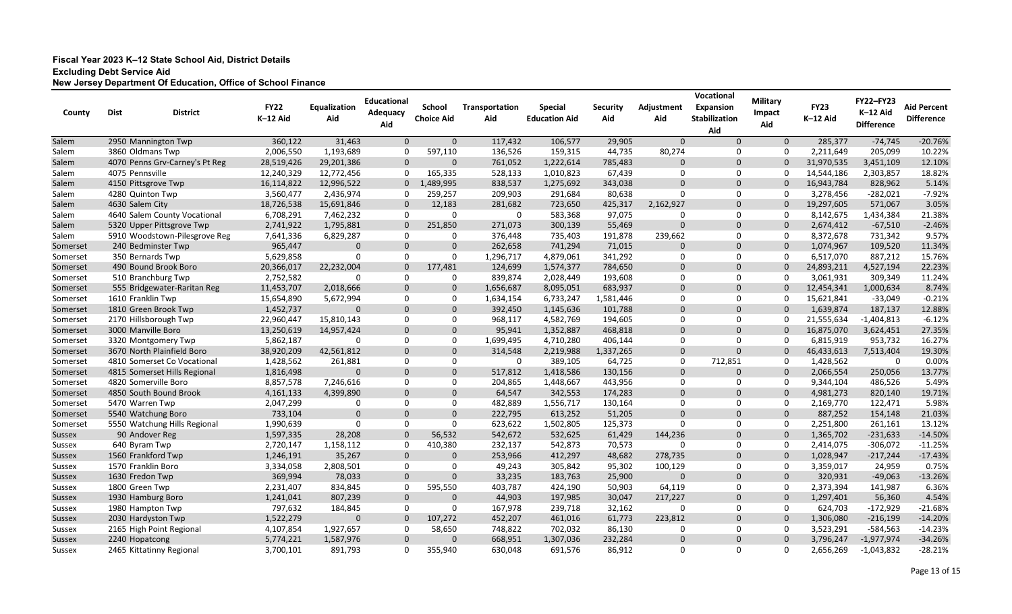| County        | <b>Dist</b>                  | <b>District</b>                | <b>FY22</b><br>K-12 Aid | Equalization<br>Aid | <b>Educational</b><br>Adequacy<br>Aid | <b>School</b><br><b>Choice Aid</b> | Transportation<br>Aid | <b>Special</b><br><b>Education Aid</b> | <b>Security</b><br>Aid | Adjustment<br>Aid | Vocational<br><b>Expansion</b><br><b>Stabilization</b><br>Aid | <b>Military</b><br>Impact<br>Aid | <b>FY23</b><br>K-12 Aid | <b>FY22-FY23</b><br>K-12 Aid<br><b>Difference</b> | <b>Aid Percent</b><br><b>Difference</b> |
|---------------|------------------------------|--------------------------------|-------------------------|---------------------|---------------------------------------|------------------------------------|-----------------------|----------------------------------------|------------------------|-------------------|---------------------------------------------------------------|----------------------------------|-------------------------|---------------------------------------------------|-----------------------------------------|
| Salem         |                              | 2950 Mannington Twp            | 360,122                 | 31,463              | $\Omega$                              | $\mathbf 0$                        | 117,432               | 106,577                                | 29,905                 | $\mathbf 0$       | $\Omega$                                                      | $\mathbf 0$                      | 285,377                 | $-74,745$                                         | $-20.76%$                               |
| Salem         |                              | 3860 Oldmans Twp               | 2,006,550               | 1,193,689           | -0                                    | 597,110                            | 136,526               | 159,315                                | 44,735                 | 80,274            | 0                                                             | 0                                | 2,211,649               | 205,099                                           | 10.22%                                  |
| Salem         |                              | 4070 Penns Grv-Carney's Pt Reg | 28,519,426              | 29,201,386          | $\mathbf 0$                           | $\Omega$                           | 761,052               | 1,222,614                              | 785,483                | $\mathbf 0$       | $\Omega$                                                      | $\Omega$                         | 31,970,535              | 3,451,109                                         | 12.10%                                  |
| Salem         | 4075 Pennsville              |                                | 12,240,329              | 12,772,456          | $\mathbf 0$                           | 165,335                            | 528,133               | 1,010,823                              | 67,439                 | 0                 | 0                                                             | 0                                | 14,544,186              | 2,303,857                                         | 18.82%                                  |
| Salem         |                              | 4150 Pittsgrove Twp            | 16,114,822              | 12,996,522          | $\mathbf{0}$                          | 1,489,995                          | 838,537               | 1,275,692                              | 343,038                | $\Omega$          | $\Omega$                                                      | $\Omega$                         | 16,943,784              | 828,962                                           | 5.14%                                   |
| Salem         | 4280 Quinton Twp             |                                | 3,560,477               | 2,436,974           | -0                                    | 259,257                            | 209,903               | 291,684                                | 80,638                 | $\mathbf 0$       | 0                                                             | 0                                | 3,278,456               | $-282,021$                                        | $-7.92%$                                |
| Salem         | 4630 Salem City              |                                | 18,726,538              | 15,691,846          | $\Omega$                              | 12,183                             | 281,682               | 723,650                                | 425,317                | 2,162,927         | $\Omega$                                                      | $\mathbf 0$                      | 19,297,605              | 571,067                                           | 3.05%                                   |
| Salem         | 4640 Salem County Vocational |                                | 6,708,291               | 7,462,232           | 0                                     | 0                                  | 0                     | 583,368                                | 97,075                 | 0                 | $\Omega$                                                      | 0                                | 8,142,675               | 1,434,384                                         | 21.38%                                  |
| Salem         | 5320 Upper Pittsgrove Twp    |                                | 2,741,922               | 1,795,881           | $\mathbf{0}$                          | 251,850                            | 271,073               | 300,139                                | 55,469                 | $\mathbf 0$       | $\Omega$                                                      | $\mathbf 0$                      | 2,674,412               | $-67,510$                                         | $-2.46%$                                |
| Salem         |                              | 5910 Woodstown-Pilesgrove Reg  | 7,641,336               | 6,829,287           | $\Omega$                              | 0                                  | 376,448               | 735,403                                | 191,878                | 239,662           | 0                                                             | $\mathbf 0$                      | 8,372,678               | 731,342                                           | 9.57%                                   |
| Somerset      |                              | 240 Bedminster Twp             | 965,447                 | -0                  | $\mathbf 0$                           | $\overline{0}$                     | 262,658               | 741,294                                | 71,015                 | $\mathbf 0$       | $\mathbf 0$                                                   | $\mathbf 0$                      | 1,074,967               | 109,520                                           | 11.34%                                  |
| Somerset      |                              | 350 Bernards Twp               | 5,629,858               | -0                  | 0                                     | $\Omega$                           | 1,296,717             | 4,879,061                              | 341,292                | 0                 | 0                                                             | 0                                | 6,517,070               | 887,212                                           | 15.76%                                  |
| Somerset      |                              | 490 Bound Brook Boro           | 20,366,017              | 22,232,004          | $\mathbf{0}$                          | 177,481                            | 124,699               | 1,574,377                              | 784,650                | $\mathbf 0$       | $\Omega$                                                      | $\Omega$                         | 24,893,211              | 4,527,194                                         | 22.23%                                  |
| Somerset      |                              | 510 Branchburg Twp             | 2,752,582               | <u>_ N</u>          | $\Omega$                              | $\Omega$                           | 839,874               | 2,028,449                              | 193,608                | 0                 | 0                                                             | 0                                | 3,061,931               | 309,349                                           | 11.24%                                  |
| Somerset      |                              | 555 Bridgewater-Raritan Reg    | 11,453,707              | 2,018,666           | $\Omega$                              | $\mathbf{0}$                       | 1,656,687             | 8,095,051                              | 683,937                | $\mathbf 0$       | $\Omega$                                                      | $\Omega$                         | 12,454,341              | 1,000,634                                         | 8.74%                                   |
| Somerset      |                              | 1610 Franklin Twp              | 15,654,890              | 5,672,994           | 0                                     | 0                                  | 1,634,154             | 6,733,247                              | 1,581,446              | 0                 | 0                                                             | 0                                | 15,621,841              | $-33,049$                                         | $-0.21%$                                |
| Somerset      |                              | 1810 Green Brook Twp           | 1,452,737               | $\Omega$            | $\Omega$                              | $\mathbf 0$                        | 392,450               | 1,145,636                              | 101,788                | $\mathbf 0$       | $\Omega$                                                      | $\mathbf 0$                      | 1,639,874               | 187,137                                           | 12.88%                                  |
| Somerset      |                              | 2170 Hillsborough Twp          | 22,960,447              | 15,810,143          | 0                                     | 0                                  | 968,117               | 4,582,769                              | 194,605                | 0                 | 0                                                             | 0                                | 21,555,634              | $-1,404,813$                                      | $-6.12%$                                |
| Somerset      |                              | 3000 Manville Boro             | 13,250,619              | 14,957,424          | $\mathbf 0$                           | $\mathbf 0$                        | 95,941                | 1,352,887                              | 468,818                | $\mathbf 0$       | $\Omega$                                                      | 0                                | 16,875,070              | 3,624,451                                         | 27.35%                                  |
| Somerset      |                              | 3320 Montgomery Twp            | 5,862,187               | -0                  | 0                                     | 0                                  | 1,699,495             | 4,710,280                              | 406,144                | 0                 | 0                                                             | 0                                | 6,815,919               | 953,732                                           | 16.27%                                  |
| Somerset      |                              | 3670 North Plainfield Boro     | 38,920,209              | 42,561,812          | $\Omega$                              | $\mathbf{0}$                       | 314,548               | 2,219,988                              | 1,337,265              | $\mathbf 0$       | $\Omega$                                                      | $\Omega$                         | 46,433,613              | 7,513,404                                         | 19.30%                                  |
| Somerset      |                              | 4810 Somerset Co Vocational    | 1,428,562               | 261,881             | 0                                     | $\mathbf{0}$                       | 0                     | 389,105                                | 64,725                 | 0                 | 712,851                                                       | 0                                | 1,428,562               | -0                                                | 0.00%                                   |
| Somerset      |                              | 4815 Somerset Hills Regional   | 1,816,498               | $\Omega$            | $\Omega$                              | $\Omega$                           | 517,812               | 1,418,586                              | 130,156                | $\mathbf 0$       | 0                                                             | $\mathbf{0}$                     | 2,066,554               | 250,056                                           | 13.77%                                  |
| Somerset      |                              | 4820 Somerville Boro           | 8,857,578               | 7,246,616           | $\Omega$                              | $\Omega$                           | 204,865               | 1,448,667                              | 443,956                | 0                 | $\Omega$                                                      | $\mathbf 0$                      | 9,344,104               | 486,526                                           | 5.49%                                   |
| Somerset      |                              | 4850 South Bound Brook         | 4, 161, 133             | 4,399,890           | $\Omega$                              | $\mathbf 0$                        | 64,547                | 342,553                                | 174,283                | $\Omega$          | $\Omega$                                                      | $\mathbf{0}$                     | 4,981,273               | 820,140                                           | 19.71%                                  |
| Somerset      |                              | 5470 Warren Twp                | 2,047,299               | -0                  | $\Omega$                              | 0                                  | 482,889               | 1,556,717                              | 130,164                | 0                 | 0                                                             | $\mathbf 0$                      | 2,169,770               | 122,471                                           | 5.98%                                   |
| Somerset      |                              | 5540 Watchung Boro             | 733,104                 | $\overline{0}$      | $\mathbf 0$                           | $\overline{0}$                     | 222,795               | 613,252                                | 51,205                 | $\mathbf 0$       | $\Omega$                                                      | $\mathbf 0$                      | 887,252                 | 154,148                                           | 21.03%                                  |
| Somerset      |                              | 5550 Watchung Hills Regional   | 1,990,639               | -0                  | 0                                     | 0                                  | 623,622               | 1,502,805                              | 125,373                | 0                 | 0                                                             | 0                                | 2,251,800               | 261,161                                           | 13.12%                                  |
| <b>Sussex</b> |                              | 90 Andover Reg                 | 1,597,335               | 28,208              | $\Omega$                              | 56,532                             | 542,672               | 532,625                                | 61,429                 | 144,236           | 0                                                             | $\Omega$                         | 1,365,702               | $-231,633$                                        | $-14.50%$                               |
| Sussex        |                              | 640 Byram Twp                  | 2,720,147               | 1,158,112           | -0                                    | 410,380                            | 232,137               | 542,873                                | 70,573                 | 0                 | 0                                                             | $\Omega$                         | 2,414,075               | $-306,072$                                        | $-11.25%$                               |
| <b>Sussex</b> |                              | 1560 Frankford Twp             | 1,246,191               | 35,267              | $\Omega$                              | 0                                  | 253,966               | 412,297                                | 48,682                 | 278,735           | $\Omega$                                                      | $\Omega$                         | 1,028,947               | $-217,244$                                        | $-17.43%$                               |
| Sussex        |                              | 1570 Franklin Boro             | 3,334,058               | 2,808,501           | 0                                     | 0                                  | 49,243                | 305,842                                | 95,302                 | 100,129           | 0                                                             | 0                                | 3,359,017               | 24,959                                            | 0.75%                                   |
| <b>Sussex</b> |                              | 1630 Fredon Twp                | 369,994                 | 78,033              | $\overline{0}$                        | $\mathbf 0$                        | 33,235                | 183,763                                | 25,900                 | $\mathbf{0}$      | $\mathbf 0$                                                   | $\mathbf 0$                      | 320,931                 | $-49,063$                                         | $-13.26%$                               |
| Sussex        |                              | 1800 Green Twp                 | 2,231,407               | 834,845             | $\mathbf 0$                           | 595,550                            | 403,787               | 424,190                                | 50,903                 | 64,119            | 0                                                             | 0                                | 2,373,394               | 141,987                                           | 6.36%                                   |
| <b>Sussex</b> |                              | 1930 Hamburg Boro              | 1,241,041               | 807,239             | $\mathbf 0$                           | 0                                  | 44,903                | 197,985                                | 30,047                 | 217,227           | $\mathbf 0$                                                   | $\mathbf 0$                      | 1,297,401               | 56,360                                            | 4.54%                                   |
| Sussex        |                              | 1980 Hampton Twp               | 797,632                 | 184,845             | 0                                     | 0                                  | 167,978               | 239,718                                | 32,162                 | 0                 | 0                                                             | $\mathbf 0$                      | 624,703                 | $-172,929$                                        | $-21.68%$                               |
| <b>Sussex</b> |                              | 2030 Hardyston Twp             | 1,522,279               | $\mathbf 0$         | $\mathbf 0$                           | 107,272                            | 452,207               | 461,016                                | 61,773                 | 223,812           | $\mathbf 0$                                                   | $\mathbf{0}$                     | 1,306,080               | $-216,199$                                        | $-14.20%$                               |
| Sussex        |                              | 2165 High Point Regional       | 4,107,854               | 1,927,657           | 0                                     | 58,650                             | 748,822               | 702,032                                | 86,130                 | 0                 | 0                                                             | $\mathbf 0$                      | 3,523,291               | $-584,563$                                        | $-14.23%$                               |
| <b>Sussex</b> | 2240 Hopatcong               |                                | 5,774,221               | 1,587,976           | $\mathbf 0$                           | $\mathbf{0}$                       | 668,951               | 1,307,036                              | 232,284                | $\mathbf{0}$      | $\mathbf 0$                                                   | $\mathbf{0}$                     | 3,796,247               | $-1,977,974$                                      | $-34.26%$                               |
| Sussex        |                              | 2465 Kittatinny Regional       | 3,700,101               | 891,793             | 0                                     | 355,940                            | 630,048               | 691,576                                | 86,912                 | 0                 | 0                                                             | $\mathbf 0$                      | 2,656,269               | $-1,043,832$                                      | $-28.21%$                               |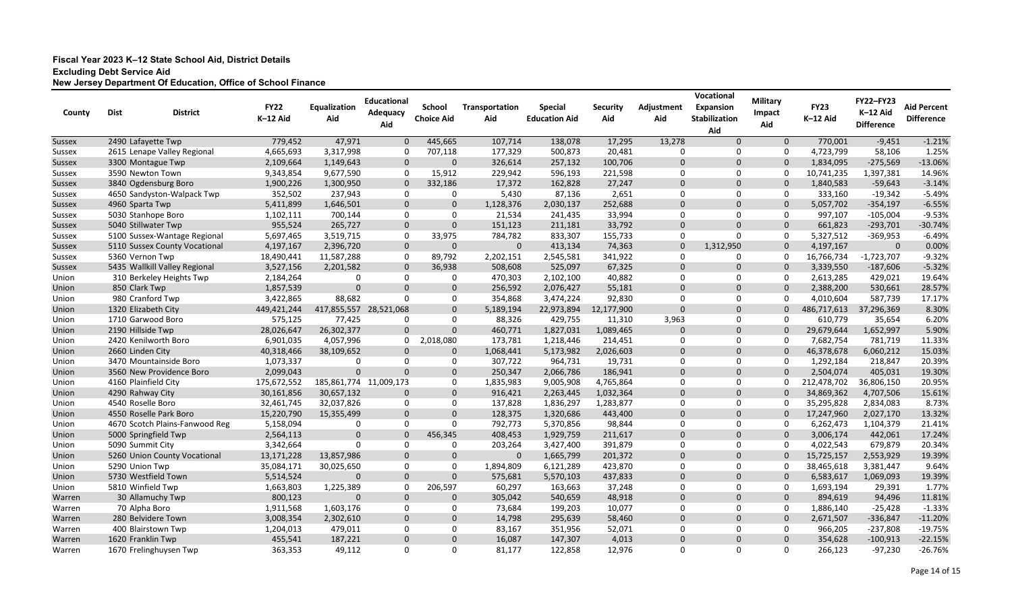| 779,452<br>47,971<br>107,714<br>17,295<br>$-1.21%$<br>2490 Lafayette Twp<br>445,665<br>138,078<br>13,278<br>$\Omega$<br>$\mathbf{0}$<br>770,001<br>$-9,451$<br>$\Omega$<br><b>Sussex</b><br>3,317,998<br>707,118<br>20,481<br>0<br>58,106<br>1.25%<br>2615 Lenape Valley Regional<br>4,665,693<br>$\Omega$<br>177,329<br>500,873<br>0<br>0<br>4,723,799<br>Sussex<br>$-13.06%$<br>$\mathbf 0$<br>100,706<br>$\mathbf 0$<br>$-275,569$<br>3300 Montague Twp<br>2,109,664<br>1,149,643<br>$\mathbf{0}$<br>326,614<br>257,132<br>$\mathbf 0$<br>$\Omega$<br>1,834,095<br>Sussex<br>$\overline{0}$<br>14.96%<br>9,677,590<br>15,912<br>0<br>3590 Newton Town<br>9,343,854<br>0<br>229,942<br>596,193<br>221,598<br>0<br>10,741,235<br>1,397,381<br>Sussex<br>$-3.14%$<br>3840 Ogdensburg Boro<br>27,247<br>$\mathbf{0}$<br>$\Omega$<br>1,900,226<br>1,300,950<br>$\Omega$<br>332,186<br>17,372<br>162,828<br>$\Omega$<br>1,840,583<br>$-59,643$<br><b>Sussex</b><br>0<br>0<br>$-5.49%$<br>4650 Sandyston-Walpack Twp<br>352,502<br>237,943<br>$\Omega$<br>5,430<br>87,136<br>2,651<br>0<br>333,160<br>$-19,342$<br>Sussex<br>0<br>$-6.55%$<br>5,411,899<br>$\Omega$<br>$\Omega$<br>252,688<br>$\mathbf{0}$<br>$-354,197$<br>4960 Sparta Twp<br>1,646,501<br>1,128,376<br>2,030,137<br>$\mathbf{0}$<br>$\mathbf{0}$<br>5,057,702<br>Sussex<br>$-9.53%$<br>33,994<br>0<br>$\mathbf{0}$<br>Sussex<br>5030 Stanhope Boro<br>1,102,111<br>700,144<br>$\Omega$<br>0<br>21,534<br>241,435<br>0<br>997,107<br>$-105,004$<br>$\mathbf 0$<br>$\mathbf 0$<br>$\mathbf 0$<br>$-30.74%$<br>5040 Stillwater Twp<br>955,524<br>265,727<br>$\Omega$<br>33,792<br>661,823<br>$-293,701$<br>151,123<br>211,181<br>$\mathbf{0}$<br>Sussex<br>33,975<br>5,697,465<br>3,519,715<br>$\Omega$<br>784,782<br>155,733<br>0<br>0<br>0<br>5,327,512<br>$-369,953$<br>$-6.49%$<br>5100 Sussex-Wantage Regional<br>833,307<br>Sussex<br>0.00%<br>2,396,720<br>$\mathbf 0$<br>74,363<br>$\mathbf 0$<br>1,312,950<br>4,197,167<br>5110 Sussex County Vocational<br>4,197,167<br>$\mathbf 0$<br>0<br>413,134<br>$\mathbf 0$<br>$\mathbf 0$<br><b>Sussex</b><br>$-9.32%$<br>18,490,441<br>11,587,288<br>2,545,581<br>341,922<br>0<br>5360 Vernon Twp<br>$\Omega$<br>89,792<br>2,202,151<br>0<br>0<br>16,766,734<br>$-1,723,707$<br>Sussex<br>$-5.32%$<br>5435 Wallkill Valley Regional<br>3,527,156<br>508,608<br>525,097<br>67,325<br>$\mathbf{0}$<br>2,201,582<br>$\Omega$<br>36,938<br>$\mathbf 0$<br>$\mathbf 0$<br>3,339,550<br>$-187,606$<br><b>Sussex</b><br>19.64%<br>40,882<br>0<br>0<br>Union<br>310 Berkeley Heights Twp<br>2,184,264<br>$\Omega$<br>470,303<br>2,102,100<br>0<br>2,613,285<br>429,021<br>$\Omega$<br>28.57%<br>$\Omega$<br>$\Omega$<br>55,181<br>$\mathbf 0$<br>$\mathbf{0}$<br>530,661<br>Union<br>850 Clark Twp<br>1,857,539<br>$\Omega$<br>256,592<br>2,076,427<br>$\mathbf{0}$<br>2,388,200<br>17.17%<br>980 Cranford Twp<br>88,682<br>92,830<br>0<br>0<br>587,739<br>Union<br>3,422,865<br>$\Omega$<br>0<br>354,868<br>3,474,224<br>0<br>4,010,604<br>$\mathbf 0$<br>8.30%<br>1320 Elizabeth City<br>449,421,244<br>417,855,557 28,521,068<br>$\Omega$<br>$\mathbf 0$<br>Union<br>5,189,194<br>22,973,894<br>12,177,900<br>$\Omega$<br>486,717,613<br>37,296,369<br>3,963<br>6.20%<br>0<br>88,326<br>0<br>0<br>1710 Garwood Boro<br>575,125<br>77,425<br>429,755<br>11,310<br>610,779<br>35,654<br>Union<br>0<br>5.90%<br>2190 Hillside Twp<br>26,302,377<br>$\overline{0}$<br>$\Omega$<br>1,089,465<br>$\mathbf 0$<br>29,679,644<br>1,652,997<br>28,026,647<br>460,771<br>1,827,031<br>$\mathbf 0$<br>Union<br>0<br>2420 Kenilworth Boro<br>4,057,996<br>2,018,080<br>0<br>0<br>11.33%<br>Union<br>6,901,035<br>0<br>173,781<br>1,218,446<br>214,451<br>0<br>7,682,754<br>781,719<br>15.03%<br>$\mathbf 0$<br>Union<br>2660 Linden City<br>40,318,466<br>38,109,652<br>$\Omega$<br>1,068,441<br>5,173,982<br>2,026,603<br>$\Omega$<br>$\Omega$<br>46,378,678<br>6,060,212<br>$\Omega$<br>20.39%<br>307,722<br>19,731<br>0<br>0<br>3470 Mountainside Boro<br>1,073,337<br>$\Omega$<br>$\Omega$<br>964,731<br>$\Omega$<br>1,292,184<br>218,847<br>Union<br>2,099,043<br>$\Omega$<br>$\Omega$<br>$\Omega$<br>2,066,786<br>186,941<br>$\mathbf 0$<br>$\Omega$<br>405,031<br>19.30%<br>Union<br>3560 New Providence Boro<br>250,347<br>$\Omega$<br>2,504,074<br>20.95%<br>175,672,552<br>185,861,774 11,009,173<br>0<br>0<br>Union<br>4160 Plainfield City<br>$\Omega$<br>1,835,983<br>9,005,908<br>4,765,864<br>$\Omega$<br>212,478,702<br>36,806,150<br>$\mathbf 0$<br>4290 Rahway City<br>30,657,132<br>$\Omega$<br>2,263,445<br>1,032,364<br>$\mathbf 0$<br>34,869,362<br>15.61%<br>Union<br>30,161,856<br>$\Omega$<br>916,421<br>$\Omega$<br>4,707,506<br>8.73%<br>32,037,826<br>$\Omega$<br>137,828<br>1,836,297<br>1,283,877<br>0<br>0<br>0<br>35,295,828<br>4540 Roselle Boro<br>32,461,745<br>$\Omega$<br>2,834,083<br>Union<br>13.32%<br>4550 Roselle Park Boro<br>15,220,790<br>$\overline{0}$<br>$\Omega$<br>1,320,686<br>$\mathbf 0$<br>0<br>15,355,499<br>128,375<br>443,400<br>$\mathbf 0$<br>17,247,960<br>2,027,170<br>Union<br>5,158,094<br>$\Omega$<br>$\Omega$<br>792,773<br>5,370,856<br>98,844<br>0<br>0<br>21.41%<br>Union<br>4670 Scotch Plains-Fanwood Reg<br>0<br>6,262,473<br>1,104,379<br>17.24%<br>$\mathbf 0$<br>Union<br>5000 Springfield Twp<br>2,564,113<br>$\Omega$<br>$\Omega$<br>456,345<br>408,453<br>1,929,759<br>211,617<br>$\mathbf{0}$<br>3,006,174<br>442,061<br>$\Omega$<br>391,879<br>0<br>0<br>0<br>679,879<br>20.34%<br>Union<br>5090 Summit City<br>3,342,664<br>$\Omega$<br>203,264<br>3,427,400<br>4,022,543<br>$\Omega$<br>$\Omega$<br>19.39%<br>13,857,986<br>1,665,799<br>201,372<br>$\Omega$<br>15,725,157<br>2,553,929<br>5260 Union County Vocational<br>13,171,228<br>$\Omega$<br>0<br>$\Omega$<br>Union<br>$\Omega$<br>9.64%<br>5290 Union Twp<br>30,025,650<br>1,894,809<br>423,870<br>0<br>Union<br>35,084,171<br>0<br>$\mathbf 0$<br>6,121,289<br>$\mathbf{0}$<br>38,465,618<br>3,381,447<br>0<br>$\overline{0}$<br>5730 Westfield Town<br>5,514,524<br>$\mathbf 0$<br>$\mathbf 0$<br>$\mathbf 0$<br>Union<br>575,681<br>5,570,103<br>437,833<br>$\mathbf{0}$<br>6,583,617<br>1,069,093<br>19.39%<br>$\overline{0}$<br>1,225,389<br>206,597<br>60,297<br>0<br>0<br>5810 Winfield Twp<br>1,663,803<br>0<br>163,663<br>37,248<br>1,693,194<br>29,391<br>1.77%<br>Union<br>0<br>800,123<br>$\mathbf 0$<br>$\mathbf 0$<br>30 Allamuchy Twp<br>305,042<br>540,659<br>48,918<br>$\mathbf 0$<br>894,619<br>94,496<br>11.81%<br>Warren<br>$\overline{0}$<br>$\mathbf{0}$<br>$\mathbf 0$<br>10,077<br>0<br>0<br>70 Alpha Boro<br>1,911,568<br>1,603,176<br>0<br>73,684<br>199,203<br>1,886,140<br>$-25,428$<br>$-1.33%$<br>Warren<br>0<br>0<br>280 Belvidere Town<br>$\mathbf 0$<br>$\mathbf 0$<br>$\mathbf 0$<br>$-11.20%$<br>3,008,354<br>2,302,610<br>$\mathbf 0$<br>14,798<br>295,639<br>58,460<br>$\mathbf 0$<br>2,671,507<br>$-336,847$<br>Warren<br>$-19.75%$<br>400 Blairstown Twp<br>1,204,013<br>479,011<br>0<br>0<br>83,167<br>351,956<br>52,071<br>0<br>0<br>0<br>966,205<br>$-237,808$<br>Warren | County | <b>Dist</b> | <b>District</b> | <b>FY22</b><br>K-12 Aid | Equalization<br>Aid | <b>Educational</b><br>Adequacy<br>Aid | <b>School</b><br><b>Choice Aid</b> | <b>Transportation</b><br>Aid | <b>Special</b><br><b>Education Aid</b> | <b>Security</b><br>Aid | Adjustment<br>Aid | Vocational<br><b>Expansion</b><br><b>Stabilization</b> | <b>Military</b><br><b>Impact</b><br>Aid | <b>FY23</b><br>K-12 Aid | <b>FY22-FY23</b><br>K-12 Aid<br><b>Difference</b> | <b>Aid Percent</b><br><b>Difference</b> |
|----------------------------------------------------------------------------------------------------------------------------------------------------------------------------------------------------------------------------------------------------------------------------------------------------------------------------------------------------------------------------------------------------------------------------------------------------------------------------------------------------------------------------------------------------------------------------------------------------------------------------------------------------------------------------------------------------------------------------------------------------------------------------------------------------------------------------------------------------------------------------------------------------------------------------------------------------------------------------------------------------------------------------------------------------------------------------------------------------------------------------------------------------------------------------------------------------------------------------------------------------------------------------------------------------------------------------------------------------------------------------------------------------------------------------------------------------------------------------------------------------------------------------------------------------------------------------------------------------------------------------------------------------------------------------------------------------------------------------------------------------------------------------------------------------------------------------------------------------------------------------------------------------------------------------------------------------------------------------------------------------------------------------------------------------------------------------------------------------------------------------------------------------------------------------------------------------------------------------------------------------------------------------------------------------------------------------------------------------------------------------------------------------------------------------------------------------------------------------------------------------------------------------------------------------------------------------------------------------------------------------------------------------------------------------------------------------------------------------------------------------------------------------------------------------------------------------------------------------------------------------------------------------------------------------------------------------------------------------------------------------------------------------------------------------------------------------------------------------------------------------------------------------------------------------------------------------------------------------------------------------------------------------------------------------------------------------------------------------------------------------------------------------------------------------------------------------------------------------------------------------------------------------------------------------------------------------------------------------------------------------------------------------------------------------------------------------------------------------------------------------------------------------------------------------------------------------------------------------------------------------------------------------------------------------------------------------------------------------------------------------------------------------------------------------------------------------------------------------------------------------------------------------------------------------------------------------------------------------------------------------------------------------------------------------------------------------------------------------------------------------------------------------------------------------------------------------------------------------------------------------------------------------------------------------------------------------------------------------------------------------------------------------------------------------------------------------------------------------------------------------------------------------------------------------------------------------------------------------------------------------------------------------------------------------------------------------------------------------------------------------------------------------------------------------------------------------------------------------------------------------------------------------------------------------------------------------------------------------------------------------------------------------------------------------------------------------------------------------------------------------------------------------------------------------------------------------------------------------------------------------------------------------------------------------------------------------------------------------------------------------------------------------------------------------------------------------------------------------------------------------------------------------------------------------------------------------------------------------------------------------------------------------------------------------------------------------------------------------------------------------------------------------------------------------------------------------------------------------------------------------------------------------------------------------------------------------------------------------------------------------------------------------------------------------------------------------------------------------------------------------------------------------------------------------------------------------------------------------------------------------------------------------------------------------------------------------------------------------------------------------------------------------------------------------------------------------------------------------------------------------------------------------------------------------------------------------------------------------------------------------------------------------------------------------------------------------------------------------------------------------------------------------------------------------------------------------------------------------------------------------------------------------------|--------|-------------|-----------------|-------------------------|---------------------|---------------------------------------|------------------------------------|------------------------------|----------------------------------------|------------------------|-------------------|--------------------------------------------------------|-----------------------------------------|-------------------------|---------------------------------------------------|-----------------------------------------|
|                                                                                                                                                                                                                                                                                                                                                                                                                                                                                                                                                                                                                                                                                                                                                                                                                                                                                                                                                                                                                                                                                                                                                                                                                                                                                                                                                                                                                                                                                                                                                                                                                                                                                                                                                                                                                                                                                                                                                                                                                                                                                                                                                                                                                                                                                                                                                                                                                                                                                                                                                                                                                                                                                                                                                                                                                                                                                                                                                                                                                                                                                                                                                                                                                                                                                                                                                                                                                                                                                                                                                                                                                                                                                                                                                                                                                                                                                                                                                                                                                                                                                                                                                                                                                                                                                                                                                                                                                                                                                                                                                                                                                                                                                                                                                                                                                                                                                                                                                                                                                                                                                                                                                                                                                                                                                                                                                                                                                                                                                                                                                                                                                                                                                                                                                                                                                                                                                                                                                                                                                                                                                                                                                                                                                                                                                                                                                                                                                                                                                                                                                                                                                                                                                                                                                                                                                                                                                                                                                                                                                                                                                                                                                          |        |             |                 |                         |                     |                                       |                                    |                              |                                        |                        |                   | Aid                                                    |                                         |                         |                                                   |                                         |
|                                                                                                                                                                                                                                                                                                                                                                                                                                                                                                                                                                                                                                                                                                                                                                                                                                                                                                                                                                                                                                                                                                                                                                                                                                                                                                                                                                                                                                                                                                                                                                                                                                                                                                                                                                                                                                                                                                                                                                                                                                                                                                                                                                                                                                                                                                                                                                                                                                                                                                                                                                                                                                                                                                                                                                                                                                                                                                                                                                                                                                                                                                                                                                                                                                                                                                                                                                                                                                                                                                                                                                                                                                                                                                                                                                                                                                                                                                                                                                                                                                                                                                                                                                                                                                                                                                                                                                                                                                                                                                                                                                                                                                                                                                                                                                                                                                                                                                                                                                                                                                                                                                                                                                                                                                                                                                                                                                                                                                                                                                                                                                                                                                                                                                                                                                                                                                                                                                                                                                                                                                                                                                                                                                                                                                                                                                                                                                                                                                                                                                                                                                                                                                                                                                                                                                                                                                                                                                                                                                                                                                                                                                                                                          |        |             |                 |                         |                     |                                       |                                    |                              |                                        |                        |                   |                                                        |                                         |                         |                                                   |                                         |
|                                                                                                                                                                                                                                                                                                                                                                                                                                                                                                                                                                                                                                                                                                                                                                                                                                                                                                                                                                                                                                                                                                                                                                                                                                                                                                                                                                                                                                                                                                                                                                                                                                                                                                                                                                                                                                                                                                                                                                                                                                                                                                                                                                                                                                                                                                                                                                                                                                                                                                                                                                                                                                                                                                                                                                                                                                                                                                                                                                                                                                                                                                                                                                                                                                                                                                                                                                                                                                                                                                                                                                                                                                                                                                                                                                                                                                                                                                                                                                                                                                                                                                                                                                                                                                                                                                                                                                                                                                                                                                                                                                                                                                                                                                                                                                                                                                                                                                                                                                                                                                                                                                                                                                                                                                                                                                                                                                                                                                                                                                                                                                                                                                                                                                                                                                                                                                                                                                                                                                                                                                                                                                                                                                                                                                                                                                                                                                                                                                                                                                                                                                                                                                                                                                                                                                                                                                                                                                                                                                                                                                                                                                                                                          |        |             |                 |                         |                     |                                       |                                    |                              |                                        |                        |                   |                                                        |                                         |                         |                                                   |                                         |
|                                                                                                                                                                                                                                                                                                                                                                                                                                                                                                                                                                                                                                                                                                                                                                                                                                                                                                                                                                                                                                                                                                                                                                                                                                                                                                                                                                                                                                                                                                                                                                                                                                                                                                                                                                                                                                                                                                                                                                                                                                                                                                                                                                                                                                                                                                                                                                                                                                                                                                                                                                                                                                                                                                                                                                                                                                                                                                                                                                                                                                                                                                                                                                                                                                                                                                                                                                                                                                                                                                                                                                                                                                                                                                                                                                                                                                                                                                                                                                                                                                                                                                                                                                                                                                                                                                                                                                                                                                                                                                                                                                                                                                                                                                                                                                                                                                                                                                                                                                                                                                                                                                                                                                                                                                                                                                                                                                                                                                                                                                                                                                                                                                                                                                                                                                                                                                                                                                                                                                                                                                                                                                                                                                                                                                                                                                                                                                                                                                                                                                                                                                                                                                                                                                                                                                                                                                                                                                                                                                                                                                                                                                                                                          |        |             |                 |                         |                     |                                       |                                    |                              |                                        |                        |                   |                                                        |                                         |                         |                                                   |                                         |
|                                                                                                                                                                                                                                                                                                                                                                                                                                                                                                                                                                                                                                                                                                                                                                                                                                                                                                                                                                                                                                                                                                                                                                                                                                                                                                                                                                                                                                                                                                                                                                                                                                                                                                                                                                                                                                                                                                                                                                                                                                                                                                                                                                                                                                                                                                                                                                                                                                                                                                                                                                                                                                                                                                                                                                                                                                                                                                                                                                                                                                                                                                                                                                                                                                                                                                                                                                                                                                                                                                                                                                                                                                                                                                                                                                                                                                                                                                                                                                                                                                                                                                                                                                                                                                                                                                                                                                                                                                                                                                                                                                                                                                                                                                                                                                                                                                                                                                                                                                                                                                                                                                                                                                                                                                                                                                                                                                                                                                                                                                                                                                                                                                                                                                                                                                                                                                                                                                                                                                                                                                                                                                                                                                                                                                                                                                                                                                                                                                                                                                                                                                                                                                                                                                                                                                                                                                                                                                                                                                                                                                                                                                                                                          |        |             |                 |                         |                     |                                       |                                    |                              |                                        |                        |                   |                                                        |                                         |                         |                                                   |                                         |
|                                                                                                                                                                                                                                                                                                                                                                                                                                                                                                                                                                                                                                                                                                                                                                                                                                                                                                                                                                                                                                                                                                                                                                                                                                                                                                                                                                                                                                                                                                                                                                                                                                                                                                                                                                                                                                                                                                                                                                                                                                                                                                                                                                                                                                                                                                                                                                                                                                                                                                                                                                                                                                                                                                                                                                                                                                                                                                                                                                                                                                                                                                                                                                                                                                                                                                                                                                                                                                                                                                                                                                                                                                                                                                                                                                                                                                                                                                                                                                                                                                                                                                                                                                                                                                                                                                                                                                                                                                                                                                                                                                                                                                                                                                                                                                                                                                                                                                                                                                                                                                                                                                                                                                                                                                                                                                                                                                                                                                                                                                                                                                                                                                                                                                                                                                                                                                                                                                                                                                                                                                                                                                                                                                                                                                                                                                                                                                                                                                                                                                                                                                                                                                                                                                                                                                                                                                                                                                                                                                                                                                                                                                                                                          |        |             |                 |                         |                     |                                       |                                    |                              |                                        |                        |                   |                                                        |                                         |                         |                                                   |                                         |
|                                                                                                                                                                                                                                                                                                                                                                                                                                                                                                                                                                                                                                                                                                                                                                                                                                                                                                                                                                                                                                                                                                                                                                                                                                                                                                                                                                                                                                                                                                                                                                                                                                                                                                                                                                                                                                                                                                                                                                                                                                                                                                                                                                                                                                                                                                                                                                                                                                                                                                                                                                                                                                                                                                                                                                                                                                                                                                                                                                                                                                                                                                                                                                                                                                                                                                                                                                                                                                                                                                                                                                                                                                                                                                                                                                                                                                                                                                                                                                                                                                                                                                                                                                                                                                                                                                                                                                                                                                                                                                                                                                                                                                                                                                                                                                                                                                                                                                                                                                                                                                                                                                                                                                                                                                                                                                                                                                                                                                                                                                                                                                                                                                                                                                                                                                                                                                                                                                                                                                                                                                                                                                                                                                                                                                                                                                                                                                                                                                                                                                                                                                                                                                                                                                                                                                                                                                                                                                                                                                                                                                                                                                                                                          |        |             |                 |                         |                     |                                       |                                    |                              |                                        |                        |                   |                                                        |                                         |                         |                                                   |                                         |
|                                                                                                                                                                                                                                                                                                                                                                                                                                                                                                                                                                                                                                                                                                                                                                                                                                                                                                                                                                                                                                                                                                                                                                                                                                                                                                                                                                                                                                                                                                                                                                                                                                                                                                                                                                                                                                                                                                                                                                                                                                                                                                                                                                                                                                                                                                                                                                                                                                                                                                                                                                                                                                                                                                                                                                                                                                                                                                                                                                                                                                                                                                                                                                                                                                                                                                                                                                                                                                                                                                                                                                                                                                                                                                                                                                                                                                                                                                                                                                                                                                                                                                                                                                                                                                                                                                                                                                                                                                                                                                                                                                                                                                                                                                                                                                                                                                                                                                                                                                                                                                                                                                                                                                                                                                                                                                                                                                                                                                                                                                                                                                                                                                                                                                                                                                                                                                                                                                                                                                                                                                                                                                                                                                                                                                                                                                                                                                                                                                                                                                                                                                                                                                                                                                                                                                                                                                                                                                                                                                                                                                                                                                                                                          |        |             |                 |                         |                     |                                       |                                    |                              |                                        |                        |                   |                                                        |                                         |                         |                                                   |                                         |
|                                                                                                                                                                                                                                                                                                                                                                                                                                                                                                                                                                                                                                                                                                                                                                                                                                                                                                                                                                                                                                                                                                                                                                                                                                                                                                                                                                                                                                                                                                                                                                                                                                                                                                                                                                                                                                                                                                                                                                                                                                                                                                                                                                                                                                                                                                                                                                                                                                                                                                                                                                                                                                                                                                                                                                                                                                                                                                                                                                                                                                                                                                                                                                                                                                                                                                                                                                                                                                                                                                                                                                                                                                                                                                                                                                                                                                                                                                                                                                                                                                                                                                                                                                                                                                                                                                                                                                                                                                                                                                                                                                                                                                                                                                                                                                                                                                                                                                                                                                                                                                                                                                                                                                                                                                                                                                                                                                                                                                                                                                                                                                                                                                                                                                                                                                                                                                                                                                                                                                                                                                                                                                                                                                                                                                                                                                                                                                                                                                                                                                                                                                                                                                                                                                                                                                                                                                                                                                                                                                                                                                                                                                                                                          |        |             |                 |                         |                     |                                       |                                    |                              |                                        |                        |                   |                                                        |                                         |                         |                                                   |                                         |
|                                                                                                                                                                                                                                                                                                                                                                                                                                                                                                                                                                                                                                                                                                                                                                                                                                                                                                                                                                                                                                                                                                                                                                                                                                                                                                                                                                                                                                                                                                                                                                                                                                                                                                                                                                                                                                                                                                                                                                                                                                                                                                                                                                                                                                                                                                                                                                                                                                                                                                                                                                                                                                                                                                                                                                                                                                                                                                                                                                                                                                                                                                                                                                                                                                                                                                                                                                                                                                                                                                                                                                                                                                                                                                                                                                                                                                                                                                                                                                                                                                                                                                                                                                                                                                                                                                                                                                                                                                                                                                                                                                                                                                                                                                                                                                                                                                                                                                                                                                                                                                                                                                                                                                                                                                                                                                                                                                                                                                                                                                                                                                                                                                                                                                                                                                                                                                                                                                                                                                                                                                                                                                                                                                                                                                                                                                                                                                                                                                                                                                                                                                                                                                                                                                                                                                                                                                                                                                                                                                                                                                                                                                                                                          |        |             |                 |                         |                     |                                       |                                    |                              |                                        |                        |                   |                                                        |                                         |                         |                                                   |                                         |
|                                                                                                                                                                                                                                                                                                                                                                                                                                                                                                                                                                                                                                                                                                                                                                                                                                                                                                                                                                                                                                                                                                                                                                                                                                                                                                                                                                                                                                                                                                                                                                                                                                                                                                                                                                                                                                                                                                                                                                                                                                                                                                                                                                                                                                                                                                                                                                                                                                                                                                                                                                                                                                                                                                                                                                                                                                                                                                                                                                                                                                                                                                                                                                                                                                                                                                                                                                                                                                                                                                                                                                                                                                                                                                                                                                                                                                                                                                                                                                                                                                                                                                                                                                                                                                                                                                                                                                                                                                                                                                                                                                                                                                                                                                                                                                                                                                                                                                                                                                                                                                                                                                                                                                                                                                                                                                                                                                                                                                                                                                                                                                                                                                                                                                                                                                                                                                                                                                                                                                                                                                                                                                                                                                                                                                                                                                                                                                                                                                                                                                                                                                                                                                                                                                                                                                                                                                                                                                                                                                                                                                                                                                                                                          |        |             |                 |                         |                     |                                       |                                    |                              |                                        |                        |                   |                                                        |                                         |                         |                                                   |                                         |
|                                                                                                                                                                                                                                                                                                                                                                                                                                                                                                                                                                                                                                                                                                                                                                                                                                                                                                                                                                                                                                                                                                                                                                                                                                                                                                                                                                                                                                                                                                                                                                                                                                                                                                                                                                                                                                                                                                                                                                                                                                                                                                                                                                                                                                                                                                                                                                                                                                                                                                                                                                                                                                                                                                                                                                                                                                                                                                                                                                                                                                                                                                                                                                                                                                                                                                                                                                                                                                                                                                                                                                                                                                                                                                                                                                                                                                                                                                                                                                                                                                                                                                                                                                                                                                                                                                                                                                                                                                                                                                                                                                                                                                                                                                                                                                                                                                                                                                                                                                                                                                                                                                                                                                                                                                                                                                                                                                                                                                                                                                                                                                                                                                                                                                                                                                                                                                                                                                                                                                                                                                                                                                                                                                                                                                                                                                                                                                                                                                                                                                                                                                                                                                                                                                                                                                                                                                                                                                                                                                                                                                                                                                                                                          |        |             |                 |                         |                     |                                       |                                    |                              |                                        |                        |                   |                                                        |                                         |                         |                                                   |                                         |
|                                                                                                                                                                                                                                                                                                                                                                                                                                                                                                                                                                                                                                                                                                                                                                                                                                                                                                                                                                                                                                                                                                                                                                                                                                                                                                                                                                                                                                                                                                                                                                                                                                                                                                                                                                                                                                                                                                                                                                                                                                                                                                                                                                                                                                                                                                                                                                                                                                                                                                                                                                                                                                                                                                                                                                                                                                                                                                                                                                                                                                                                                                                                                                                                                                                                                                                                                                                                                                                                                                                                                                                                                                                                                                                                                                                                                                                                                                                                                                                                                                                                                                                                                                                                                                                                                                                                                                                                                                                                                                                                                                                                                                                                                                                                                                                                                                                                                                                                                                                                                                                                                                                                                                                                                                                                                                                                                                                                                                                                                                                                                                                                                                                                                                                                                                                                                                                                                                                                                                                                                                                                                                                                                                                                                                                                                                                                                                                                                                                                                                                                                                                                                                                                                                                                                                                                                                                                                                                                                                                                                                                                                                                                                          |        |             |                 |                         |                     |                                       |                                    |                              |                                        |                        |                   |                                                        |                                         |                         |                                                   |                                         |
|                                                                                                                                                                                                                                                                                                                                                                                                                                                                                                                                                                                                                                                                                                                                                                                                                                                                                                                                                                                                                                                                                                                                                                                                                                                                                                                                                                                                                                                                                                                                                                                                                                                                                                                                                                                                                                                                                                                                                                                                                                                                                                                                                                                                                                                                                                                                                                                                                                                                                                                                                                                                                                                                                                                                                                                                                                                                                                                                                                                                                                                                                                                                                                                                                                                                                                                                                                                                                                                                                                                                                                                                                                                                                                                                                                                                                                                                                                                                                                                                                                                                                                                                                                                                                                                                                                                                                                                                                                                                                                                                                                                                                                                                                                                                                                                                                                                                                                                                                                                                                                                                                                                                                                                                                                                                                                                                                                                                                                                                                                                                                                                                                                                                                                                                                                                                                                                                                                                                                                                                                                                                                                                                                                                                                                                                                                                                                                                                                                                                                                                                                                                                                                                                                                                                                                                                                                                                                                                                                                                                                                                                                                                                                          |        |             |                 |                         |                     |                                       |                                    |                              |                                        |                        |                   |                                                        |                                         |                         |                                                   |                                         |
|                                                                                                                                                                                                                                                                                                                                                                                                                                                                                                                                                                                                                                                                                                                                                                                                                                                                                                                                                                                                                                                                                                                                                                                                                                                                                                                                                                                                                                                                                                                                                                                                                                                                                                                                                                                                                                                                                                                                                                                                                                                                                                                                                                                                                                                                                                                                                                                                                                                                                                                                                                                                                                                                                                                                                                                                                                                                                                                                                                                                                                                                                                                                                                                                                                                                                                                                                                                                                                                                                                                                                                                                                                                                                                                                                                                                                                                                                                                                                                                                                                                                                                                                                                                                                                                                                                                                                                                                                                                                                                                                                                                                                                                                                                                                                                                                                                                                                                                                                                                                                                                                                                                                                                                                                                                                                                                                                                                                                                                                                                                                                                                                                                                                                                                                                                                                                                                                                                                                                                                                                                                                                                                                                                                                                                                                                                                                                                                                                                                                                                                                                                                                                                                                                                                                                                                                                                                                                                                                                                                                                                                                                                                                                          |        |             |                 |                         |                     |                                       |                                    |                              |                                        |                        |                   |                                                        |                                         |                         |                                                   |                                         |
|                                                                                                                                                                                                                                                                                                                                                                                                                                                                                                                                                                                                                                                                                                                                                                                                                                                                                                                                                                                                                                                                                                                                                                                                                                                                                                                                                                                                                                                                                                                                                                                                                                                                                                                                                                                                                                                                                                                                                                                                                                                                                                                                                                                                                                                                                                                                                                                                                                                                                                                                                                                                                                                                                                                                                                                                                                                                                                                                                                                                                                                                                                                                                                                                                                                                                                                                                                                                                                                                                                                                                                                                                                                                                                                                                                                                                                                                                                                                                                                                                                                                                                                                                                                                                                                                                                                                                                                                                                                                                                                                                                                                                                                                                                                                                                                                                                                                                                                                                                                                                                                                                                                                                                                                                                                                                                                                                                                                                                                                                                                                                                                                                                                                                                                                                                                                                                                                                                                                                                                                                                                                                                                                                                                                                                                                                                                                                                                                                                                                                                                                                                                                                                                                                                                                                                                                                                                                                                                                                                                                                                                                                                                                                          |        |             |                 |                         |                     |                                       |                                    |                              |                                        |                        |                   |                                                        |                                         |                         |                                                   |                                         |
|                                                                                                                                                                                                                                                                                                                                                                                                                                                                                                                                                                                                                                                                                                                                                                                                                                                                                                                                                                                                                                                                                                                                                                                                                                                                                                                                                                                                                                                                                                                                                                                                                                                                                                                                                                                                                                                                                                                                                                                                                                                                                                                                                                                                                                                                                                                                                                                                                                                                                                                                                                                                                                                                                                                                                                                                                                                                                                                                                                                                                                                                                                                                                                                                                                                                                                                                                                                                                                                                                                                                                                                                                                                                                                                                                                                                                                                                                                                                                                                                                                                                                                                                                                                                                                                                                                                                                                                                                                                                                                                                                                                                                                                                                                                                                                                                                                                                                                                                                                                                                                                                                                                                                                                                                                                                                                                                                                                                                                                                                                                                                                                                                                                                                                                                                                                                                                                                                                                                                                                                                                                                                                                                                                                                                                                                                                                                                                                                                                                                                                                                                                                                                                                                                                                                                                                                                                                                                                                                                                                                                                                                                                                                                          |        |             |                 |                         |                     |                                       |                                    |                              |                                        |                        |                   |                                                        |                                         |                         |                                                   |                                         |
|                                                                                                                                                                                                                                                                                                                                                                                                                                                                                                                                                                                                                                                                                                                                                                                                                                                                                                                                                                                                                                                                                                                                                                                                                                                                                                                                                                                                                                                                                                                                                                                                                                                                                                                                                                                                                                                                                                                                                                                                                                                                                                                                                                                                                                                                                                                                                                                                                                                                                                                                                                                                                                                                                                                                                                                                                                                                                                                                                                                                                                                                                                                                                                                                                                                                                                                                                                                                                                                                                                                                                                                                                                                                                                                                                                                                                                                                                                                                                                                                                                                                                                                                                                                                                                                                                                                                                                                                                                                                                                                                                                                                                                                                                                                                                                                                                                                                                                                                                                                                                                                                                                                                                                                                                                                                                                                                                                                                                                                                                                                                                                                                                                                                                                                                                                                                                                                                                                                                                                                                                                                                                                                                                                                                                                                                                                                                                                                                                                                                                                                                                                                                                                                                                                                                                                                                                                                                                                                                                                                                                                                                                                                                                          |        |             |                 |                         |                     |                                       |                                    |                              |                                        |                        |                   |                                                        |                                         |                         |                                                   |                                         |
|                                                                                                                                                                                                                                                                                                                                                                                                                                                                                                                                                                                                                                                                                                                                                                                                                                                                                                                                                                                                                                                                                                                                                                                                                                                                                                                                                                                                                                                                                                                                                                                                                                                                                                                                                                                                                                                                                                                                                                                                                                                                                                                                                                                                                                                                                                                                                                                                                                                                                                                                                                                                                                                                                                                                                                                                                                                                                                                                                                                                                                                                                                                                                                                                                                                                                                                                                                                                                                                                                                                                                                                                                                                                                                                                                                                                                                                                                                                                                                                                                                                                                                                                                                                                                                                                                                                                                                                                                                                                                                                                                                                                                                                                                                                                                                                                                                                                                                                                                                                                                                                                                                                                                                                                                                                                                                                                                                                                                                                                                                                                                                                                                                                                                                                                                                                                                                                                                                                                                                                                                                                                                                                                                                                                                                                                                                                                                                                                                                                                                                                                                                                                                                                                                                                                                                                                                                                                                                                                                                                                                                                                                                                                                          |        |             |                 |                         |                     |                                       |                                    |                              |                                        |                        |                   |                                                        |                                         |                         |                                                   |                                         |
|                                                                                                                                                                                                                                                                                                                                                                                                                                                                                                                                                                                                                                                                                                                                                                                                                                                                                                                                                                                                                                                                                                                                                                                                                                                                                                                                                                                                                                                                                                                                                                                                                                                                                                                                                                                                                                                                                                                                                                                                                                                                                                                                                                                                                                                                                                                                                                                                                                                                                                                                                                                                                                                                                                                                                                                                                                                                                                                                                                                                                                                                                                                                                                                                                                                                                                                                                                                                                                                                                                                                                                                                                                                                                                                                                                                                                                                                                                                                                                                                                                                                                                                                                                                                                                                                                                                                                                                                                                                                                                                                                                                                                                                                                                                                                                                                                                                                                                                                                                                                                                                                                                                                                                                                                                                                                                                                                                                                                                                                                                                                                                                                                                                                                                                                                                                                                                                                                                                                                                                                                                                                                                                                                                                                                                                                                                                                                                                                                                                                                                                                                                                                                                                                                                                                                                                                                                                                                                                                                                                                                                                                                                                                                          |        |             |                 |                         |                     |                                       |                                    |                              |                                        |                        |                   |                                                        |                                         |                         |                                                   |                                         |
|                                                                                                                                                                                                                                                                                                                                                                                                                                                                                                                                                                                                                                                                                                                                                                                                                                                                                                                                                                                                                                                                                                                                                                                                                                                                                                                                                                                                                                                                                                                                                                                                                                                                                                                                                                                                                                                                                                                                                                                                                                                                                                                                                                                                                                                                                                                                                                                                                                                                                                                                                                                                                                                                                                                                                                                                                                                                                                                                                                                                                                                                                                                                                                                                                                                                                                                                                                                                                                                                                                                                                                                                                                                                                                                                                                                                                                                                                                                                                                                                                                                                                                                                                                                                                                                                                                                                                                                                                                                                                                                                                                                                                                                                                                                                                                                                                                                                                                                                                                                                                                                                                                                                                                                                                                                                                                                                                                                                                                                                                                                                                                                                                                                                                                                                                                                                                                                                                                                                                                                                                                                                                                                                                                                                                                                                                                                                                                                                                                                                                                                                                                                                                                                                                                                                                                                                                                                                                                                                                                                                                                                                                                                                                          |        |             |                 |                         |                     |                                       |                                    |                              |                                        |                        |                   |                                                        |                                         |                         |                                                   |                                         |
|                                                                                                                                                                                                                                                                                                                                                                                                                                                                                                                                                                                                                                                                                                                                                                                                                                                                                                                                                                                                                                                                                                                                                                                                                                                                                                                                                                                                                                                                                                                                                                                                                                                                                                                                                                                                                                                                                                                                                                                                                                                                                                                                                                                                                                                                                                                                                                                                                                                                                                                                                                                                                                                                                                                                                                                                                                                                                                                                                                                                                                                                                                                                                                                                                                                                                                                                                                                                                                                                                                                                                                                                                                                                                                                                                                                                                                                                                                                                                                                                                                                                                                                                                                                                                                                                                                                                                                                                                                                                                                                                                                                                                                                                                                                                                                                                                                                                                                                                                                                                                                                                                                                                                                                                                                                                                                                                                                                                                                                                                                                                                                                                                                                                                                                                                                                                                                                                                                                                                                                                                                                                                                                                                                                                                                                                                                                                                                                                                                                                                                                                                                                                                                                                                                                                                                                                                                                                                                                                                                                                                                                                                                                                                          |        |             |                 |                         |                     |                                       |                                    |                              |                                        |                        |                   |                                                        |                                         |                         |                                                   |                                         |
|                                                                                                                                                                                                                                                                                                                                                                                                                                                                                                                                                                                                                                                                                                                                                                                                                                                                                                                                                                                                                                                                                                                                                                                                                                                                                                                                                                                                                                                                                                                                                                                                                                                                                                                                                                                                                                                                                                                                                                                                                                                                                                                                                                                                                                                                                                                                                                                                                                                                                                                                                                                                                                                                                                                                                                                                                                                                                                                                                                                                                                                                                                                                                                                                                                                                                                                                                                                                                                                                                                                                                                                                                                                                                                                                                                                                                                                                                                                                                                                                                                                                                                                                                                                                                                                                                                                                                                                                                                                                                                                                                                                                                                                                                                                                                                                                                                                                                                                                                                                                                                                                                                                                                                                                                                                                                                                                                                                                                                                                                                                                                                                                                                                                                                                                                                                                                                                                                                                                                                                                                                                                                                                                                                                                                                                                                                                                                                                                                                                                                                                                                                                                                                                                                                                                                                                                                                                                                                                                                                                                                                                                                                                                                          |        |             |                 |                         |                     |                                       |                                    |                              |                                        |                        |                   |                                                        |                                         |                         |                                                   |                                         |
|                                                                                                                                                                                                                                                                                                                                                                                                                                                                                                                                                                                                                                                                                                                                                                                                                                                                                                                                                                                                                                                                                                                                                                                                                                                                                                                                                                                                                                                                                                                                                                                                                                                                                                                                                                                                                                                                                                                                                                                                                                                                                                                                                                                                                                                                                                                                                                                                                                                                                                                                                                                                                                                                                                                                                                                                                                                                                                                                                                                                                                                                                                                                                                                                                                                                                                                                                                                                                                                                                                                                                                                                                                                                                                                                                                                                                                                                                                                                                                                                                                                                                                                                                                                                                                                                                                                                                                                                                                                                                                                                                                                                                                                                                                                                                                                                                                                                                                                                                                                                                                                                                                                                                                                                                                                                                                                                                                                                                                                                                                                                                                                                                                                                                                                                                                                                                                                                                                                                                                                                                                                                                                                                                                                                                                                                                                                                                                                                                                                                                                                                                                                                                                                                                                                                                                                                                                                                                                                                                                                                                                                                                                                                                          |        |             |                 |                         |                     |                                       |                                    |                              |                                        |                        |                   |                                                        |                                         |                         |                                                   |                                         |
|                                                                                                                                                                                                                                                                                                                                                                                                                                                                                                                                                                                                                                                                                                                                                                                                                                                                                                                                                                                                                                                                                                                                                                                                                                                                                                                                                                                                                                                                                                                                                                                                                                                                                                                                                                                                                                                                                                                                                                                                                                                                                                                                                                                                                                                                                                                                                                                                                                                                                                                                                                                                                                                                                                                                                                                                                                                                                                                                                                                                                                                                                                                                                                                                                                                                                                                                                                                                                                                                                                                                                                                                                                                                                                                                                                                                                                                                                                                                                                                                                                                                                                                                                                                                                                                                                                                                                                                                                                                                                                                                                                                                                                                                                                                                                                                                                                                                                                                                                                                                                                                                                                                                                                                                                                                                                                                                                                                                                                                                                                                                                                                                                                                                                                                                                                                                                                                                                                                                                                                                                                                                                                                                                                                                                                                                                                                                                                                                                                                                                                                                                                                                                                                                                                                                                                                                                                                                                                                                                                                                                                                                                                                                                          |        |             |                 |                         |                     |                                       |                                    |                              |                                        |                        |                   |                                                        |                                         |                         |                                                   |                                         |
|                                                                                                                                                                                                                                                                                                                                                                                                                                                                                                                                                                                                                                                                                                                                                                                                                                                                                                                                                                                                                                                                                                                                                                                                                                                                                                                                                                                                                                                                                                                                                                                                                                                                                                                                                                                                                                                                                                                                                                                                                                                                                                                                                                                                                                                                                                                                                                                                                                                                                                                                                                                                                                                                                                                                                                                                                                                                                                                                                                                                                                                                                                                                                                                                                                                                                                                                                                                                                                                                                                                                                                                                                                                                                                                                                                                                                                                                                                                                                                                                                                                                                                                                                                                                                                                                                                                                                                                                                                                                                                                                                                                                                                                                                                                                                                                                                                                                                                                                                                                                                                                                                                                                                                                                                                                                                                                                                                                                                                                                                                                                                                                                                                                                                                                                                                                                                                                                                                                                                                                                                                                                                                                                                                                                                                                                                                                                                                                                                                                                                                                                                                                                                                                                                                                                                                                                                                                                                                                                                                                                                                                                                                                                                          |        |             |                 |                         |                     |                                       |                                    |                              |                                        |                        |                   |                                                        |                                         |                         |                                                   |                                         |
|                                                                                                                                                                                                                                                                                                                                                                                                                                                                                                                                                                                                                                                                                                                                                                                                                                                                                                                                                                                                                                                                                                                                                                                                                                                                                                                                                                                                                                                                                                                                                                                                                                                                                                                                                                                                                                                                                                                                                                                                                                                                                                                                                                                                                                                                                                                                                                                                                                                                                                                                                                                                                                                                                                                                                                                                                                                                                                                                                                                                                                                                                                                                                                                                                                                                                                                                                                                                                                                                                                                                                                                                                                                                                                                                                                                                                                                                                                                                                                                                                                                                                                                                                                                                                                                                                                                                                                                                                                                                                                                                                                                                                                                                                                                                                                                                                                                                                                                                                                                                                                                                                                                                                                                                                                                                                                                                                                                                                                                                                                                                                                                                                                                                                                                                                                                                                                                                                                                                                                                                                                                                                                                                                                                                                                                                                                                                                                                                                                                                                                                                                                                                                                                                                                                                                                                                                                                                                                                                                                                                                                                                                                                                                          |        |             |                 |                         |                     |                                       |                                    |                              |                                        |                        |                   |                                                        |                                         |                         |                                                   |                                         |
|                                                                                                                                                                                                                                                                                                                                                                                                                                                                                                                                                                                                                                                                                                                                                                                                                                                                                                                                                                                                                                                                                                                                                                                                                                                                                                                                                                                                                                                                                                                                                                                                                                                                                                                                                                                                                                                                                                                                                                                                                                                                                                                                                                                                                                                                                                                                                                                                                                                                                                                                                                                                                                                                                                                                                                                                                                                                                                                                                                                                                                                                                                                                                                                                                                                                                                                                                                                                                                                                                                                                                                                                                                                                                                                                                                                                                                                                                                                                                                                                                                                                                                                                                                                                                                                                                                                                                                                                                                                                                                                                                                                                                                                                                                                                                                                                                                                                                                                                                                                                                                                                                                                                                                                                                                                                                                                                                                                                                                                                                                                                                                                                                                                                                                                                                                                                                                                                                                                                                                                                                                                                                                                                                                                                                                                                                                                                                                                                                                                                                                                                                                                                                                                                                                                                                                                                                                                                                                                                                                                                                                                                                                                                                          |        |             |                 |                         |                     |                                       |                                    |                              |                                        |                        |                   |                                                        |                                         |                         |                                                   |                                         |
|                                                                                                                                                                                                                                                                                                                                                                                                                                                                                                                                                                                                                                                                                                                                                                                                                                                                                                                                                                                                                                                                                                                                                                                                                                                                                                                                                                                                                                                                                                                                                                                                                                                                                                                                                                                                                                                                                                                                                                                                                                                                                                                                                                                                                                                                                                                                                                                                                                                                                                                                                                                                                                                                                                                                                                                                                                                                                                                                                                                                                                                                                                                                                                                                                                                                                                                                                                                                                                                                                                                                                                                                                                                                                                                                                                                                                                                                                                                                                                                                                                                                                                                                                                                                                                                                                                                                                                                                                                                                                                                                                                                                                                                                                                                                                                                                                                                                                                                                                                                                                                                                                                                                                                                                                                                                                                                                                                                                                                                                                                                                                                                                                                                                                                                                                                                                                                                                                                                                                                                                                                                                                                                                                                                                                                                                                                                                                                                                                                                                                                                                                                                                                                                                                                                                                                                                                                                                                                                                                                                                                                                                                                                                                          |        |             |                 |                         |                     |                                       |                                    |                              |                                        |                        |                   |                                                        |                                         |                         |                                                   |                                         |
|                                                                                                                                                                                                                                                                                                                                                                                                                                                                                                                                                                                                                                                                                                                                                                                                                                                                                                                                                                                                                                                                                                                                                                                                                                                                                                                                                                                                                                                                                                                                                                                                                                                                                                                                                                                                                                                                                                                                                                                                                                                                                                                                                                                                                                                                                                                                                                                                                                                                                                                                                                                                                                                                                                                                                                                                                                                                                                                                                                                                                                                                                                                                                                                                                                                                                                                                                                                                                                                                                                                                                                                                                                                                                                                                                                                                                                                                                                                                                                                                                                                                                                                                                                                                                                                                                                                                                                                                                                                                                                                                                                                                                                                                                                                                                                                                                                                                                                                                                                                                                                                                                                                                                                                                                                                                                                                                                                                                                                                                                                                                                                                                                                                                                                                                                                                                                                                                                                                                                                                                                                                                                                                                                                                                                                                                                                                                                                                                                                                                                                                                                                                                                                                                                                                                                                                                                                                                                                                                                                                                                                                                                                                                                          |        |             |                 |                         |                     |                                       |                                    |                              |                                        |                        |                   |                                                        |                                         |                         |                                                   |                                         |
|                                                                                                                                                                                                                                                                                                                                                                                                                                                                                                                                                                                                                                                                                                                                                                                                                                                                                                                                                                                                                                                                                                                                                                                                                                                                                                                                                                                                                                                                                                                                                                                                                                                                                                                                                                                                                                                                                                                                                                                                                                                                                                                                                                                                                                                                                                                                                                                                                                                                                                                                                                                                                                                                                                                                                                                                                                                                                                                                                                                                                                                                                                                                                                                                                                                                                                                                                                                                                                                                                                                                                                                                                                                                                                                                                                                                                                                                                                                                                                                                                                                                                                                                                                                                                                                                                                                                                                                                                                                                                                                                                                                                                                                                                                                                                                                                                                                                                                                                                                                                                                                                                                                                                                                                                                                                                                                                                                                                                                                                                                                                                                                                                                                                                                                                                                                                                                                                                                                                                                                                                                                                                                                                                                                                                                                                                                                                                                                                                                                                                                                                                                                                                                                                                                                                                                                                                                                                                                                                                                                                                                                                                                                                                          |        |             |                 |                         |                     |                                       |                                    |                              |                                        |                        |                   |                                                        |                                         |                         |                                                   |                                         |
|                                                                                                                                                                                                                                                                                                                                                                                                                                                                                                                                                                                                                                                                                                                                                                                                                                                                                                                                                                                                                                                                                                                                                                                                                                                                                                                                                                                                                                                                                                                                                                                                                                                                                                                                                                                                                                                                                                                                                                                                                                                                                                                                                                                                                                                                                                                                                                                                                                                                                                                                                                                                                                                                                                                                                                                                                                                                                                                                                                                                                                                                                                                                                                                                                                                                                                                                                                                                                                                                                                                                                                                                                                                                                                                                                                                                                                                                                                                                                                                                                                                                                                                                                                                                                                                                                                                                                                                                                                                                                                                                                                                                                                                                                                                                                                                                                                                                                                                                                                                                                                                                                                                                                                                                                                                                                                                                                                                                                                                                                                                                                                                                                                                                                                                                                                                                                                                                                                                                                                                                                                                                                                                                                                                                                                                                                                                                                                                                                                                                                                                                                                                                                                                                                                                                                                                                                                                                                                                                                                                                                                                                                                                                                          |        |             |                 |                         |                     |                                       |                                    |                              |                                        |                        |                   |                                                        |                                         |                         |                                                   |                                         |
|                                                                                                                                                                                                                                                                                                                                                                                                                                                                                                                                                                                                                                                                                                                                                                                                                                                                                                                                                                                                                                                                                                                                                                                                                                                                                                                                                                                                                                                                                                                                                                                                                                                                                                                                                                                                                                                                                                                                                                                                                                                                                                                                                                                                                                                                                                                                                                                                                                                                                                                                                                                                                                                                                                                                                                                                                                                                                                                                                                                                                                                                                                                                                                                                                                                                                                                                                                                                                                                                                                                                                                                                                                                                                                                                                                                                                                                                                                                                                                                                                                                                                                                                                                                                                                                                                                                                                                                                                                                                                                                                                                                                                                                                                                                                                                                                                                                                                                                                                                                                                                                                                                                                                                                                                                                                                                                                                                                                                                                                                                                                                                                                                                                                                                                                                                                                                                                                                                                                                                                                                                                                                                                                                                                                                                                                                                                                                                                                                                                                                                                                                                                                                                                                                                                                                                                                                                                                                                                                                                                                                                                                                                                                                          |        |             |                 |                         |                     |                                       |                                    |                              |                                        |                        |                   |                                                        |                                         |                         |                                                   |                                         |
|                                                                                                                                                                                                                                                                                                                                                                                                                                                                                                                                                                                                                                                                                                                                                                                                                                                                                                                                                                                                                                                                                                                                                                                                                                                                                                                                                                                                                                                                                                                                                                                                                                                                                                                                                                                                                                                                                                                                                                                                                                                                                                                                                                                                                                                                                                                                                                                                                                                                                                                                                                                                                                                                                                                                                                                                                                                                                                                                                                                                                                                                                                                                                                                                                                                                                                                                                                                                                                                                                                                                                                                                                                                                                                                                                                                                                                                                                                                                                                                                                                                                                                                                                                                                                                                                                                                                                                                                                                                                                                                                                                                                                                                                                                                                                                                                                                                                                                                                                                                                                                                                                                                                                                                                                                                                                                                                                                                                                                                                                                                                                                                                                                                                                                                                                                                                                                                                                                                                                                                                                                                                                                                                                                                                                                                                                                                                                                                                                                                                                                                                                                                                                                                                                                                                                                                                                                                                                                                                                                                                                                                                                                                                                          |        |             |                 |                         |                     |                                       |                                    |                              |                                        |                        |                   |                                                        |                                         |                         |                                                   |                                         |
|                                                                                                                                                                                                                                                                                                                                                                                                                                                                                                                                                                                                                                                                                                                                                                                                                                                                                                                                                                                                                                                                                                                                                                                                                                                                                                                                                                                                                                                                                                                                                                                                                                                                                                                                                                                                                                                                                                                                                                                                                                                                                                                                                                                                                                                                                                                                                                                                                                                                                                                                                                                                                                                                                                                                                                                                                                                                                                                                                                                                                                                                                                                                                                                                                                                                                                                                                                                                                                                                                                                                                                                                                                                                                                                                                                                                                                                                                                                                                                                                                                                                                                                                                                                                                                                                                                                                                                                                                                                                                                                                                                                                                                                                                                                                                                                                                                                                                                                                                                                                                                                                                                                                                                                                                                                                                                                                                                                                                                                                                                                                                                                                                                                                                                                                                                                                                                                                                                                                                                                                                                                                                                                                                                                                                                                                                                                                                                                                                                                                                                                                                                                                                                                                                                                                                                                                                                                                                                                                                                                                                                                                                                                                                          |        |             |                 |                         |                     |                                       |                                    |                              |                                        |                        |                   |                                                        |                                         |                         |                                                   |                                         |
|                                                                                                                                                                                                                                                                                                                                                                                                                                                                                                                                                                                                                                                                                                                                                                                                                                                                                                                                                                                                                                                                                                                                                                                                                                                                                                                                                                                                                                                                                                                                                                                                                                                                                                                                                                                                                                                                                                                                                                                                                                                                                                                                                                                                                                                                                                                                                                                                                                                                                                                                                                                                                                                                                                                                                                                                                                                                                                                                                                                                                                                                                                                                                                                                                                                                                                                                                                                                                                                                                                                                                                                                                                                                                                                                                                                                                                                                                                                                                                                                                                                                                                                                                                                                                                                                                                                                                                                                                                                                                                                                                                                                                                                                                                                                                                                                                                                                                                                                                                                                                                                                                                                                                                                                                                                                                                                                                                                                                                                                                                                                                                                                                                                                                                                                                                                                                                                                                                                                                                                                                                                                                                                                                                                                                                                                                                                                                                                                                                                                                                                                                                                                                                                                                                                                                                                                                                                                                                                                                                                                                                                                                                                                                          |        |             |                 |                         |                     |                                       |                                    |                              |                                        |                        |                   |                                                        |                                         |                         |                                                   |                                         |
|                                                                                                                                                                                                                                                                                                                                                                                                                                                                                                                                                                                                                                                                                                                                                                                                                                                                                                                                                                                                                                                                                                                                                                                                                                                                                                                                                                                                                                                                                                                                                                                                                                                                                                                                                                                                                                                                                                                                                                                                                                                                                                                                                                                                                                                                                                                                                                                                                                                                                                                                                                                                                                                                                                                                                                                                                                                                                                                                                                                                                                                                                                                                                                                                                                                                                                                                                                                                                                                                                                                                                                                                                                                                                                                                                                                                                                                                                                                                                                                                                                                                                                                                                                                                                                                                                                                                                                                                                                                                                                                                                                                                                                                                                                                                                                                                                                                                                                                                                                                                                                                                                                                                                                                                                                                                                                                                                                                                                                                                                                                                                                                                                                                                                                                                                                                                                                                                                                                                                                                                                                                                                                                                                                                                                                                                                                                                                                                                                                                                                                                                                                                                                                                                                                                                                                                                                                                                                                                                                                                                                                                                                                                                                          |        |             |                 |                         |                     |                                       |                                    |                              |                                        |                        |                   |                                                        |                                         |                         |                                                   |                                         |
|                                                                                                                                                                                                                                                                                                                                                                                                                                                                                                                                                                                                                                                                                                                                                                                                                                                                                                                                                                                                                                                                                                                                                                                                                                                                                                                                                                                                                                                                                                                                                                                                                                                                                                                                                                                                                                                                                                                                                                                                                                                                                                                                                                                                                                                                                                                                                                                                                                                                                                                                                                                                                                                                                                                                                                                                                                                                                                                                                                                                                                                                                                                                                                                                                                                                                                                                                                                                                                                                                                                                                                                                                                                                                                                                                                                                                                                                                                                                                                                                                                                                                                                                                                                                                                                                                                                                                                                                                                                                                                                                                                                                                                                                                                                                                                                                                                                                                                                                                                                                                                                                                                                                                                                                                                                                                                                                                                                                                                                                                                                                                                                                                                                                                                                                                                                                                                                                                                                                                                                                                                                                                                                                                                                                                                                                                                                                                                                                                                                                                                                                                                                                                                                                                                                                                                                                                                                                                                                                                                                                                                                                                                                                                          |        |             |                 |                         |                     |                                       |                                    |                              |                                        |                        |                   |                                                        |                                         |                         |                                                   |                                         |
| 1620 Franklin Twp                                                                                                                                                                                                                                                                                                                                                                                                                                                                                                                                                                                                                                                                                                                                                                                                                                                                                                                                                                                                                                                                                                                                                                                                                                                                                                                                                                                                                                                                                                                                                                                                                                                                                                                                                                                                                                                                                                                                                                                                                                                                                                                                                                                                                                                                                                                                                                                                                                                                                                                                                                                                                                                                                                                                                                                                                                                                                                                                                                                                                                                                                                                                                                                                                                                                                                                                                                                                                                                                                                                                                                                                                                                                                                                                                                                                                                                                                                                                                                                                                                                                                                                                                                                                                                                                                                                                                                                                                                                                                                                                                                                                                                                                                                                                                                                                                                                                                                                                                                                                                                                                                                                                                                                                                                                                                                                                                                                                                                                                                                                                                                                                                                                                                                                                                                                                                                                                                                                                                                                                                                                                                                                                                                                                                                                                                                                                                                                                                                                                                                                                                                                                                                                                                                                                                                                                                                                                                                                                                                                                                                                                                                                                        | Warren |             |                 | 455,541                 | 187,221             | $\mathbf 0$                           | $\mathbf 0$                        | 16,087                       | 147,307                                | 4,013                  | $\mathbf 0$       | $\mathbf 0$                                            | $\mathbf{0}$                            | 354,628                 | $-100,913$                                        | $-22.15%$                               |
| 1670 Frelinghuysen Twp<br>$\mathbf 0$<br>0<br>0<br>$\mathbf 0$<br>$-97,230$<br>363,353<br>49,112<br>81,177<br>122,858<br>12,976<br>$\mathbf{0}$<br>266,123<br>Warren                                                                                                                                                                                                                                                                                                                                                                                                                                                                                                                                                                                                                                                                                                                                                                                                                                                                                                                                                                                                                                                                                                                                                                                                                                                                                                                                                                                                                                                                                                                                                                                                                                                                                                                                                                                                                                                                                                                                                                                                                                                                                                                                                                                                                                                                                                                                                                                                                                                                                                                                                                                                                                                                                                                                                                                                                                                                                                                                                                                                                                                                                                                                                                                                                                                                                                                                                                                                                                                                                                                                                                                                                                                                                                                                                                                                                                                                                                                                                                                                                                                                                                                                                                                                                                                                                                                                                                                                                                                                                                                                                                                                                                                                                                                                                                                                                                                                                                                                                                                                                                                                                                                                                                                                                                                                                                                                                                                                                                                                                                                                                                                                                                                                                                                                                                                                                                                                                                                                                                                                                                                                                                                                                                                                                                                                                                                                                                                                                                                                                                                                                                                                                                                                                                                                                                                                                                                                                                                                                                                     |        |             |                 |                         |                     |                                       |                                    |                              |                                        |                        |                   |                                                        |                                         |                         |                                                   | $-26.76%$                               |